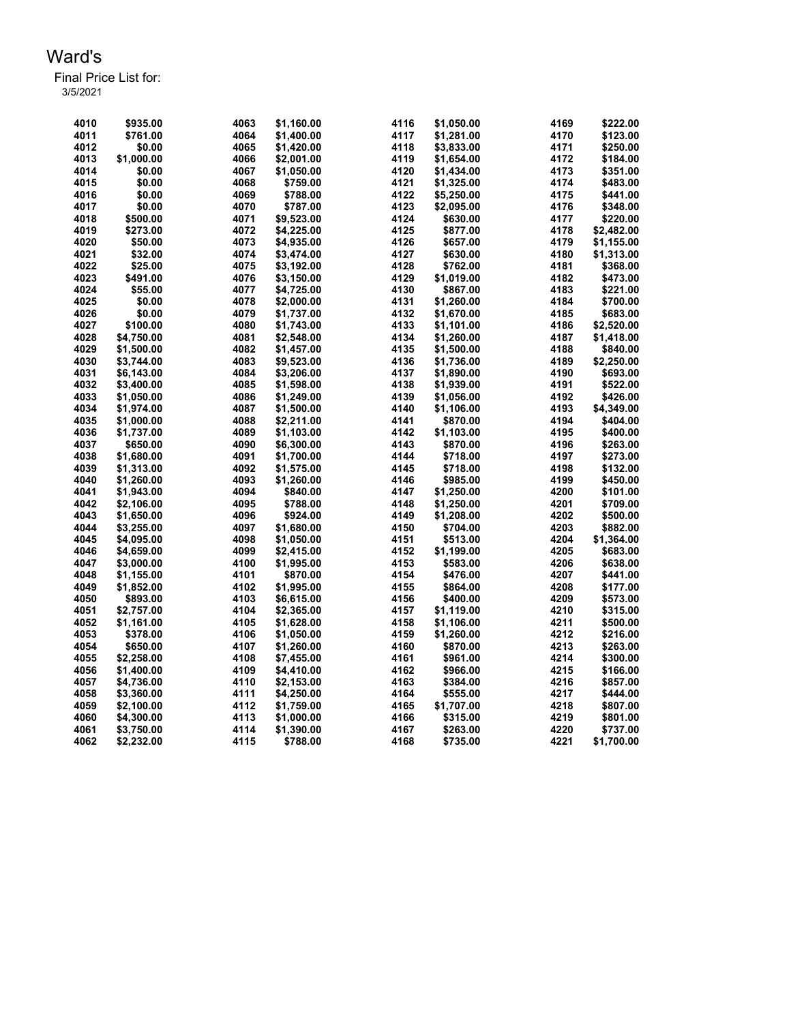| 4010 | \$935.00   | 4063 | \$1,160.00 | 4116 | \$1,050.00 | 4169 | \$222.00   |
|------|------------|------|------------|------|------------|------|------------|
| 4011 | \$761.00   | 4064 | \$1,400.00 | 4117 | \$1,281.00 | 4170 | \$123.00   |
| 4012 | \$0.00     | 4065 | \$1,420.00 | 4118 | \$3,833.00 | 4171 | \$250.00   |
| 4013 | \$1,000.00 | 4066 | \$2,001.00 | 4119 | \$1,654.00 | 4172 | \$184.00   |
| 4014 | \$0.00     | 4067 | \$1,050.00 | 4120 | \$1,434.00 | 4173 | \$351.00   |
| 4015 | \$0.00     | 4068 | \$759.00   | 4121 | \$1,325.00 | 4174 | \$483.00   |
| 4016 | \$0.00     | 4069 | \$788.00   | 4122 | \$5,250.00 | 4175 | \$441.00   |
| 4017 | \$0.00     | 4070 | \$787.00   | 4123 | \$2,095.00 | 4176 | \$348.00   |
| 4018 | \$500.00   | 4071 | \$9,523.00 | 4124 | \$630.00   | 4177 | \$220.00   |
| 4019 | \$273.00   | 4072 | \$4,225.00 | 4125 | \$877.00   | 4178 | \$2,482.00 |
| 4020 | \$50.00    | 4073 | \$4,935.00 | 4126 | \$657.00   | 4179 | \$1,155.00 |
| 4021 | \$32.00    | 4074 | \$3,474.00 | 4127 | \$630.00   | 4180 | \$1,313.00 |
| 4022 | \$25.00    | 4075 | \$3,192.00 | 4128 | \$762.00   | 4181 | \$368.00   |
| 4023 | \$491.00   | 4076 | \$3,150.00 | 4129 | \$1,019.00 | 4182 | \$473.00   |
| 4024 | \$55.00    | 4077 | \$4,725.00 | 4130 | \$867.00   | 4183 | \$221.00   |
| 4025 | \$0.00     | 4078 | \$2,000.00 | 4131 | \$1,260.00 | 4184 | \$700.00   |
| 4026 | \$0.00     | 4079 | \$1,737.00 | 4132 | \$1,670.00 | 4185 | \$683.00   |
| 4027 | \$100.00   | 4080 | \$1,743.00 | 4133 | \$1,101.00 | 4186 | \$2,520.00 |
| 4028 | \$4,750.00 | 4081 | \$2,548.00 | 4134 | \$1,260.00 | 4187 | \$1,418.00 |
| 4029 | \$1,500.00 | 4082 | \$1,457.00 | 4135 | \$1,500.00 | 4188 | \$840.00   |
| 4030 | \$3,744.00 | 4083 | \$9,523.00 | 4136 | \$1,736.00 | 4189 | \$2,250.00 |
| 4031 | \$6,143.00 | 4084 | \$3,206.00 | 4137 | \$1,890.00 | 4190 | \$693.00   |
| 4032 | \$3.400.00 | 4085 | \$1,598.00 | 4138 | \$1,939.00 | 4191 | \$522.00   |
| 4033 | \$1,050.00 | 4086 | \$1,249.00 | 4139 | \$1,056.00 | 4192 | \$426.00   |
| 4034 | \$1.974.00 | 4087 | \$1,500.00 | 4140 | \$1,106.00 | 4193 | \$4,349.00 |
| 4035 | \$1,000.00 | 4088 | \$2,211.00 | 4141 | \$870.00   | 4194 | \$404.00   |
| 4036 | \$1,737.00 | 4089 | \$1,103.00 | 4142 | \$1,103.00 | 4195 | \$400.00   |
| 4037 | \$650.00   | 4090 | \$6,300.00 | 4143 | \$870.00   | 4196 | \$263.00   |
| 4038 | \$1,680.00 | 4091 | \$1,700.00 | 4144 | \$718.00   | 4197 | \$273.00   |
| 4039 | \$1,313.00 | 4092 | \$1,575.00 | 4145 | \$718.00   | 4198 | \$132.00   |
| 4040 | \$1,260.00 | 4093 | \$1,260.00 | 4146 | \$985.00   | 4199 | \$450.00   |
| 4041 | \$1,943.00 | 4094 | \$840.00   | 4147 | \$1,250.00 | 4200 | \$101.00   |
| 4042 | \$2,106.00 | 4095 | \$788.00   | 4148 | \$1,250.00 | 4201 | \$709.00   |
| 4043 | \$1,650.00 | 4096 | \$924.00   | 4149 | \$1,208.00 | 4202 | \$500.00   |
| 4044 | \$3,255.00 | 4097 | \$1,680.00 | 4150 | \$704.00   | 4203 | \$882.00   |
| 4045 | \$4,095.00 | 4098 | \$1,050.00 | 4151 | \$513.00   | 4204 | \$1,364.00 |
| 4046 | \$4,659.00 | 4099 | \$2,415.00 | 4152 | \$1,199.00 | 4205 | \$683.00   |
| 4047 | \$3,000.00 | 4100 | \$1,995.00 | 4153 | \$583.00   | 4206 | \$638.00   |
| 4048 | \$1,155.00 | 4101 | \$870.00   | 4154 | \$476.00   | 4207 | \$441.00   |
| 4049 | \$1,852.00 | 4102 | \$1,995.00 | 4155 | \$864.00   | 4208 | \$177.00   |
| 4050 | \$893.00   | 4103 | \$6,615.00 | 4156 | \$400.00   | 4209 | \$573.00   |
| 4051 | \$2,757.00 | 4104 | \$2,365.00 | 4157 | \$1,119.00 | 4210 | \$315.00   |
| 4052 | \$1,161.00 | 4105 | \$1,628.00 | 4158 | \$1,106.00 | 4211 | \$500.00   |
| 4053 | \$378.00   | 4106 | \$1,050.00 | 4159 | \$1,260.00 | 4212 | \$216.00   |
| 4054 | \$650.00   | 4107 | \$1,260.00 | 4160 | \$870.00   | 4213 | \$263.00   |
| 4055 | \$2,258.00 | 4108 | \$7,455.00 | 4161 | \$961.00   | 4214 | \$300.00   |
| 4056 | \$1,400.00 | 4109 | \$4,410.00 | 4162 | \$966.00   | 4215 | \$166.00   |
| 4057 | \$4,736.00 | 4110 | \$2,153.00 | 4163 | \$384.00   | 4216 | \$857.00   |
| 4058 | \$3,360.00 | 4111 | \$4,250.00 | 4164 | \$555.00   | 4217 | \$444.00   |
| 4059 | \$2,100.00 | 4112 | \$1,759.00 | 4165 | \$1,707.00 | 4218 | \$807.00   |
| 4060 | \$4,300.00 | 4113 | \$1,000.00 | 4166 | \$315.00   | 4219 | \$801.00   |
| 4061 | \$3,750.00 | 4114 | \$1,390.00 | 4167 | \$263.00   | 4220 | \$737.00   |
| 4062 | \$2,232.00 | 4115 | \$788.00   | 4168 | \$735.00   | 4221 | \$1,700.00 |
|      |            |      |            |      |            |      |            |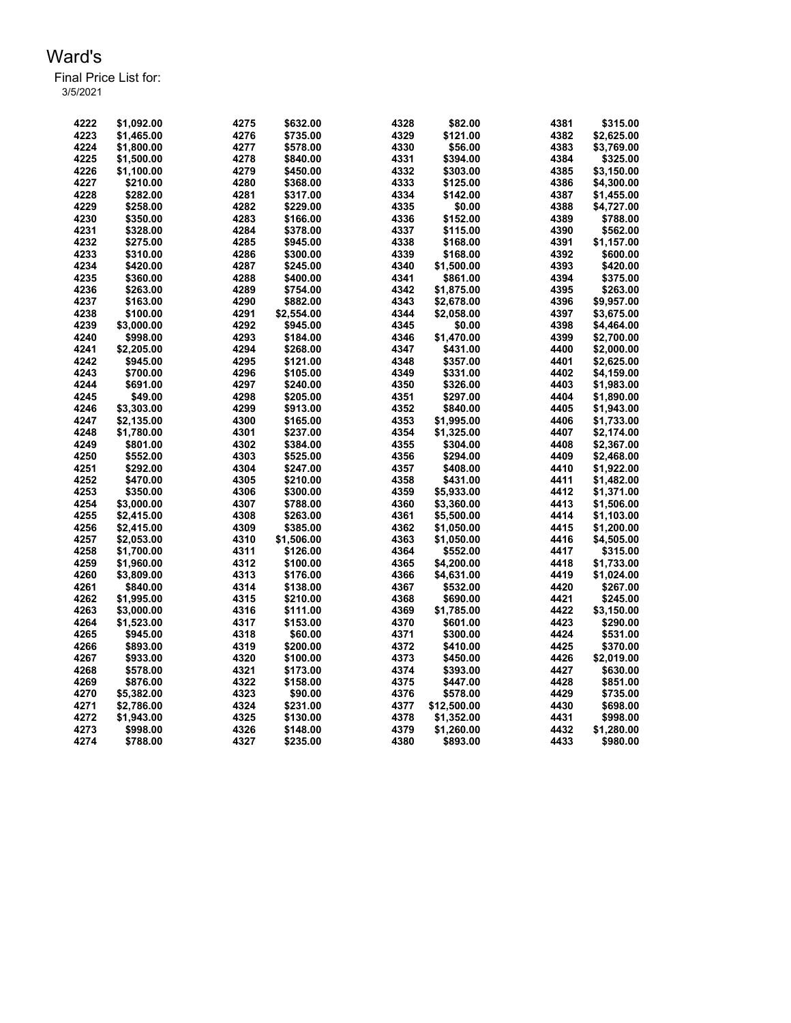Final Price List for: 3/5/2021

> \$1,092.00 4275 \$632.00 4328 \$82.00 4381 \$315.00 \$1,465.00 4276 \$735.00 4329 \$121.00 4382 \$2,625.00 \$1,800.00 4277 \$578.00 4330 \$56.00 4383 \$3,769.00 \$1,500.00 4278 \$840.00 4331 \$394.00 4384 \$325.00 \$1,100.00 4279 \$450.00 4332 \$303.00 4385 \$3,150.00 \$210.00 4280 \$368.00 4333 \$125.00 4386 \$4,300.00 \$282.00 4281 \$317.00 4334 \$142.00 4387 \$1,455.00 \$258.00 4282 \$229.00 4335 \$0.00 4388 \$4,727.00 \$350.00 4283 \$166.00 4336 \$152.00 4389 \$788.00 \$328.00 4284 \$378.00 4337 \$115.00 4390 \$562.00 \$275.00 4285 \$945.00 4338 \$168.00 4391 \$1,157.00 \$310.00 4286 \$300.00 4339 \$168.00 4392 \$600.00 \$420.00 4287 \$245.00 4340 \$1,500.00 4393 \$420.00 \$360.00 4288 \$400.00 4341 \$861.00 4394 \$375.00 \$263.00 4289 \$754.00 4342 \$1,875.00 4395 \$263.00 \$163.00 4290 \$882.00 4343 \$2,678.00 4396 \$9,957.00 \$100.00 4291 \$2,554.00 4344 \$2,058.00 4397 \$3,675.00 \$3,000.00 4292 \$945.00 4345 \$0.00 4398 \$4,464.00 \$998.00 4293 \$184.00 4346 \$1,470.00 4399 \$2,700.00 \$2,205.00 4294 \$268.00 4347 \$431.00 4400 \$2,000.00 \$945.00 4295 \$121.00 4348 \$357.00 4401 \$2,625.00 \$700.00 4296 \$105.00 4349 \$331.00 4402 \$4,159.00 \$691.00 4297 \$240.00 4350 \$326.00 4403 \$1,983.00 \$49.00 4298 \$205.00 4351 \$297.00 4404 \$1,890.00 \$3,303.00 4299 \$913.00 4352 \$840.00 4405 \$1,943.00 \$2,135.00 4300 \$165.00 4353 \$1,995.00 4406 \$1,733.00 \$1,780.00 4301 \$237.00 4354 \$1,325.00 4407 \$2,174.00 \$801.00 4302 \$384.00 4355 \$304.00 4408 \$2,367.00 \$552.00 4303 \$525.00 4356 \$294.00 4409 \$2,468.00 \$292.00 4304 \$247.00 4357 \$408.00 4410 \$1,922.00 \$470.00 4305 \$210.00 4358 \$431.00 4411 \$1,482.00 \$350.00 4306 \$300.00 4359 \$5,933.00 4412 \$1,371.00 \$3,000.00 4307 \$788.00 4360 \$3,360.00 4413 \$1,506.00 \$2,415.00 4308 \$263.00 4361 \$5,500.00 4414 \$1,103.00 \$2,415.00 4309 \$385.00 4362 \$1,050.00 4415 \$1,200.00 \$2,053.00 4310 \$1,506.00 4363 \$1,050.00 4416 \$4,505.00 \$1,700.00 4311 \$126.00 4364 \$552.00 4417 \$315.00 \$1,960.00 4312 \$100.00 4365 \$4,200.00 4418 \$1,733.00 \$3,809.00 4313 \$176.00 4366 \$4,631.00 4419 \$1,024.00 \$840.00 4314 \$138.00 4367 \$532.00 4420 \$267.00 \$1,995.00 4315 \$210.00 4368 \$690.00 4421 \$245.00 \$3,000.00 4316 \$111.00 4369 \$1,785.00 4422 \$3,150.00 \$1,523.00 4317 \$153.00 4370 \$601.00 4423 \$290.00 \$945.00 4318 \$60.00 4371 \$300.00 4424 \$531.00 \$893.00 4319 \$200.00 4372 \$410.00 4425 \$370.00 \$933.00 4320 \$100.00 4373 \$450.00 4426 \$2,019.00 \$578.00 4321 \$173.00 4374 \$393.00 4427 \$630.00 \$876.00 4322 \$158.00 4375 \$447.00 4428 \$851.00 \$5,382.00 4323 \$90.00 4376 \$578.00 4429 \$735.00 \$2,786.00 4324 \$231.00 4377 \$12,500.00 4430 \$698.00 \$1,943.00 4325 \$130.00 4378 \$1,352.00 4431 \$998.00 \$998.00 4326 \$148.00 4379 \$1,260.00 4432 \$1,280.00 \$788.00 4327 \$235.00 4380 \$893.00 4433 \$980.00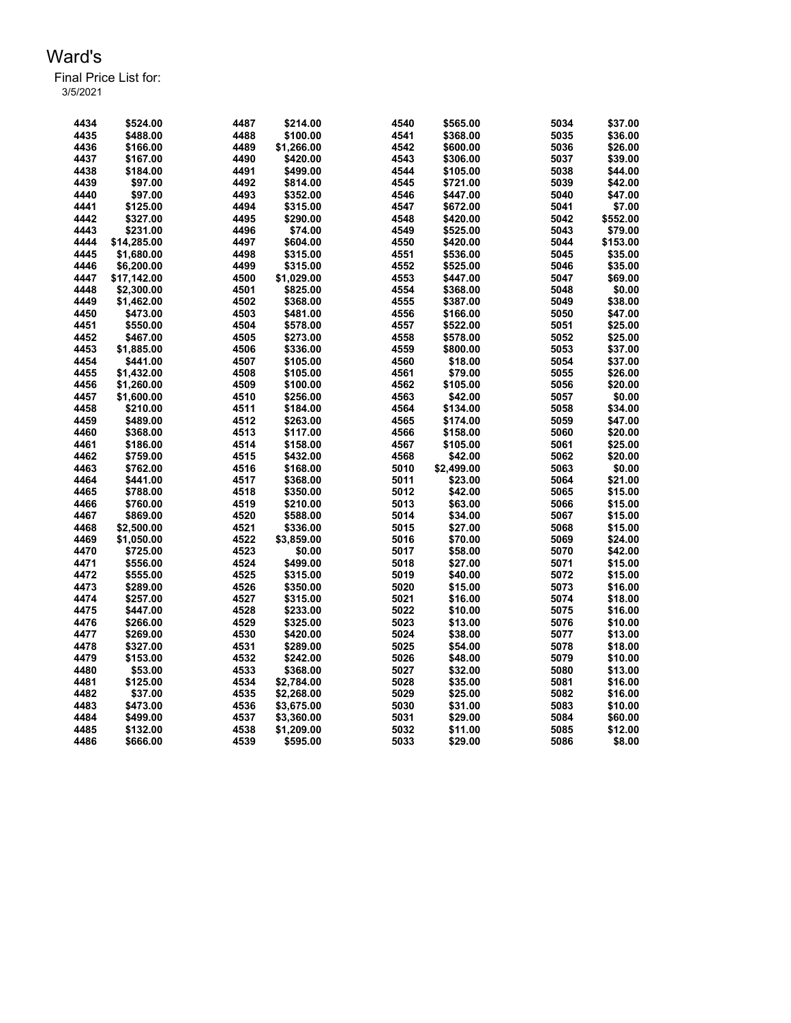| 4434 | \$524.00    | 4487 | \$214.00   | 4540 | \$565.00   | 5034 | \$37.00  |
|------|-------------|------|------------|------|------------|------|----------|
| 4435 | \$488.00    | 4488 | \$100.00   | 4541 | \$368.00   | 5035 | \$36.00  |
| 4436 | \$166.00    | 4489 | \$1,266.00 | 4542 | \$600.00   | 5036 | \$26.00  |
| 4437 | \$167.00    | 4490 | \$420.00   | 4543 | \$306.00   | 5037 | \$39.00  |
| 4438 | \$184.00    | 4491 | \$499.00   | 4544 | \$105.00   | 5038 | \$44.00  |
| 4439 | \$97.00     | 4492 | \$814.00   | 4545 | \$721.00   | 5039 | \$42.00  |
| 4440 | \$97.00     | 4493 | \$352.00   | 4546 | \$447.00   | 5040 | \$47.00  |
| 4441 | \$125.00    | 4494 | \$315.00   | 4547 | \$672.00   | 5041 | \$7.00   |
| 4442 | \$327.00    | 4495 | \$290.00   | 4548 | \$420.00   | 5042 | \$552.00 |
| 4443 | \$231.00    | 4496 | \$74.00    | 4549 | \$525.00   | 5043 | \$79.00  |
| 4444 | \$14,285.00 | 4497 | \$604.00   | 4550 | \$420.00   | 5044 | \$153.00 |
| 4445 | \$1,680.00  | 4498 | \$315.00   | 4551 | \$536.00   | 5045 | \$35.00  |
| 4446 | \$6,200.00  | 4499 | \$315.00   | 4552 | \$525.00   | 5046 | \$35.00  |
| 4447 | \$17,142.00 | 4500 | \$1,029.00 | 4553 | \$447.00   | 5047 | \$69.00  |
| 4448 | \$2,300.00  | 4501 | \$825.00   | 4554 | \$368.00   | 5048 | \$0.00   |
| 4449 | \$1.462.00  | 4502 | \$368.00   | 4555 | \$387.00   | 5049 | \$38.00  |
| 4450 | \$473.00    | 4503 | \$481.00   | 4556 | \$166.00   | 5050 | \$47.00  |
|      |             |      |            |      |            |      |          |
| 4451 | \$550.00    | 4504 | \$578.00   | 4557 | \$522.00   | 5051 | \$25.00  |
| 4452 | \$467.00    | 4505 | \$273.00   | 4558 | \$578.00   | 5052 | \$25.00  |
| 4453 | \$1,885.00  | 4506 | \$336.00   | 4559 | \$800.00   | 5053 | \$37.00  |
| 4454 | \$441.00    | 4507 | \$105.00   | 4560 | \$18.00    | 5054 | \$37.00  |
| 4455 | \$1,432.00  | 4508 | \$105.00   | 4561 | \$79.00    | 5055 | \$26.00  |
| 4456 | \$1,260.00  | 4509 | \$100.00   | 4562 | \$105.00   | 5056 | \$20.00  |
| 4457 | \$1,600.00  | 4510 | \$256.00   | 4563 | \$42.00    | 5057 | \$0.00   |
| 4458 | \$210.00    | 4511 | \$184.00   | 4564 | \$134.00   | 5058 | \$34.00  |
| 4459 | \$489.00    | 4512 | \$263.00   | 4565 | \$174.00   | 5059 | \$47.00  |
| 4460 | \$368.00    | 4513 | \$117.00   | 4566 | \$158.00   | 5060 | \$20.00  |
| 4461 | \$186.00    | 4514 | \$158.00   | 4567 | \$105.00   | 5061 | \$25.00  |
| 4462 | \$759.00    | 4515 | \$432.00   | 4568 | \$42.00    | 5062 | \$20.00  |
| 4463 | \$762.00    | 4516 | \$168.00   | 5010 | \$2,499.00 | 5063 | \$0.00   |
| 4464 | \$441.00    | 4517 | \$368.00   | 5011 | \$23.00    | 5064 | \$21.00  |
| 4465 | \$788.00    | 4518 | \$350.00   | 5012 | \$42.00    | 5065 | \$15.00  |
| 4466 | \$760.00    | 4519 | \$210.00   | 5013 | \$63.00    | 5066 | \$15.00  |
| 4467 | \$869.00    | 4520 | \$588.00   | 5014 | \$34.00    | 5067 | \$15.00  |
| 4468 | \$2,500.00  | 4521 | \$336.00   | 5015 | \$27.00    | 5068 | \$15.00  |
| 4469 | \$1,050.00  | 4522 | \$3,859.00 | 5016 | \$70.00    | 5069 | \$24.00  |
| 4470 |             | 4523 | \$0.00     | 5017 | \$58.00    | 5070 | \$42.00  |
|      | \$725.00    |      |            |      |            |      |          |
| 4471 | \$556.00    | 4524 | \$499.00   | 5018 | \$27.00    | 5071 | \$15.00  |
| 4472 | \$555.00    | 4525 | \$315.00   | 5019 | \$40.00    | 5072 | \$15.00  |
| 4473 | \$289.00    | 4526 | \$350.00   | 5020 | \$15.00    | 5073 | \$16.00  |
| 4474 | \$257.00    | 4527 | \$315.00   | 5021 | \$16.00    | 5074 | \$18.00  |
| 4475 | \$447.00    | 4528 | \$233.00   | 5022 | \$10.00    | 5075 | \$16.00  |
| 4476 | \$266.00    | 4529 | \$325.00   | 5023 | \$13.00    | 5076 | \$10.00  |
| 4477 | \$269.00    | 4530 | \$420.00   | 5024 | \$38.00    | 5077 | \$13.00  |
| 4478 | \$327.00    | 4531 | \$289.00   | 5025 | \$54.00    | 5078 | \$18.00  |
| 4479 | \$153.00    | 4532 | \$242.00   | 5026 | \$48.00    | 5079 | \$10.00  |
| 4480 | \$53.00     | 4533 | \$368.00   | 5027 | \$32.00    | 5080 | \$13.00  |
| 4481 | \$125.00    | 4534 | \$2,784.00 | 5028 | \$35.00    | 5081 | \$16.00  |
| 4482 | \$37.00     | 4535 | \$2,268.00 | 5029 | \$25.00    | 5082 | \$16.00  |
| 4483 | \$473.00    | 4536 | \$3,675.00 | 5030 | \$31.00    | 5083 | \$10.00  |
| 4484 | \$499.00    | 4537 | \$3,360.00 | 5031 | \$29.00    | 5084 | \$60.00  |
| 4485 | \$132.00    | 4538 | \$1,209.00 | 5032 | \$11.00    | 5085 | \$12.00  |
| 4486 | \$666.00    | 4539 | \$595.00   | 5033 | \$29.00    | 5086 | \$8.00   |
|      |             |      |            |      |            |      |          |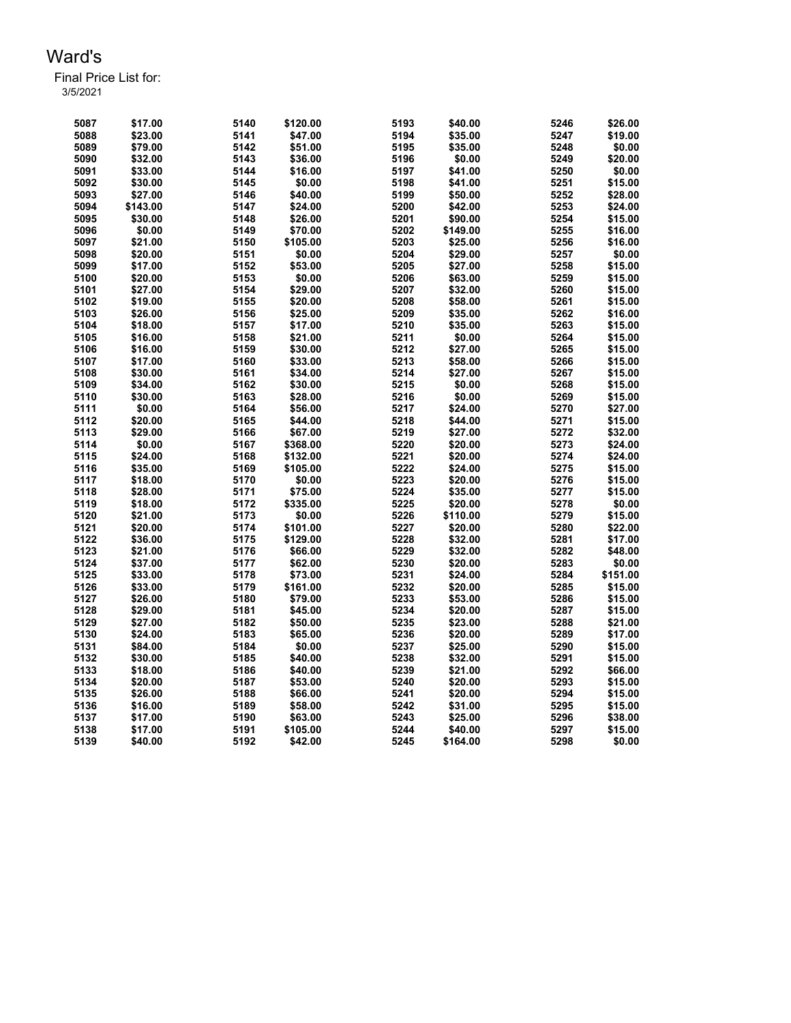| 5087 | \$17.00  | 5140 | \$120.00 | 5193 | \$40.00  | 5246 | \$26.00  |
|------|----------|------|----------|------|----------|------|----------|
| 5088 | \$23.00  | 5141 | \$47.00  | 5194 | \$35.00  | 5247 | \$19.00  |
| 5089 | \$79.00  | 5142 | \$51.00  | 5195 | \$35.00  | 5248 | \$0.00   |
| 5090 | \$32.00  | 5143 | \$36.00  | 5196 | \$0.00   | 5249 | \$20.00  |
| 5091 | \$33.00  | 5144 | \$16.00  | 5197 | \$41.00  | 5250 | \$0.00   |
| 5092 | \$30.00  | 5145 | \$0.00   | 5198 | \$41.00  | 5251 | \$15.00  |
| 5093 | \$27.00  | 5146 | \$40.00  | 5199 | \$50.00  | 5252 | \$28.00  |
| 5094 | \$143.00 | 5147 | \$24.00  | 5200 | \$42.00  | 5253 | \$24.00  |
| 5095 | \$30.00  | 5148 | \$26.00  | 5201 | \$90.00  | 5254 | \$15.00  |
| 5096 | \$0.00   | 5149 | \$70.00  | 5202 | \$149.00 | 5255 | \$16.00  |
| 5097 | \$21.00  | 5150 | \$105.00 | 5203 | \$25.00  | 5256 | \$16.00  |
| 5098 | \$20.00  | 5151 | \$0.00   | 5204 | \$29.00  | 5257 | \$0.00   |
| 5099 | \$17.00  | 5152 | \$53.00  | 5205 | \$27.00  | 5258 | \$15.00  |
| 5100 | \$20.00  | 5153 | \$0.00   | 5206 | \$63.00  | 5259 | \$15.00  |
| 5101 | \$27.00  | 5154 | \$29.00  | 5207 | \$32.00  | 5260 | \$15.00  |
| 5102 | \$19.00  | 5155 | \$20.00  | 5208 | \$58.00  | 5261 | \$15.00  |
| 5103 | \$26.00  | 5156 | \$25.00  | 5209 | \$35.00  | 5262 | \$16.00  |
| 5104 | \$18.00  | 5157 | \$17.00  | 5210 | \$35.00  | 5263 | \$15.00  |
| 5105 | \$16.00  | 5158 | \$21.00  | 5211 | \$0.00   | 5264 | \$15.00  |
| 5106 | \$16.00  | 5159 | \$30.00  | 5212 | \$27.00  | 5265 | \$15.00  |
| 5107 | \$17.00  | 5160 | \$33.00  | 5213 | \$58.00  | 5266 | \$15.00  |
| 5108 | \$30.00  | 5161 | \$34.00  | 5214 | \$27.00  | 5267 | \$15.00  |
| 5109 | \$34.00  | 5162 | \$30.00  | 5215 | \$0.00   | 5268 | \$15.00  |
| 5110 | \$30.00  | 5163 | \$28.00  | 5216 | \$0.00   | 5269 | \$15.00  |
| 5111 | \$0.00   | 5164 | \$56.00  | 5217 | \$24.00  | 5270 | \$27.00  |
| 5112 | \$20.00  | 5165 | \$44.00  | 5218 | \$44.00  | 5271 | \$15.00  |
| 5113 | \$29.00  | 5166 | \$67.00  | 5219 | \$27.00  | 5272 | \$32.00  |
| 5114 | \$0.00   | 5167 | \$368.00 | 5220 | \$20.00  | 5273 | \$24.00  |
| 5115 | \$24.00  | 5168 | \$132.00 | 5221 | \$20.00  | 5274 | \$24.00  |
| 5116 | \$35.00  | 5169 | \$105.00 | 5222 | \$24.00  | 5275 | \$15.00  |
| 5117 | \$18.00  | 5170 | \$0.00   | 5223 | \$20.00  | 5276 | \$15.00  |
| 5118 | \$28.00  | 5171 | \$75.00  | 5224 | \$35.00  | 5277 | \$15.00  |
| 5119 | \$18.00  | 5172 | \$335.00 | 5225 | \$20.00  | 5278 | \$0.00   |
| 5120 | \$21.00  | 5173 | \$0.00   | 5226 | \$110.00 | 5279 | \$15.00  |
| 5121 | \$20.00  | 5174 | \$101.00 | 5227 | \$20.00  | 5280 | \$22.00  |
| 5122 | \$36.00  | 5175 | \$129.00 | 5228 | \$32.00  | 5281 | \$17.00  |
| 5123 | \$21.00  | 5176 | \$66.00  | 5229 | \$32.00  | 5282 | \$48.00  |
| 5124 | \$37.00  | 5177 | \$62.00  | 5230 | \$20.00  | 5283 | \$0.00   |
| 5125 | \$33.00  | 5178 | \$73.00  | 5231 | \$24.00  | 5284 | \$151.00 |
| 5126 | \$33.00  | 5179 | \$161.00 | 5232 | \$20.00  | 5285 | \$15.00  |
| 5127 | \$26.00  | 5180 | \$79.00  | 5233 | \$53.00  | 5286 | \$15.00  |
| 5128 | \$29.00  | 5181 | \$45.00  | 5234 | \$20.00  | 5287 | \$15.00  |
| 5129 | \$27.00  | 5182 | \$50.00  | 5235 | \$23.00  | 5288 | \$21.00  |
| 5130 | \$24.00  | 5183 | \$65.00  | 5236 | \$20.00  | 5289 | \$17.00  |
| 5131 | \$84.00  | 5184 | \$0.00   | 5237 | \$25.00  | 5290 | \$15.00  |
| 5132 | \$30.00  | 5185 | \$40.00  | 5238 | \$32.00  | 5291 | \$15.00  |
| 5133 | \$18.00  | 5186 | \$40.00  | 5239 | \$21.00  | 5292 | \$66.00  |
| 5134 | \$20.00  | 5187 | \$53.00  | 5240 | \$20.00  | 5293 | \$15.00  |
| 5135 | \$26.00  | 5188 | \$66.00  | 5241 | \$20.00  | 5294 | \$15.00  |
| 5136 | \$16.00  | 5189 | \$58.00  | 5242 | \$31.00  | 5295 | \$15.00  |
| 5137 | \$17.00  | 5190 | \$63.00  | 5243 | \$25.00  | 5296 | \$38.00  |
| 5138 | \$17.00  | 5191 | \$105.00 | 5244 | \$40.00  | 5297 | \$15.00  |
| 5139 | \$40.00  | 5192 | \$42.00  | 5245 | \$164.00 | 5298 | \$0.00   |
|      |          |      |          |      |          |      |          |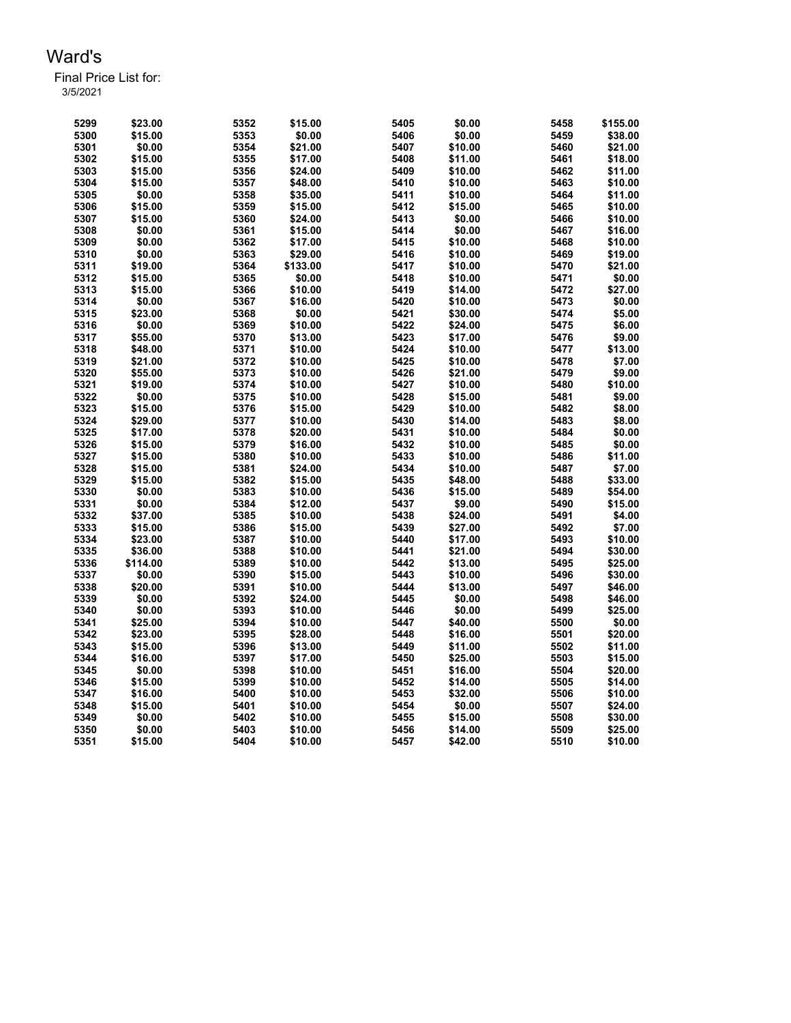| 5299 | \$23.00  | 5352 | \$15.00  | 5405 | \$0.00  | 5458 | \$155.00 |
|------|----------|------|----------|------|---------|------|----------|
| 5300 | \$15.00  | 5353 | \$0.00   | 5406 | \$0.00  | 5459 | \$38.00  |
| 5301 | \$0.00   | 5354 | \$21.00  | 5407 | \$10.00 | 5460 | \$21.00  |
| 5302 | \$15.00  | 5355 | \$17.00  | 5408 | \$11.00 | 5461 | \$18.00  |
| 5303 | \$15.00  | 5356 | \$24.00  | 5409 | \$10.00 | 5462 | \$11.00  |
| 5304 | \$15.00  | 5357 | \$48.00  | 5410 | \$10.00 | 5463 | \$10.00  |
| 5305 | \$0.00   | 5358 | \$35.00  | 5411 | \$10.00 | 5464 | \$11.00  |
| 5306 | \$15.00  | 5359 | \$15.00  | 5412 | \$15.00 | 5465 | \$10.00  |
| 5307 | \$15.00  | 5360 | \$24.00  | 5413 | \$0.00  | 5466 | \$10.00  |
| 5308 | \$0.00   | 5361 | \$15.00  | 5414 | \$0.00  | 5467 | \$16.00  |
| 5309 | \$0.00   | 5362 | \$17.00  | 5415 | \$10.00 | 5468 | \$10.00  |
| 5310 | \$0.00   | 5363 | \$29.00  | 5416 | \$10.00 | 5469 | \$19.00  |
| 5311 | \$19.00  | 5364 | \$133.00 | 5417 | \$10.00 | 5470 | \$21.00  |
| 5312 | \$15.00  | 5365 | \$0.00   | 5418 | \$10.00 | 5471 | \$0.00   |
| 5313 | \$15.00  | 5366 | \$10.00  | 5419 | \$14.00 | 5472 | \$27.00  |
| 5314 | \$0.00   | 5367 | \$16.00  | 5420 | \$10.00 | 5473 | \$0.00   |
| 5315 | \$23.00  | 5368 | \$0.00   | 5421 | \$30.00 | 5474 | \$5.00   |
| 5316 | \$0.00   | 5369 | \$10.00  | 5422 | \$24.00 | 5475 | \$6.00   |
| 5317 | \$55.00  | 5370 | \$13.00  | 5423 | \$17.00 | 5476 | \$9.00   |
| 5318 | \$48.00  | 5371 | \$10.00  | 5424 | \$10.00 | 5477 | \$13.00  |
| 5319 | \$21.00  | 5372 | \$10.00  | 5425 | \$10.00 | 5478 | \$7.00   |
| 5320 | \$55.00  | 5373 | \$10.00  | 5426 | \$21.00 | 5479 | \$9.00   |
| 5321 | \$19.00  | 5374 | \$10.00  | 5427 | \$10.00 | 5480 | \$10.00  |
| 5322 | \$0.00   | 5375 | \$10.00  | 5428 | \$15.00 | 5481 | \$9.00   |
| 5323 | \$15.00  | 5376 | \$15.00  | 5429 | \$10.00 | 5482 | \$8.00   |
| 5324 | \$29.00  | 5377 | \$10.00  | 5430 | \$14.00 | 5483 | \$8.00   |
| 5325 | \$17.00  | 5378 | \$20.00  | 5431 | \$10.00 | 5484 | \$0.00   |
| 5326 | \$15.00  | 5379 | \$16.00  | 5432 | \$10.00 | 5485 | \$0.00   |
| 5327 | \$15.00  | 5380 | \$10.00  | 5433 | \$10.00 | 5486 | \$11.00  |
| 5328 | \$15.00  | 5381 | \$24.00  | 5434 | \$10.00 | 5487 | \$7.00   |
| 5329 | \$15.00  | 5382 | \$15.00  | 5435 | \$48.00 | 5488 | \$33.00  |
| 5330 | \$0.00   | 5383 | \$10.00  | 5436 | \$15.00 | 5489 | \$54.00  |
| 5331 | \$0.00   | 5384 | \$12.00  | 5437 | \$9.00  | 5490 | \$15.00  |
| 5332 | \$37.00  | 5385 | \$10.00  | 5438 | \$24.00 | 5491 | \$4.00   |
| 5333 | \$15.00  | 5386 | \$15.00  | 5439 | \$27.00 | 5492 | \$7.00   |
| 5334 | \$23.00  | 5387 | \$10.00  | 5440 | \$17.00 | 5493 | \$10.00  |
| 5335 | \$36.00  | 5388 | \$10.00  | 5441 | \$21.00 | 5494 | \$30.00  |
| 5336 | \$114.00 | 5389 | \$10.00  | 5442 | \$13.00 | 5495 | \$25.00  |
| 5337 | \$0.00   | 5390 | \$15.00  | 5443 | \$10.00 | 5496 | \$30.00  |
| 5338 | \$20.00  | 5391 | \$10.00  | 5444 | \$13.00 | 5497 | \$46.00  |
| 5339 | \$0.00   | 5392 | \$24.00  | 5445 | \$0.00  | 5498 | \$46.00  |
| 5340 | \$0.00   | 5393 | \$10.00  | 5446 | \$0.00  | 5499 | \$25.00  |
| 5341 | \$25.00  | 5394 | \$10.00  | 5447 | \$40.00 | 5500 | \$0.00   |
| 5342 | \$23.00  | 5395 | \$28.00  | 5448 | \$16.00 | 5501 | \$20.00  |
| 5343 | \$15.00  | 5396 | \$13.00  | 5449 | \$11.00 | 5502 | \$11.00  |
| 5344 | \$16.00  | 5397 | \$17.00  | 5450 | \$25.00 | 5503 | \$15.00  |
| 5345 | \$0.00   | 5398 | \$10.00  | 5451 | \$16.00 | 5504 | \$20.00  |
| 5346 | \$15.00  | 5399 | \$10.00  | 5452 | \$14.00 | 5505 | \$14.00  |
| 5347 | \$16.00  | 5400 | \$10.00  | 5453 | \$32.00 | 5506 | \$10.00  |
| 5348 | \$15.00  | 5401 | \$10.00  | 5454 | \$0.00  | 5507 | \$24.00  |
| 5349 | \$0.00   | 5402 | \$10.00  | 5455 | \$15.00 | 5508 | \$30.00  |
| 5350 | \$0.00   | 5403 | \$10.00  | 5456 | \$14.00 | 5509 | \$25.00  |
| 5351 | \$15.00  | 5404 | \$10.00  | 5457 | \$42.00 | 5510 | \$10.00  |
|      |          |      |          |      |         |      |          |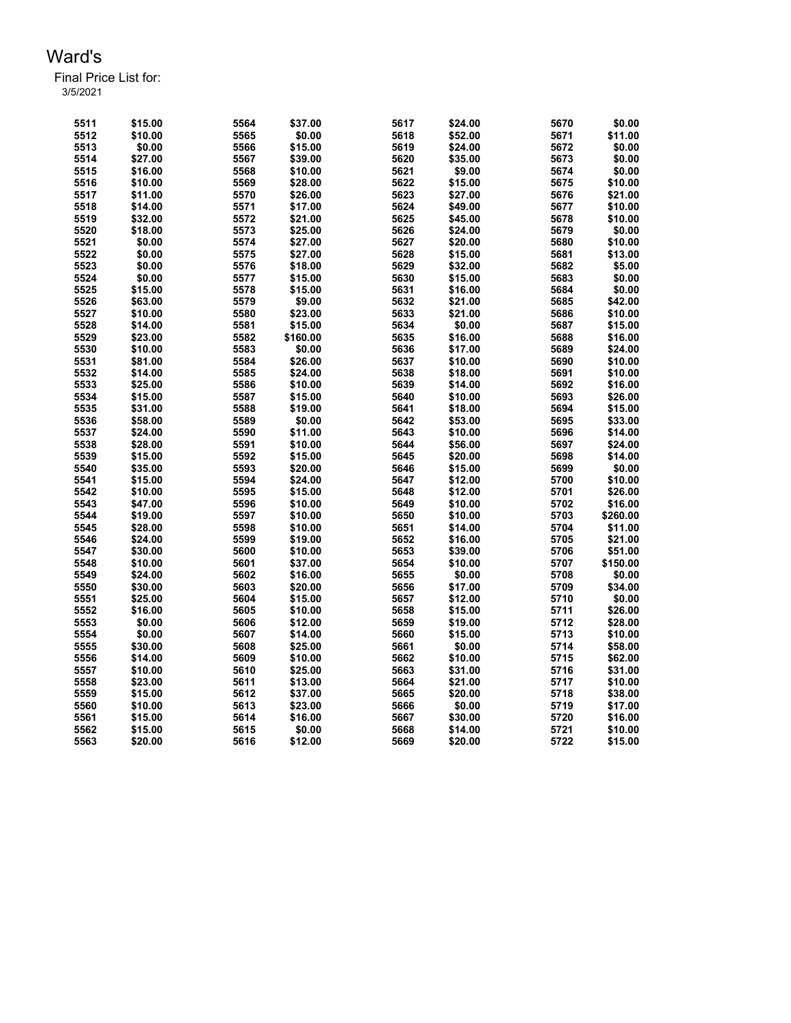| 5511 | \$15.00 | 5564 | \$37.00  | 5617 | \$24.00 | 5670 | \$0.00   |
|------|---------|------|----------|------|---------|------|----------|
| 5512 | \$10.00 | 5565 | \$0.00   | 5618 | \$52.00 | 5671 | \$11.00  |
| 5513 | \$0.00  | 5566 | \$15.00  | 5619 | \$24.00 | 5672 | \$0.00   |
| 5514 | \$27.00 | 5567 | \$39.00  | 5620 | \$35.00 | 5673 | \$0.00   |
| 5515 | \$16.00 | 5568 | \$10.00  | 5621 | \$9.00  | 5674 | \$0.00   |
| 5516 | \$10.00 | 5569 | \$28.00  | 5622 | \$15.00 | 5675 | \$10.00  |
| 5517 | \$11.00 | 5570 | \$26.00  | 5623 | \$27.00 | 5676 | \$21.00  |
| 5518 | \$14.00 | 5571 | \$17.00  | 5624 | \$49.00 | 5677 | \$10.00  |
| 5519 | \$32.00 | 5572 | \$21.00  | 5625 | \$45.00 | 5678 | \$10.00  |
| 5520 | \$18.00 | 5573 | \$25.00  | 5626 | \$24.00 | 5679 | \$0.00   |
| 5521 | \$0.00  | 5574 | \$27.00  | 5627 | \$20.00 | 5680 | \$10.00  |
| 5522 | \$0.00  | 5575 | \$27.00  | 5628 | \$15.00 | 5681 | \$13.00  |
| 5523 | \$0.00  | 5576 | \$18.00  | 5629 | \$32.00 | 5682 | \$5.00   |
| 5524 | \$0.00  | 5577 | \$15.00  | 5630 | \$15.00 | 5683 | \$0.00   |
| 5525 | \$15.00 | 5578 | \$15.00  | 5631 | \$16.00 | 5684 | \$0.00   |
| 5526 | \$63.00 | 5579 | \$9.00   | 5632 | \$21.00 | 5685 | \$42.00  |
| 5527 | \$10.00 | 5580 | \$23.00  | 5633 | \$21.00 | 5686 | \$10.00  |
| 5528 | \$14.00 | 5581 | \$15.00  | 5634 | \$0.00  | 5687 | \$15.00  |
| 5529 | \$23.00 | 5582 | \$160.00 | 5635 | \$16.00 | 5688 | \$16.00  |
| 5530 | \$10.00 | 5583 | \$0.00   | 5636 | \$17.00 | 5689 | \$24.00  |
| 5531 | \$81.00 | 5584 | \$26.00  | 5637 | \$10.00 | 5690 | \$10.00  |
| 5532 | \$14.00 | 5585 | \$24.00  | 5638 | \$18.00 | 5691 | \$10.00  |
| 5533 | \$25.00 | 5586 | \$10.00  | 5639 | \$14.00 | 5692 | \$16.00  |
| 5534 | \$15.00 | 5587 | \$15.00  | 5640 | \$10.00 | 5693 | \$26.00  |
| 5535 | \$31.00 | 5588 | \$19.00  | 5641 | \$18.00 | 5694 | \$15.00  |
| 5536 | \$58.00 | 5589 | \$0.00   | 5642 | \$53.00 | 5695 | \$33.00  |
| 5537 | \$24.00 | 5590 | \$11.00  | 5643 | \$10.00 | 5696 | \$14.00  |
| 5538 | \$28.00 | 5591 | \$10.00  | 5644 | \$56.00 | 5697 | \$24.00  |
| 5539 | \$15.00 | 5592 | \$15.00  | 5645 | \$20.00 | 5698 | \$14.00  |
| 5540 | \$35.00 | 5593 | \$20.00  | 5646 | \$15.00 | 5699 | \$0.00   |
| 5541 | \$15.00 | 5594 | \$24.00  | 5647 | \$12.00 | 5700 | \$10.00  |
| 5542 | \$10.00 | 5595 | \$15.00  | 5648 | \$12.00 | 5701 | \$26.00  |
| 5543 | \$47.00 | 5596 | \$10.00  | 5649 | \$10.00 | 5702 | \$16.00  |
| 5544 | \$19.00 | 5597 | \$10.00  | 5650 | \$10.00 | 5703 | \$260.00 |
| 5545 | \$28.00 | 5598 | \$10.00  | 5651 | \$14.00 | 5704 | \$11.00  |
| 5546 | \$24.00 | 5599 | \$19.00  | 5652 | \$16.00 | 5705 | \$21.00  |
| 5547 | \$30.00 | 5600 | \$10.00  | 5653 | \$39.00 | 5706 | \$51.00  |
| 5548 | \$10.00 | 5601 | \$37.00  | 5654 | \$10.00 | 5707 | \$150.00 |
| 5549 | \$24.00 | 5602 | \$16.00  | 5655 | \$0.00  | 5708 | \$0.00   |
| 5550 | \$30.00 | 5603 | \$20.00  | 5656 | \$17.00 | 5709 | \$34.00  |
| 5551 | \$25.00 | 5604 | \$15.00  | 5657 | \$12.00 | 5710 | \$0.00   |
| 5552 | \$16.00 | 5605 | \$10.00  | 5658 | \$15.00 | 5711 | \$26.00  |
| 5553 | \$0.00  | 5606 | \$12.00  | 5659 | \$19.00 | 5712 | \$28.00  |
| 5554 | \$0.00  | 5607 | \$14.00  | 5660 | \$15.00 | 5713 | \$10.00  |
| 5555 | \$30.00 | 5608 | \$25.00  | 5661 | \$0.00  | 5714 | \$58.00  |
| 5556 | \$14.00 | 5609 | \$10.00  | 5662 | \$10.00 | 5715 | \$62.00  |
| 5557 | \$10.00 | 5610 | \$25.00  | 5663 | \$31.00 | 5716 | \$31.00  |
| 5558 | \$23.00 | 5611 | \$13.00  | 5664 | \$21.00 | 5717 | \$10.00  |
| 5559 | \$15.00 | 5612 | \$37.00  | 5665 | \$20.00 | 5718 | \$38.00  |
| 5560 | \$10.00 | 5613 | \$23.00  | 5666 | \$0.00  | 5719 | \$17.00  |
| 5561 | \$15.00 | 5614 | \$16.00  | 5667 | \$30.00 | 5720 | \$16.00  |
| 5562 | \$15.00 | 5615 | \$0.00   | 5668 | \$14.00 | 5721 | \$10.00  |
| 5563 | \$20.00 | 5616 | \$12.00  | 5669 | \$20.00 | 5722 | \$15.00  |
|      |         |      |          |      |         |      |          |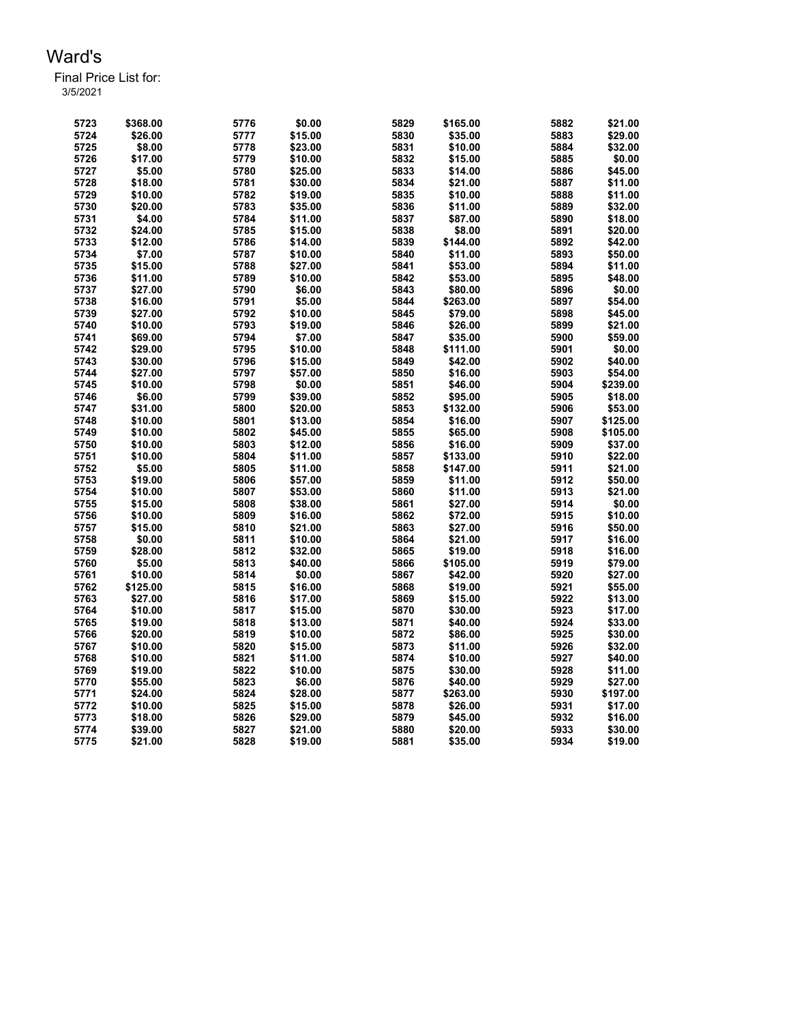| 5723 | \$368.00 | 5776 | \$0.00  | 5829 | \$165.00 | 5882 | \$21.00  |
|------|----------|------|---------|------|----------|------|----------|
| 5724 | \$26.00  | 5777 | \$15.00 | 5830 | \$35.00  | 5883 | \$29.00  |
| 5725 | \$8.00   | 5778 | \$23.00 | 5831 | \$10.00  | 5884 | \$32.00  |
| 5726 | \$17.00  | 5779 | \$10.00 | 5832 | \$15.00  | 5885 | \$0.00   |
| 5727 | \$5.00   | 5780 | \$25.00 | 5833 | \$14.00  | 5886 | \$45.00  |
| 5728 | \$18.00  | 5781 | \$30.00 | 5834 | \$21.00  | 5887 | \$11.00  |
| 5729 | \$10.00  | 5782 | \$19.00 | 5835 | \$10.00  | 5888 | \$11.00  |
| 5730 | \$20.00  | 5783 | \$35.00 | 5836 | \$11.00  | 5889 | \$32.00  |
| 5731 | \$4.00   | 5784 | \$11.00 | 5837 | \$87.00  | 5890 | \$18.00  |
| 5732 | \$24.00  | 5785 | \$15.00 | 5838 | \$8.00   | 5891 | \$20.00  |
| 5733 | \$12.00  | 5786 | \$14.00 | 5839 | \$144.00 | 5892 | \$42.00  |
| 5734 | \$7.00   | 5787 | \$10.00 | 5840 | \$11.00  | 5893 | \$50.00  |
| 5735 | \$15.00  | 5788 | \$27.00 | 5841 | \$53.00  | 5894 | \$11.00  |
| 5736 | \$11.00  | 5789 | \$10.00 | 5842 | \$53.00  | 5895 | \$48.00  |
| 5737 | \$27.00  | 5790 | \$6.00  | 5843 | \$80.00  | 5896 | \$0.00   |
| 5738 | \$16.00  | 5791 | \$5.00  | 5844 | \$263.00 | 5897 | \$54.00  |
| 5739 | \$27.00  | 5792 | \$10.00 | 5845 | \$79.00  | 5898 | \$45.00  |
| 5740 | \$10.00  | 5793 | \$19.00 | 5846 | \$26.00  | 5899 | \$21.00  |
| 5741 | \$69.00  | 5794 | \$7.00  | 5847 | \$35.00  | 5900 | \$59.00  |
| 5742 | \$29.00  | 5795 | \$10.00 | 5848 | \$111.00 | 5901 | \$0.00   |
| 5743 | \$30.00  | 5796 | \$15.00 | 5849 | \$42.00  | 5902 | \$40.00  |
| 5744 | \$27.00  | 5797 | \$57.00 | 5850 | \$16.00  | 5903 | \$54.00  |
| 5745 | \$10.00  | 5798 | \$0.00  | 5851 | \$46.00  | 5904 | \$239.00 |
| 5746 | \$6.00   | 5799 | \$39.00 | 5852 | \$95.00  | 5905 | \$18.00  |
| 5747 | \$31.00  | 5800 | \$20.00 | 5853 | \$132.00 | 5906 | \$53.00  |
| 5748 | \$10.00  | 5801 | \$13.00 | 5854 | \$16.00  | 5907 | \$125.00 |
| 5749 | \$10.00  | 5802 | \$45.00 | 5855 | \$65.00  | 5908 | \$105.00 |
| 5750 | \$10.00  | 5803 | \$12.00 | 5856 | \$16.00  | 5909 | \$37.00  |
| 5751 | \$10.00  | 5804 | \$11.00 | 5857 | \$133.00 | 5910 | \$22.00  |
| 5752 | \$5.00   | 5805 | \$11.00 | 5858 | \$147.00 | 5911 | \$21.00  |
| 5753 | \$19.00  | 5806 | \$57.00 | 5859 | \$11.00  | 5912 | \$50.00  |
| 5754 | \$10.00  | 5807 | \$53.00 | 5860 | \$11.00  | 5913 | \$21.00  |
| 5755 | \$15.00  | 5808 | \$38.00 | 5861 | \$27.00  | 5914 | \$0.00   |
| 5756 | \$10.00  | 5809 | \$16.00 | 5862 | \$72.00  | 5915 | \$10.00  |
| 5757 | \$15.00  | 5810 | \$21.00 | 5863 | \$27.00  | 5916 | \$50.00  |
| 5758 | \$0.00   | 5811 | \$10.00 | 5864 | \$21.00  | 5917 | \$16.00  |
| 5759 | \$28.00  | 5812 | \$32.00 | 5865 | \$19.00  | 5918 | \$16.00  |
| 5760 | \$5.00   | 5813 | \$40.00 | 5866 | \$105.00 | 5919 | \$79.00  |
| 5761 | \$10.00  | 5814 | \$0.00  | 5867 | \$42.00  | 5920 | \$27.00  |
| 5762 | \$125.00 | 5815 | \$16.00 | 5868 | \$19.00  | 5921 | \$55.00  |
| 5763 | \$27.00  | 5816 | \$17.00 | 5869 | \$15.00  | 5922 | \$13.00  |
| 5764 | \$10.00  | 5817 | \$15.00 | 5870 | \$30.00  | 5923 | \$17.00  |
| 5765 | \$19.00  | 5818 | \$13.00 | 5871 | \$40.00  | 5924 | \$33.00  |
| 5766 | \$20.00  | 5819 | \$10.00 | 5872 | \$86.00  | 5925 | \$30.00  |
| 5767 | \$10.00  | 5820 | \$15.00 | 5873 | \$11.00  | 5926 | \$32.00  |
| 5768 | \$10.00  | 5821 | \$11.00 | 5874 | \$10.00  | 5927 | \$40.00  |
| 5769 | \$19.00  | 5822 | \$10.00 | 5875 | \$30.00  | 5928 | \$11.00  |
| 5770 | \$55.00  | 5823 | \$6.00  | 5876 | \$40.00  | 5929 | \$27.00  |
| 5771 | \$24.00  | 5824 | \$28.00 | 5877 | \$263.00 | 5930 | \$197.00 |
| 5772 | \$10.00  | 5825 | \$15.00 | 5878 | \$26.00  | 5931 | \$17.00  |
| 5773 | \$18.00  | 5826 | \$29.00 | 5879 | \$45.00  | 5932 | \$16.00  |
| 5774 | \$39.00  | 5827 | \$21.00 | 5880 | \$20.00  | 5933 | \$30.00  |
| 5775 | \$21.00  | 5828 | \$19.00 | 5881 | \$35.00  | 5934 | \$19.00  |
|      |          |      |         |      |          |      |          |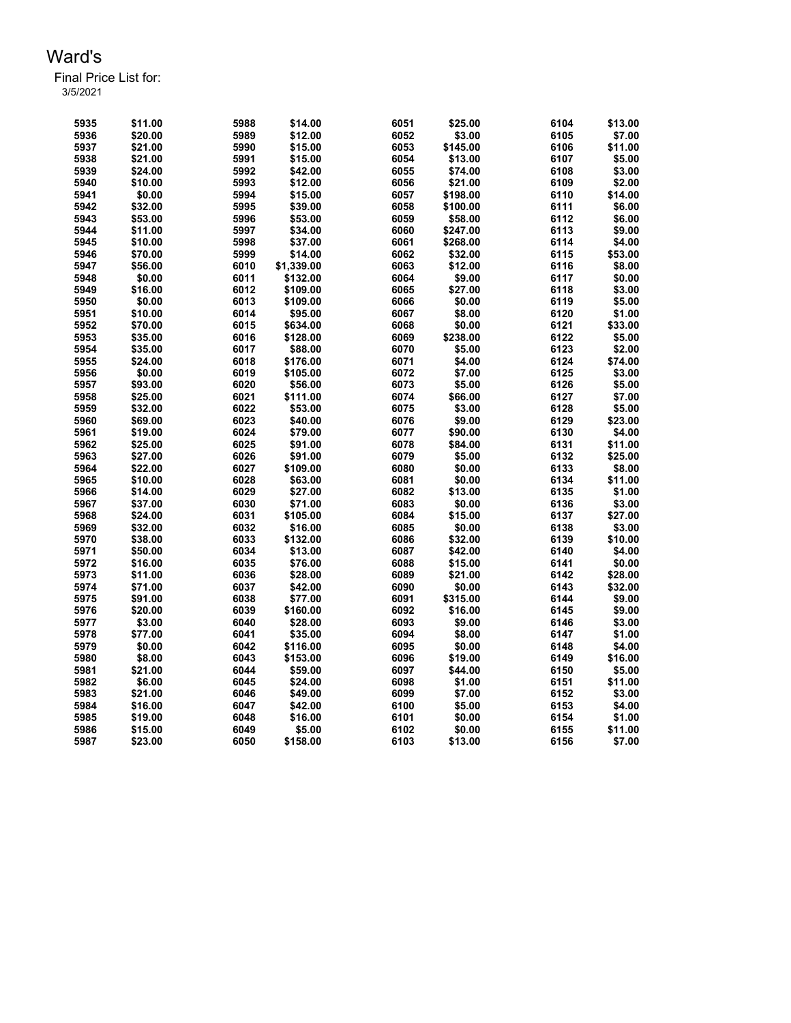Final Price List for: 3/5/2021

> \$11.00 5988 \$14.00 6051 \$25.00 6104 \$13.00 \$20.00 5989 \$12.00 6052 \$3.00 6105 \$7.00 \$21.00 5990 \$15.00 6053 \$145.00 6106 \$11.00 \$21.00 5991 \$15.00 6054 \$13.00 6107 \$5.00 \$24.00 5992 \$42.00 6055 \$74.00 6108 \$3.00 \$10.00 5993 \$12.00 6056 \$21.00 6109 \$2.00 \$0.00 5994 \$15.00 6057 \$198.00 6110 \$14.00 \$32.00 5995 \$39.00 6058 \$100.00 6111 \$6.00 \$53.00 5996 \$53.00 6059 \$58.00 6112 \$6.00 \$11.00 5997 \$34.00 6060 \$247.00 6113 \$9.00 \$10.00 5998 \$37.00 6061 \$268.00 6114 \$4.00 \$70.00 5999 \$14.00 6062 \$32.00 6115 \$53.00 \$56.00 6010 \$1,339.00 6063 \$12.00 6116 \$8.00 \$0.00 6011 \$132.00 6064 \$9.00 6117 \$0.00 \$16.00 6012 \$109.00 6065 \$27.00 6118 \$3.00 \$0.00 6013 \$109.00 6066 \$0.00 6119 \$5.00 \$10.00 6014 \$95.00 6067 \$8.00 6120 \$1.00 \$70.00 6015 \$634.00 6068 \$0.00 6121 \$33.00 \$35.00 6016 \$128.00 6069 \$238.00 6122 \$5.00 \$35.00 6017 \$88.00 6070 \$5.00 6123 \$2.00 \$24.00 6018 \$176.00 6071 \$4.00 6124 \$74.00 \$0.00 6019 \$105.00 6072 \$7.00 6125 \$3.00 \$93.00 6020 \$56.00 6073 \$5.00 6126 \$5.00 \$25.00 6021 \$111.00 6074 \$66.00 6127 \$7.00 \$32.00 6022 \$53.00 6075 \$3.00 6128 \$5.00 \$69.00 6023 \$40.00 6076 \$9.00 6129 \$23.00 \$19.00 6024 \$79.00 6077 \$90.00 6130 \$4.00 \$25.00 6025 \$91.00 6078 \$84.00 6131 \$11.00 \$27.00 6026 \$91.00 6079 \$5.00 6132 \$25.00 \$22.00 6027 \$109.00 6080 \$0.00 6133 \$8.00 \$10.00 6028 \$63.00 6081 \$0.00 6134 \$11.00 \$14.00 6029 \$27.00 6082 \$13.00 6135 \$1.00 \$37.00 6030 \$71.00 6083 \$0.00 6136 \$3.00 \$24.00 6031 \$105.00 6084 \$15.00 6137 \$27.00 \$32.00 6032 \$16.00 6085 \$0.00 6138 \$3.00 \$38.00 6033 \$132.00 6086 \$32.00 6139 \$10.00 \$50.00 6034 \$13.00 6087 \$42.00 6140 \$4.00 \$16.00 6035 \$76.00 6088 \$15.00 6141 \$0.00 \$11.00 6036 \$28.00 6089 \$21.00 6142 \$28.00 \$71.00 6037 \$42.00 6090 \$0.00 6143 \$32.00 \$91.00 6038 \$77.00 6091 \$315.00 6144 \$9.00 \$20.00 6039 \$160.00 6092 \$16.00 6145 \$9.00 \$3.00 6040 \$28.00 6093 \$9.00 6146 \$3.00 \$77.00 6041 \$35.00 6094 \$8.00 6147 \$1.00 \$0.00 6042 \$116.00 6095 \$0.00 6148 \$4.00 \$8.00 6043 \$153.00 6096 \$19.00 6149 \$16.00 \$21.00 6044 \$59.00 6097 \$44.00 6150 \$5.00 \$6.00 6045 \$24.00 6098 \$1.00 6151 \$11.00 \$21.00 6046 \$49.00 6099 \$7.00 6152 \$3.00 \$16.00 6047 \$42.00 6100 \$5.00 6153 \$4.00 \$19.00 6048 \$16.00 6101 \$0.00 6154 \$1.00 \$15.00 6049 \$5.00 6102 \$0.00 6155 \$11.00 \$23.00 6050 \$158.00 6103 \$13.00 6156 \$7.00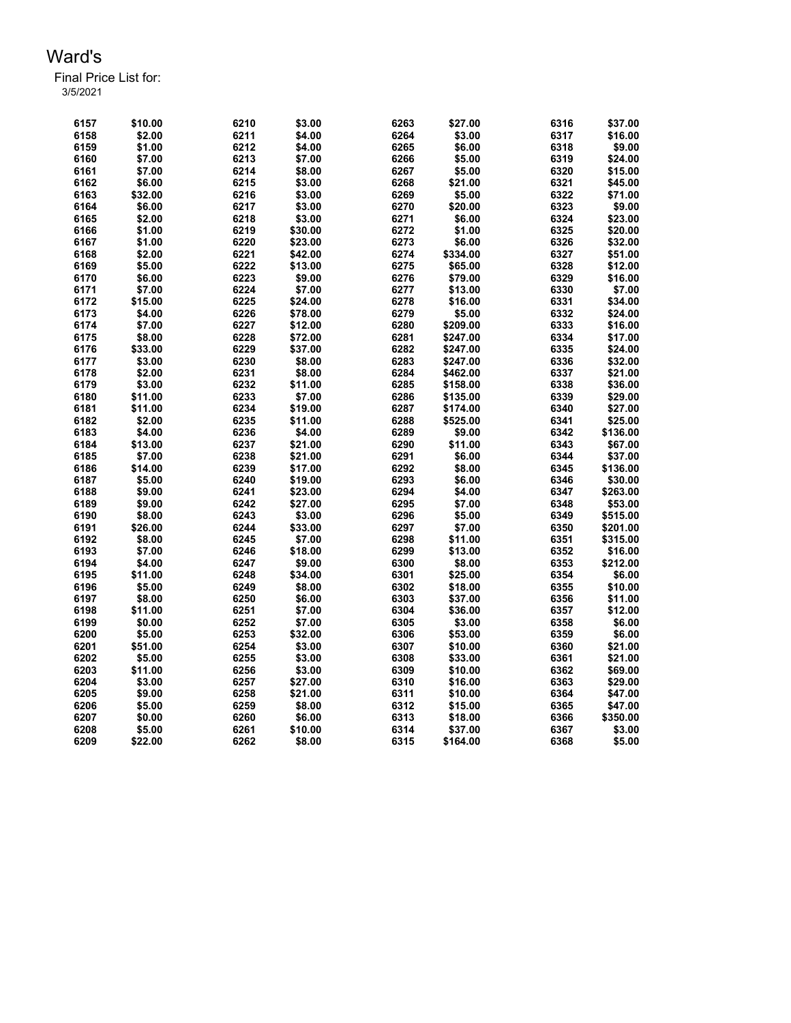| 6157 | \$10.00 | 6210 | \$3.00  | 6263 | \$27.00  | 6316 | \$37.00  |
|------|---------|------|---------|------|----------|------|----------|
| 6158 | \$2.00  | 6211 | \$4.00  | 6264 | \$3.00   | 6317 | \$16.00  |
| 6159 | \$1.00  | 6212 | \$4.00  | 6265 | \$6.00   | 6318 | \$9.00   |
| 6160 | \$7.00  | 6213 | \$7.00  | 6266 | \$5.00   | 6319 | \$24.00  |
| 6161 | \$7.00  | 6214 | \$8.00  | 6267 | \$5.00   | 6320 | \$15.00  |
| 6162 | \$6.00  | 6215 | \$3.00  | 6268 | \$21.00  | 6321 | \$45.00  |
| 6163 | \$32.00 | 6216 | \$3.00  | 6269 | \$5.00   | 6322 | \$71.00  |
| 6164 | \$6.00  | 6217 | \$3.00  | 6270 | \$20.00  | 6323 | \$9.00   |
| 6165 | \$2.00  | 6218 | \$3.00  | 6271 | \$6.00   | 6324 | \$23.00  |
| 6166 | \$1.00  | 6219 | \$30.00 | 6272 | \$1.00   | 6325 | \$20.00  |
| 6167 | \$1.00  | 6220 | \$23.00 | 6273 | \$6.00   | 6326 | \$32.00  |
| 6168 | \$2.00  | 6221 | \$42.00 | 6274 | \$334.00 | 6327 | \$51.00  |
| 6169 | \$5.00  | 6222 | \$13.00 | 6275 | \$65.00  | 6328 | \$12.00  |
| 6170 | \$6.00  | 6223 | \$9.00  | 6276 | \$79.00  | 6329 | \$16.00  |
| 6171 | \$7.00  | 6224 | \$7.00  | 6277 | \$13.00  | 6330 | \$7.00   |
| 6172 | \$15.00 | 6225 | \$24.00 | 6278 | \$16.00  | 6331 | \$34.00  |
| 6173 | \$4.00  | 6226 | \$78.00 | 6279 | \$5.00   | 6332 | \$24.00  |
| 6174 | \$7.00  | 6227 | \$12.00 | 6280 | \$209.00 | 6333 | \$16.00  |
| 6175 | \$8.00  | 6228 | \$72.00 | 6281 | \$247.00 | 6334 | \$17.00  |
| 6176 | \$33.00 | 6229 | \$37.00 | 6282 | \$247.00 | 6335 | \$24.00  |
| 6177 | \$3.00  | 6230 | \$8.00  | 6283 | \$247.00 | 6336 | \$32.00  |
| 6178 | \$2.00  | 6231 | \$8.00  | 6284 | \$462.00 | 6337 | \$21.00  |
| 6179 | \$3.00  | 6232 | \$11.00 | 6285 | \$158.00 | 6338 | \$36.00  |
| 6180 | \$11.00 | 6233 | \$7.00  | 6286 | \$135.00 | 6339 | \$29.00  |
| 6181 | \$11.00 | 6234 | \$19.00 | 6287 | \$174.00 | 6340 | \$27.00  |
| 6182 | \$2.00  | 6235 | \$11.00 | 6288 | \$525.00 | 6341 | \$25.00  |
| 6183 | \$4.00  | 6236 | \$4.00  | 6289 | \$9.00   | 6342 | \$136.00 |
| 6184 | \$13.00 | 6237 | \$21.00 | 6290 | \$11.00  | 6343 | \$67.00  |
| 6185 | \$7.00  | 6238 | \$21.00 | 6291 | \$6.00   | 6344 | \$37.00  |
| 6186 | \$14.00 | 6239 | \$17.00 | 6292 | \$8.00   | 6345 | \$136.00 |
| 6187 | \$5.00  | 6240 | \$19.00 | 6293 | \$6.00   | 6346 | \$30.00  |
| 6188 | \$9.00  | 6241 | \$23.00 | 6294 | \$4.00   | 6347 | \$263.00 |
| 6189 | \$9.00  | 6242 | \$27.00 | 6295 | \$7.00   | 6348 | \$53.00  |
| 6190 | \$8.00  | 6243 | \$3.00  | 6296 | \$5.00   | 6349 | \$515.00 |
| 6191 | \$26.00 | 6244 | \$33.00 | 6297 | \$7.00   | 6350 | \$201.00 |
| 6192 | \$8.00  | 6245 | \$7.00  | 6298 | \$11.00  | 6351 | \$315.00 |
| 6193 | \$7.00  | 6246 | \$18.00 | 6299 | \$13.00  | 6352 | \$16.00  |
| 6194 | \$4.00  | 6247 | \$9.00  | 6300 | \$8.00   | 6353 | \$212.00 |
| 6195 | \$11.00 | 6248 | \$34.00 | 6301 | \$25.00  | 6354 | \$6.00   |
| 6196 | \$5.00  | 6249 | \$8.00  | 6302 | \$18.00  | 6355 | \$10.00  |
| 6197 | \$8.00  | 6250 | \$6.00  | 6303 | \$37.00  | 6356 | \$11.00  |
| 6198 | \$11.00 | 6251 | \$7.00  | 6304 | \$36.00  | 6357 | \$12.00  |
| 6199 | \$0.00  | 6252 | \$7.00  | 6305 | \$3.00   | 6358 | \$6.00   |
| 6200 | \$5.00  | 6253 | \$32.00 | 6306 | \$53.00  | 6359 | \$6.00   |
| 6201 | \$51.00 | 6254 | \$3.00  | 6307 | \$10.00  | 6360 | \$21.00  |
| 6202 | \$5.00  | 6255 | \$3.00  | 6308 | \$33.00  | 6361 | \$21.00  |
| 6203 | \$11.00 | 6256 | \$3.00  | 6309 | \$10.00  | 6362 | \$69.00  |
| 6204 | \$3.00  | 6257 | \$27.00 | 6310 | \$16.00  | 6363 | \$29.00  |
| 6205 | \$9.00  | 6258 | \$21.00 | 6311 | \$10.00  | 6364 | \$47.00  |
| 6206 | \$5.00  | 6259 | \$8.00  | 6312 | \$15.00  | 6365 | \$47.00  |
| 6207 | \$0.00  | 6260 | \$6.00  | 6313 | \$18.00  | 6366 | \$350.00 |
| 6208 | \$5.00  | 6261 | \$10.00 | 6314 | \$37.00  | 6367 | \$3.00   |
| 6209 | \$22.00 | 6262 | \$8.00  | 6315 | \$164.00 | 6368 | \$5.00   |
|      |         |      |         |      |          |      |          |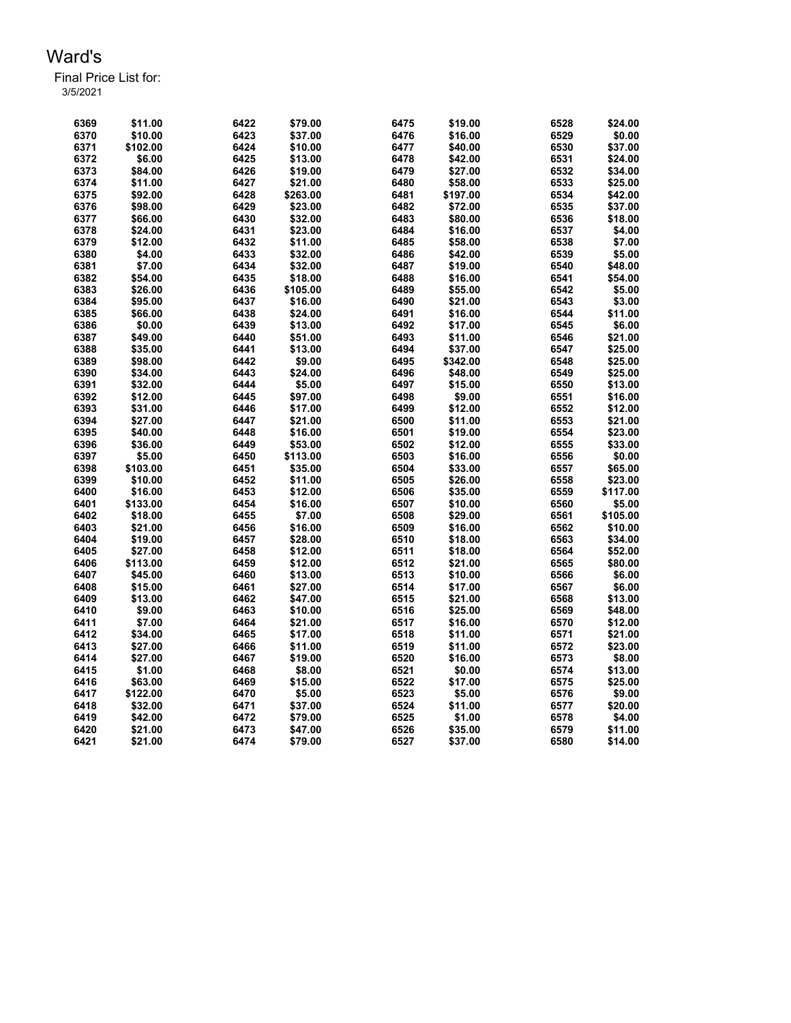| 6369 | \$11.00  | 6422 | \$79.00  | 6475 | \$19.00  | 6528 | \$24.00  |
|------|----------|------|----------|------|----------|------|----------|
| 6370 | \$10.00  | 6423 | \$37.00  | 6476 | \$16.00  | 6529 | \$0.00   |
| 6371 | \$102.00 | 6424 | \$10.00  | 6477 | \$40.00  | 6530 | \$37.00  |
| 6372 | \$6.00   | 6425 | \$13.00  | 6478 | \$42.00  | 6531 | \$24.00  |
| 6373 | \$84.00  | 6426 | \$19.00  | 6479 | \$27.00  | 6532 | \$34.00  |
| 6374 | \$11.00  | 6427 | \$21.00  | 6480 | \$58.00  | 6533 | \$25.00  |
| 6375 | \$92.00  | 6428 | \$263.00 | 6481 | \$197.00 | 6534 | \$42.00  |
| 6376 | \$98.00  | 6429 | \$23.00  | 6482 | \$72.00  | 6535 | \$37.00  |
| 6377 | \$66.00  | 6430 | \$32.00  | 6483 | \$80.00  | 6536 | \$18.00  |
| 6378 | \$24.00  | 6431 | \$23.00  | 6484 | \$16.00  | 6537 | \$4.00   |
| 6379 | \$12.00  | 6432 | \$11.00  | 6485 | \$58.00  | 6538 | \$7.00   |
| 6380 | \$4.00   | 6433 | \$32.00  | 6486 | \$42.00  | 6539 | \$5.00   |
| 6381 | \$7.00   | 6434 | \$32.00  | 6487 | \$19.00  | 6540 | \$48.00  |
| 6382 | \$54.00  | 6435 | \$18.00  | 6488 | \$16.00  | 6541 | \$54.00  |
| 6383 | \$26.00  | 6436 | \$105.00 | 6489 | \$55.00  | 6542 | \$5.00   |
| 6384 | \$95.00  | 6437 | \$16.00  | 6490 | \$21.00  | 6543 | \$3.00   |
| 6385 | \$66.00  | 6438 | \$24.00  | 6491 | \$16.00  | 6544 | \$11.00  |
| 6386 | \$0.00   | 6439 | \$13.00  | 6492 | \$17.00  | 6545 | \$6.00   |
| 6387 | \$49.00  | 6440 | \$51.00  | 6493 | \$11.00  | 6546 | \$21.00  |
| 6388 | \$35.00  | 6441 | \$13.00  | 6494 | \$37.00  | 6547 | \$25.00  |
| 6389 | \$98.00  | 6442 | \$9.00   | 6495 | \$342.00 | 6548 | \$25.00  |
| 6390 | \$34.00  | 6443 | \$24.00  | 6496 | \$48.00  | 6549 | \$25.00  |
| 6391 | \$32.00  | 6444 | \$5.00   | 6497 | \$15.00  | 6550 | \$13.00  |
| 6392 | \$12.00  | 6445 | \$97.00  | 6498 | \$9.00   | 6551 | \$16.00  |
| 6393 | \$31.00  | 6446 | \$17.00  | 6499 | \$12.00  | 6552 | \$12.00  |
| 6394 | \$27.00  | 6447 | \$21.00  | 6500 | \$11.00  | 6553 | \$21.00  |
| 6395 | \$40.00  | 6448 | \$16.00  | 6501 | \$19.00  | 6554 | \$23.00  |
| 6396 | \$36.00  | 6449 | \$53.00  | 6502 | \$12.00  | 6555 | \$33.00  |
| 6397 | \$5.00   | 6450 | \$113.00 | 6503 | \$16.00  | 6556 | \$0.00   |
| 6398 | \$103.00 | 6451 | \$35.00  | 6504 | \$33.00  | 6557 | \$65.00  |
| 6399 | \$10.00  | 6452 | \$11.00  | 6505 | \$26.00  | 6558 | \$23.00  |
| 6400 | \$16.00  | 6453 | \$12.00  | 6506 | \$35.00  | 6559 | \$117.00 |
| 6401 | \$133.00 | 6454 | \$16.00  | 6507 | \$10.00  | 6560 | \$5.00   |
| 6402 | \$18.00  | 6455 | \$7.00   | 6508 | \$29.00  | 6561 | \$105.00 |
| 6403 | \$21.00  | 6456 | \$16.00  | 6509 | \$16.00  | 6562 | \$10.00  |
| 6404 | \$19.00  | 6457 | \$28.00  | 6510 | \$18.00  | 6563 | \$34.00  |
| 6405 | \$27.00  | 6458 | \$12.00  | 6511 | \$18.00  | 6564 | \$52.00  |
| 6406 | \$113.00 | 6459 | \$12.00  | 6512 | \$21.00  | 6565 | \$80.00  |
| 6407 | \$45.00  | 6460 | \$13.00  | 6513 | \$10.00  | 6566 | \$6.00   |
| 6408 | \$15.00  | 6461 | \$27.00  | 6514 | \$17.00  | 6567 | \$6.00   |
| 6409 | \$13.00  | 6462 | \$47.00  | 6515 | \$21.00  | 6568 | \$13.00  |
| 6410 | \$9.00   | 6463 | \$10.00  | 6516 | \$25.00  | 6569 | \$48.00  |
| 6411 | \$7.00   | 6464 | \$21.00  | 6517 | \$16.00  | 6570 | \$12.00  |
| 6412 | \$34.00  | 6465 | \$17.00  | 6518 | \$11.00  | 6571 | \$21.00  |
| 6413 | \$27.00  | 6466 | \$11.00  | 6519 | \$11.00  | 6572 | \$23.00  |
| 6414 | \$27.00  | 6467 | \$19.00  | 6520 | \$16.00  | 6573 | \$8.00   |
| 6415 | \$1.00   | 6468 | \$8.00   | 6521 | \$0.00   | 6574 | \$13.00  |
| 6416 | \$63.00  | 6469 | \$15.00  | 6522 | \$17.00  | 6575 | \$25.00  |
| 6417 | \$122.00 | 6470 | \$5.00   | 6523 | \$5.00   | 6576 | \$9.00   |
| 6418 | \$32.00  | 6471 | \$37.00  | 6524 | \$11.00  | 6577 | \$20.00  |
| 6419 | \$42.00  | 6472 | \$79.00  | 6525 | \$1.00   | 6578 | \$4.00   |
| 6420 | \$21.00  | 6473 | \$47.00  | 6526 | \$35.00  | 6579 | \$11.00  |
| 6421 | \$21.00  | 6474 | \$79.00  | 6527 | \$37.00  | 6580 | \$14.00  |
|      |          |      |          |      |          |      |          |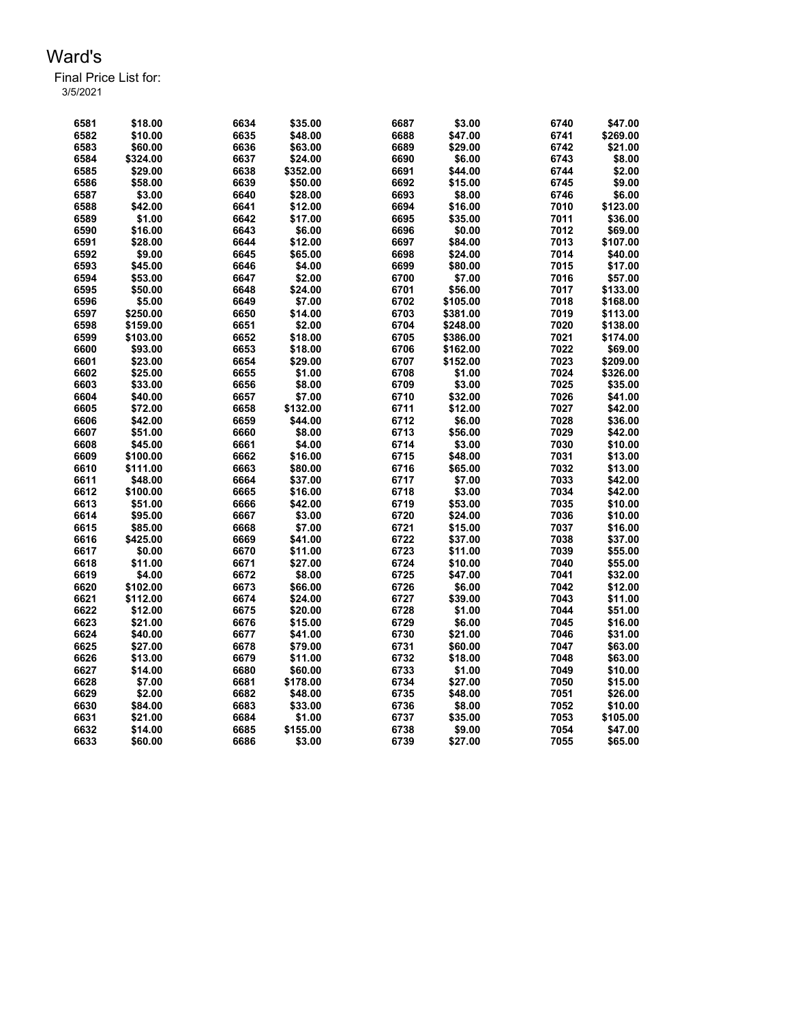| 6581 | \$18.00  | 6634 | \$35.00  | 6687 | \$3.00   | 6740 | \$47.00  |
|------|----------|------|----------|------|----------|------|----------|
| 6582 | \$10.00  | 6635 | \$48.00  | 6688 | \$47.00  | 6741 | \$269.00 |
| 6583 | \$60.00  | 6636 | \$63.00  | 6689 | \$29.00  | 6742 | \$21.00  |
| 6584 | \$324.00 | 6637 | \$24.00  | 6690 | \$6.00   | 6743 | \$8.00   |
| 6585 | \$29.00  | 6638 | \$352.00 | 6691 | \$44.00  | 6744 | \$2.00   |
| 6586 | \$58.00  | 6639 | \$50.00  | 6692 | \$15.00  | 6745 | \$9.00   |
| 6587 | \$3.00   | 6640 | \$28.00  | 6693 | \$8.00   | 6746 | \$6.00   |
| 6588 | \$42.00  | 6641 | \$12.00  | 6694 | \$16.00  | 7010 | \$123.00 |
| 6589 | \$1.00   | 6642 | \$17.00  | 6695 | \$35.00  | 7011 | \$36.00  |
| 6590 | \$16.00  | 6643 | \$6.00   | 6696 | \$0.00   | 7012 | \$69.00  |
| 6591 | \$28.00  | 6644 | \$12.00  | 6697 | \$84.00  | 7013 | \$107.00 |
| 6592 | \$9.00   | 6645 | \$65.00  | 6698 | \$24.00  | 7014 | \$40.00  |
| 6593 | \$45.00  | 6646 | \$4.00   | 6699 | \$80.00  | 7015 | \$17.00  |
| 6594 | \$53.00  | 6647 | \$2.00   | 6700 | \$7.00   | 7016 | \$57.00  |
| 6595 | \$50.00  | 6648 | \$24.00  | 6701 | \$56.00  | 7017 | \$133.00 |
| 6596 | \$5.00   | 6649 | \$7.00   | 6702 | \$105.00 | 7018 | \$168.00 |
| 6597 | \$250.00 | 6650 | \$14.00  | 6703 | \$381.00 | 7019 | \$113.00 |
| 6598 | \$159.00 | 6651 | \$2.00   | 6704 | \$248.00 | 7020 | \$138.00 |
| 6599 | \$103.00 | 6652 | \$18.00  | 6705 | \$386.00 | 7021 | \$174.00 |
| 6600 | \$93.00  | 6653 | \$18.00  | 6706 | \$162.00 | 7022 | \$69.00  |
| 6601 | \$23.00  | 6654 | \$29.00  | 6707 | \$152.00 | 7023 | \$209.00 |
| 6602 | \$25.00  | 6655 | \$1.00   | 6708 | \$1.00   | 7024 | \$326.00 |
| 6603 | \$33.00  | 6656 | \$8.00   | 6709 | \$3.00   | 7025 | \$35.00  |
| 6604 | \$40.00  | 6657 | \$7.00   | 6710 | \$32.00  | 7026 | \$41.00  |
| 6605 | \$72.00  | 6658 | \$132.00 | 6711 | \$12.00  | 7027 | \$42.00  |
| 6606 | \$42.00  | 6659 | \$44.00  | 6712 | \$6.00   | 7028 | \$36.00  |
| 6607 | \$51.00  | 6660 | \$8.00   | 6713 | \$56.00  | 7029 | \$42.00  |
| 6608 | \$45.00  | 6661 | \$4.00   | 6714 | \$3.00   | 7030 | \$10.00  |
| 6609 | \$100.00 | 6662 | \$16.00  | 6715 | \$48.00  | 7031 | \$13.00  |
| 6610 | \$111.00 | 6663 | \$80.00  | 6716 | \$65.00  | 7032 | \$13.00  |
| 6611 | \$48.00  | 6664 | \$37.00  | 6717 | \$7.00   | 7033 | \$42.00  |
| 6612 | \$100.00 | 6665 | \$16.00  | 6718 | \$3.00   | 7034 | \$42.00  |
| 6613 | \$51.00  | 6666 | \$42.00  | 6719 | \$53.00  | 7035 | \$10.00  |
| 6614 | \$95.00  | 6667 | \$3.00   | 6720 | \$24.00  | 7036 | \$10.00  |
| 6615 | \$85.00  | 6668 | \$7.00   | 6721 | \$15.00  | 7037 | \$16.00  |
| 6616 | \$425.00 | 6669 | \$41.00  | 6722 | \$37.00  | 7038 | \$37.00  |
| 6617 | \$0.00   | 6670 | \$11.00  | 6723 | \$11.00  | 7039 | \$55.00  |
| 6618 | \$11.00  | 6671 | \$27.00  | 6724 | \$10.00  | 7040 | \$55.00  |
| 6619 | \$4.00   | 6672 | \$8.00   | 6725 | \$47.00  | 7041 | \$32.00  |
| 6620 | \$102.00 | 6673 | \$66.00  | 6726 | \$6.00   | 7042 | \$12.00  |
| 6621 | \$112.00 | 6674 | \$24.00  | 6727 | \$39.00  | 7043 | \$11.00  |
| 6622 | \$12.00  | 6675 | \$20.00  | 6728 | \$1.00   | 7044 | \$51.00  |
| 6623 | \$21.00  | 6676 | \$15.00  | 6729 | \$6.00   | 7045 | \$16.00  |
| 6624 | \$40.00  | 6677 | \$41.00  | 6730 | \$21.00  | 7046 | \$31.00  |
| 6625 | \$27.00  | 6678 | \$79.00  | 6731 | \$60.00  | 7047 | \$63.00  |
| 6626 | \$13.00  | 6679 | \$11.00  | 6732 | \$18.00  | 7048 | \$63.00  |
| 6627 | \$14.00  | 6680 | \$60.00  | 6733 | \$1.00   | 7049 | \$10.00  |
| 6628 | \$7.00   | 6681 | \$178.00 | 6734 | \$27.00  | 7050 | \$15.00  |
| 6629 | \$2.00   | 6682 | \$48.00  | 6735 | \$48.00  | 7051 | \$26.00  |
| 6630 | \$84.00  | 6683 | \$33.00  | 6736 | \$8.00   | 7052 | \$10.00  |
| 6631 | \$21.00  | 6684 | \$1.00   | 6737 | \$35.00  | 7053 | \$105.00 |
| 6632 | \$14.00  | 6685 | \$155.00 | 6738 | \$9.00   | 7054 | \$47.00  |
| 6633 | \$60.00  | 6686 | \$3.00   | 6739 | \$27.00  | 7055 | \$65.00  |
|      |          |      |          |      |          |      |          |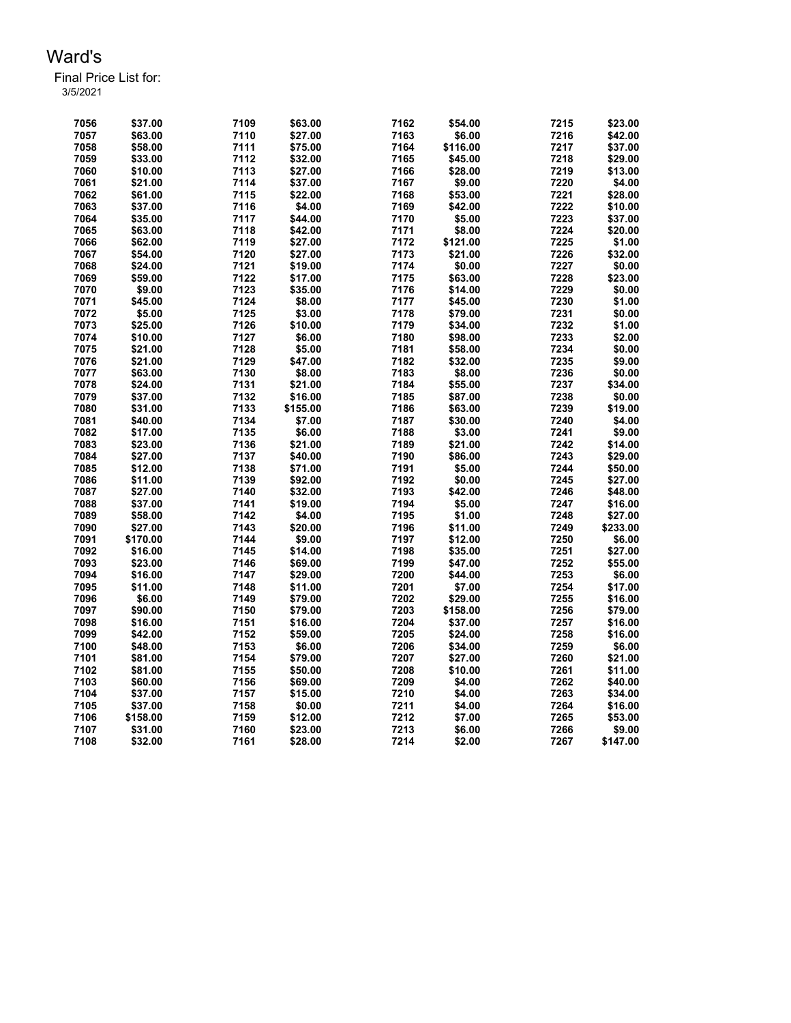| 7056         | \$37.00  | 7109 | \$63.00  | 7162 | \$54.00  | 7215 | \$23.00           |
|--------------|----------|------|----------|------|----------|------|-------------------|
| 7057         | \$63.00  | 7110 | \$27.00  | 7163 | \$6.00   | 7216 | \$42.00           |
| 7058         | \$58.00  | 7111 | \$75.00  | 7164 | \$116.00 | 7217 | \$37.00           |
| 7059         | \$33.00  | 7112 | \$32.00  | 7165 | \$45.00  | 7218 | \$29.00           |
| 7060         | \$10.00  | 7113 | \$27.00  | 7166 | \$28.00  | 7219 | \$13.00           |
| 7061         | \$21.00  | 7114 | \$37.00  | 7167 | \$9.00   | 7220 | \$4.00            |
| 7062         | \$61.00  | 7115 | \$22.00  | 7168 | \$53.00  | 7221 | \$28.00           |
| 7063         | \$37.00  | 7116 | \$4.00   | 7169 | \$42.00  | 7222 | \$10.00           |
| 7064         | \$35.00  | 7117 | \$44.00  | 7170 | \$5.00   | 7223 | \$37.00           |
| 7065         | \$63.00  | 7118 | \$42.00  | 7171 | \$8.00   | 7224 | \$20.00           |
| 7066         | \$62.00  | 7119 | \$27.00  | 7172 | \$121.00 | 7225 | \$1.00            |
| 7067         | \$54.00  | 7120 | \$27.00  | 7173 | \$21.00  | 7226 | \$32.00           |
| 7068         | \$24.00  | 7121 | \$19.00  | 7174 | \$0.00   | 7227 | \$0.00            |
| 7069         | \$59.00  | 7122 | \$17.00  | 7175 | \$63.00  | 7228 | \$23.00           |
| 7070         | \$9.00   | 7123 | \$35.00  | 7176 | \$14.00  | 7229 | \$0.00            |
| 7071         | \$45.00  | 7124 | \$8.00   | 7177 | \$45.00  | 7230 | \$1.00            |
| 7072         | \$5.00   | 7125 | \$3.00   | 7178 | \$79.00  | 7231 | \$0.00            |
| 7073         | \$25.00  | 7126 | \$10.00  | 7179 | \$34.00  | 7232 | \$1.00            |
| 7074         | \$10.00  | 7127 | \$6.00   | 7180 | \$98.00  | 7233 | \$2.00            |
| 7075         | \$21.00  | 7128 | \$5.00   | 7181 | \$58.00  | 7234 | \$0.00            |
| 7076         | \$21.00  | 7129 | \$47.00  | 7182 | \$32.00  | 7235 | \$9.00            |
| 7077         | \$63.00  | 7130 | \$8.00   | 7183 | \$8.00   | 7236 | \$0.00            |
| 7078         | \$24.00  | 7131 | \$21.00  | 7184 | \$55.00  | 7237 | \$34.00           |
| 7079         | \$37.00  | 7132 | \$16.00  | 7185 | \$87.00  | 7238 | \$0.00            |
| 7080         | \$31.00  | 7133 | \$155.00 | 7186 | \$63.00  | 7239 | \$19.00           |
| 7081         | \$40.00  | 7134 | \$7.00   | 7187 | \$30.00  | 7240 | \$4.00            |
| 7082         | \$17.00  | 7135 | \$6.00   | 7188 | \$3.00   | 7241 | \$9.00            |
| 7083         | \$23.00  | 7136 | \$21.00  | 7189 | \$21.00  | 7242 | \$14.00           |
| 7084         | \$27.00  | 7137 | \$40.00  | 7190 | \$86.00  | 7243 | \$29.00           |
| 7085         | \$12.00  | 7138 | \$71.00  | 7191 | \$5.00   | 7244 | \$50.00           |
| 7086         | \$11.00  | 7139 | \$92.00  | 7192 | \$0.00   | 7245 | \$27.00           |
| 7087         | \$27.00  | 7140 | \$32.00  | 7193 | \$42.00  | 7246 | \$48.00           |
| 7088         | \$37.00  | 7141 | \$19.00  | 7194 | \$5.00   | 7247 | \$16.00           |
| 7089         | \$58.00  | 7142 | \$4.00   | 7195 | \$1.00   | 7248 | \$27.00           |
| 7090         | \$27.00  | 7143 | \$20.00  | 7196 | \$11.00  | 7249 | \$233.00          |
| 7091         | \$170.00 | 7144 | \$9.00   | 7197 | \$12.00  | 7250 | \$6.00            |
| 7092         | \$16.00  | 7145 | \$14.00  | 7198 | \$35.00  | 7251 | \$27.00           |
| 7093         | \$23.00  | 7146 | \$69.00  | 7199 | \$47.00  | 7252 | \$55.00           |
| 7094         | \$16.00  | 7147 | \$29.00  | 7200 | \$44.00  | 7253 |                   |
| 7095         |          | 7148 |          | 7201 |          | 7254 | \$6.00<br>\$17.00 |
|              | \$11.00  | 7149 | \$11.00  |      | \$7.00   |      |                   |
| 7096<br>7097 | \$6.00   |      | \$79.00  | 7202 | \$29.00  | 7255 | \$16.00           |
|              | \$90.00  | 7150 | \$79.00  | 7203 | \$158.00 | 7256 | \$79.00           |
| 7098         | \$16.00  | 7151 | \$16.00  | 7204 | \$37.00  | 7257 | \$16.00           |
| 7099         | \$42.00  | 7152 | \$59.00  | 7205 | \$24.00  | 7258 | \$16.00           |
| 7100         | \$48.00  | 7153 | \$6.00   | 7206 | \$34.00  | 7259 | \$6.00            |
| 7101         | \$81.00  | 7154 | \$79.00  | 7207 | \$27.00  | 7260 | \$21.00           |
| 7102         | \$81.00  | 7155 | \$50.00  | 7208 | \$10.00  | 7261 | \$11.00           |
| 7103         | \$60.00  | 7156 | \$69.00  | 7209 | \$4.00   | 7262 | \$40.00           |
| 7104         | \$37.00  | 7157 | \$15.00  | 7210 | \$4.00   | 7263 | \$34.00           |
| 7105         | \$37.00  | 7158 | \$0.00   | 7211 | \$4.00   | 7264 | \$16.00           |
| 7106         | \$158.00 | 7159 | \$12.00  | 7212 | \$7.00   | 7265 | \$53.00           |
| 7107         | \$31.00  | 7160 | \$23.00  | 7213 | \$6.00   | 7266 | \$9.00            |
| 7108         | \$32.00  | 7161 | \$28.00  | 7214 | \$2.00   | 7267 | \$147.00          |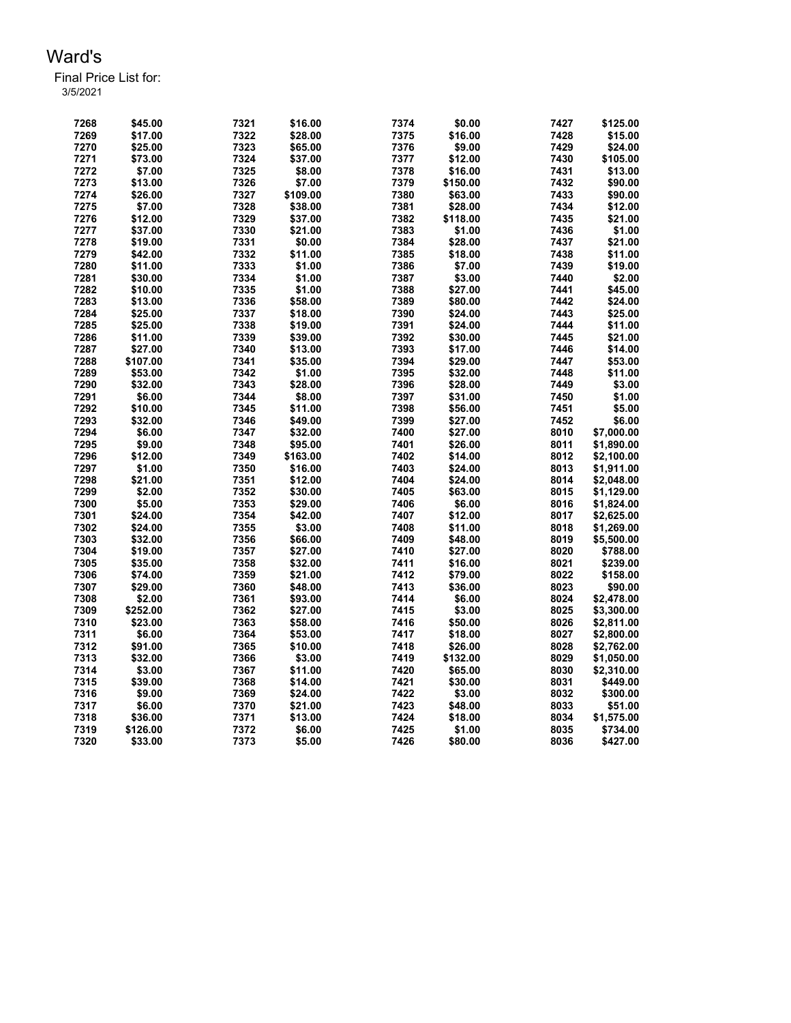| 7268 | \$45.00  | 7321 | \$16.00  | 7374 | \$0.00   | 7427 | \$125.00   |
|------|----------|------|----------|------|----------|------|------------|
| 7269 | \$17.00  | 7322 | \$28.00  | 7375 | \$16.00  | 7428 | \$15.00    |
| 7270 | \$25.00  | 7323 | \$65.00  | 7376 | \$9.00   | 7429 | \$24.00    |
| 7271 | \$73.00  | 7324 | \$37.00  | 7377 | \$12.00  | 7430 | \$105.00   |
| 7272 | \$7.00   | 7325 | \$8.00   | 7378 | \$16.00  | 7431 | \$13.00    |
| 7273 | \$13.00  | 7326 | \$7.00   | 7379 | \$150.00 | 7432 | \$90.00    |
| 7274 | \$26.00  | 7327 | \$109.00 | 7380 | \$63.00  | 7433 | \$90.00    |
| 7275 | \$7.00   | 7328 | \$38.00  | 7381 | \$28.00  | 7434 | \$12.00    |
| 7276 | \$12.00  | 7329 | \$37.00  | 7382 | \$118.00 | 7435 | \$21.00    |
| 7277 |          |      |          | 7383 |          | 7436 |            |
|      | \$37.00  | 7330 | \$21.00  |      | \$1.00   |      | \$1.00     |
| 7278 | \$19.00  | 7331 | \$0.00   | 7384 | \$28.00  | 7437 | \$21.00    |
| 7279 | \$42.00  | 7332 | \$11.00  | 7385 | \$18.00  | 7438 | \$11.00    |
| 7280 | \$11.00  | 7333 | \$1.00   | 7386 | \$7.00   | 7439 | \$19.00    |
| 7281 | \$30.00  | 7334 | \$1.00   | 7387 | \$3.00   | 7440 | \$2.00     |
| 7282 | \$10.00  | 7335 | \$1.00   | 7388 | \$27.00  | 7441 | \$45.00    |
| 7283 | \$13.00  | 7336 | \$58.00  | 7389 | \$80.00  | 7442 | \$24.00    |
| 7284 | \$25.00  | 7337 | \$18.00  | 7390 | \$24.00  | 7443 | \$25.00    |
| 7285 | \$25.00  | 7338 | \$19.00  | 7391 | \$24.00  | 7444 | \$11.00    |
| 7286 | \$11.00  | 7339 | \$39.00  | 7392 | \$30.00  | 7445 | \$21.00    |
| 7287 | \$27.00  | 7340 | \$13.00  | 7393 | \$17.00  | 7446 | \$14.00    |
| 7288 | \$107.00 | 7341 |          | 7394 |          | 7447 |            |
|      |          |      | \$35.00  |      | \$29.00  |      | \$53.00    |
| 7289 | \$53.00  | 7342 | \$1.00   | 7395 | \$32.00  | 7448 | \$11.00    |
| 7290 | \$32.00  | 7343 | \$28.00  | 7396 | \$28.00  | 7449 | \$3.00     |
| 7291 | \$6.00   | 7344 | \$8.00   | 7397 | \$31.00  | 7450 | \$1.00     |
| 7292 | \$10.00  | 7345 | \$11.00  | 7398 | \$56.00  | 7451 | \$5.00     |
| 7293 | \$32.00  | 7346 | \$49.00  | 7399 | \$27.00  | 7452 | \$6.00     |
| 7294 | \$6.00   | 7347 | \$32.00  | 7400 | \$27.00  | 8010 | \$7,000.00 |
| 7295 | \$9.00   | 7348 | \$95.00  | 7401 | \$26.00  | 8011 | \$1,890.00 |
| 7296 | \$12.00  | 7349 | \$163.00 | 7402 | \$14.00  | 8012 | \$2,100.00 |
| 7297 | \$1.00   | 7350 | \$16.00  | 7403 | \$24.00  | 8013 | \$1,911.00 |
| 7298 | \$21.00  | 7351 | \$12.00  | 7404 | \$24.00  | 8014 | \$2,048.00 |
| 7299 | \$2.00   | 7352 | \$30.00  | 7405 | \$63.00  | 8015 | \$1,129.00 |
|      |          |      |          |      |          |      |            |
| 7300 | \$5.00   | 7353 | \$29.00  | 7406 | \$6.00   | 8016 | \$1,824.00 |
| 7301 | \$24.00  | 7354 | \$42.00  | 7407 | \$12.00  | 8017 | \$2,625.00 |
| 7302 | \$24.00  | 7355 | \$3.00   | 7408 | \$11.00  | 8018 | \$1,269.00 |
| 7303 | \$32.00  | 7356 | \$66.00  | 7409 | \$48.00  | 8019 | \$5,500.00 |
| 7304 | \$19.00  | 7357 | \$27.00  | 7410 | \$27.00  | 8020 | \$788.00   |
| 7305 | \$35.00  | 7358 | \$32.00  | 7411 | \$16.00  | 8021 | \$239.00   |
| 7306 | \$74.00  | 7359 | \$21.00  | 7412 | \$79.00  | 8022 | \$158.00   |
| 7307 | \$29.00  | 7360 | \$48.00  | 7413 | \$36.00  | 8023 | \$90.00    |
| 7308 | \$2.00   | 7361 | \$93.00  | 7414 | \$6.00   | 8024 | \$2,478.00 |
| 7309 | \$252.00 | 7362 | \$27.00  | 7415 | \$3.00   | 8025 | \$3,300.00 |
| 7310 | \$23.00  | 7363 | \$58.00  | 7416 | \$50.00  | 8026 | \$2,811.00 |
| 7311 | \$6.00   | 7364 | \$53.00  | 7417 | \$18.00  | 8027 | \$2,800.00 |
| 7312 | \$91.00  | 7365 | \$10.00  | 7418 | \$26.00  | 8028 | \$2,762.00 |
|      |          |      |          |      |          |      |            |
| 7313 | \$32.00  | 7366 | \$3.00   | 7419 | \$132.00 | 8029 | \$1,050.00 |
| 7314 | \$3.00   | 7367 | \$11.00  | 7420 | \$65.00  | 8030 | \$2,310.00 |
| 7315 | \$39.00  | 7368 | \$14.00  | 7421 | \$30.00  | 8031 | \$449.00   |
| 7316 | \$9.00   | 7369 | \$24.00  | 7422 | \$3.00   | 8032 | \$300.00   |
| 7317 | \$6.00   | 7370 | \$21.00  | 7423 | \$48.00  | 8033 | \$51.00    |
| 7318 | \$36.00  | 7371 | \$13.00  | 7424 | \$18.00  | 8034 | \$1,575.00 |
| 7319 | \$126.00 | 7372 | \$6.00   | 7425 | \$1.00   | 8035 | \$734.00   |
| 7320 | \$33.00  | 7373 | \$5.00   | 7426 | \$80.00  | 8036 | \$427.00   |
|      |          |      |          |      |          |      |            |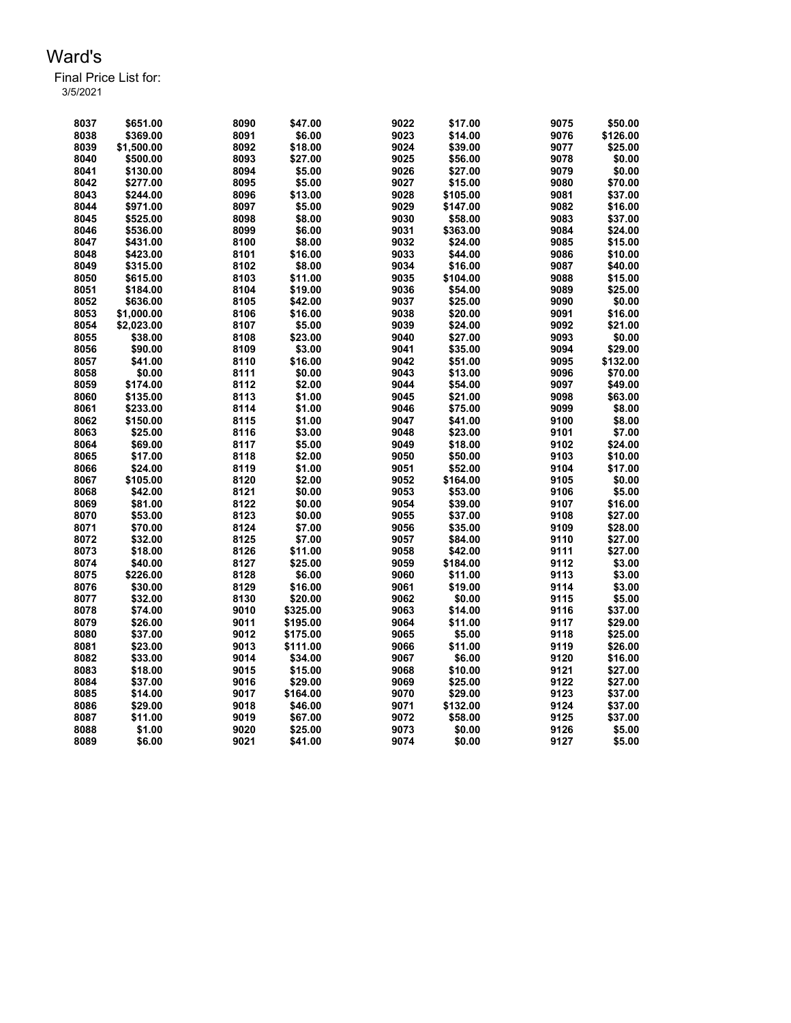Final Price List for: 3/5/2021

> \$651.00 8090 \$47.00 9022 \$17.00 9075 \$50.00 \$369.00 8091 \$6.00 9023 \$14.00 9076 \$126.00 \$1,500.00 8092 \$18.00 9024 \$39.00 9077 \$25.00 \$500.00 8093 \$27.00 9025 \$56.00 9078 \$0.00 \$130.00 8094 \$5.00 9026 \$27.00 9079 \$0.00 \$277.00 8095 \$5.00 9027 \$15.00 9080 \$70.00 \$244.00 8096 \$13.00 9028 \$105.00 9081 \$37.00 \$971.00 8097 \$5.00 9029 \$147.00 9082 \$16.00 \$525.00 8098 \$8.00 9030 \$58.00 9083 \$37.00 \$536.00 8099 \$6.00 9031 \$363.00 9084 \$24.00 \$431.00 8100 \$8.00 9032 \$24.00 9085 \$15.00 \$423.00 8101 \$16.00 9033 \$44.00 9086 \$10.00 \$315.00 8102 \$8.00 9034 \$16.00 9087 \$40.00 \$615.00 8103 \$11.00 9035 \$104.00 9088 \$15.00 \$184.00 8104 \$19.00 9036 \$54.00 9089 \$25.00 \$636.00 8105 \$42.00 9037 \$25.00 9090 \$0.00 \$1,000.00 8106 \$16.00 9038 \$20.00 9091 \$16.00 \$2,023.00 8107 \$5.00 9039 \$24.00 9092 \$21.00 \$38.00 8108 \$23.00 9040 \$27.00 9093 \$0.00 \$90.00 8109 \$3.00 9041 \$35.00 9094 \$29.00 \$41.00 8110 \$16.00 9042 \$51.00 9095 \$132.00 \$0.00 8111 \$0.00 9043 \$13.00 9096 \$70.00 \$174.00 8112 \$2.00 9044 \$54.00 9097 \$49.00 \$135.00 8113 \$1.00 9045 \$21.00 9098 \$63.00 \$233.00 8114 \$1.00 9046 \$75.00 9099 \$8.00 \$150.00 8115 \$1.00 9047 \$41.00 9100 \$8.00 \$25.00 8116 \$3.00 9048 \$23.00 9101 \$7.00 \$69.00 8117 \$5.00 9049 \$18.00 9102 \$24.00 \$17.00 8118 \$2.00 9050 \$50.00 9103 \$10.00 \$24.00 8119 \$1.00 9051 \$52.00 9104 \$17.00 \$105.00 8120 \$2.00 9052 \$164.00 9105 \$0.00 \$42.00 8121 \$0.00 9053 \$53.00 9106 \$5.00 \$81.00 8122 \$0.00 9054 \$39.00 9107 \$16.00 \$53.00 8123 \$0.00 9055 \$37.00 9108 \$27.00 \$70.00 8124 \$7.00 9056 \$35.00 9109 \$28.00 \$32.00 8125 \$7.00 9057 \$84.00 9110 \$27.00 \$18.00 8126 \$11.00 9058 \$42.00 9111 \$27.00 \$40.00 8127 \$25.00 9059 \$184.00 9112 \$3.00 \$226.00 8128 \$6.00 9060 \$11.00 9113 \$3.00 \$30.00 8129 \$16.00 9061 \$19.00 9114 \$3.00 \$32.00 8130 \$20.00 9062 \$0.00 9115 \$5.00 \$74.00 9010 \$325.00 9063 \$14.00 9116 \$37.00 \$26.00 9011 \$195.00 9064 \$11.00 9117 \$29.00 \$37.00 9012 \$175.00 9065 \$5.00 9118 \$25.00 \$23.00 9013 \$111.00 9066 \$11.00 9119 \$26.00 \$33.00 9014 \$34.00 9067 \$6.00 9120 \$16.00 \$18.00 9015 \$15.00 9068 \$10.00 9121 \$27.00 \$37.00 9016 \$29.00 9069 \$25.00 9122 \$27.00 \$14.00 9017 \$164.00 9070 \$29.00 9123 \$37.00 \$29.00 9018 \$46.00 9071 \$132.00 9124 \$37.00 \$11.00 9019 \$67.00 9072 \$58.00 9125 \$37.00 \$1.00 9020 \$25.00 9073 \$0.00 9126 \$5.00 \$6.00 9021 \$41.00 9074 \$0.00 9127 \$5.00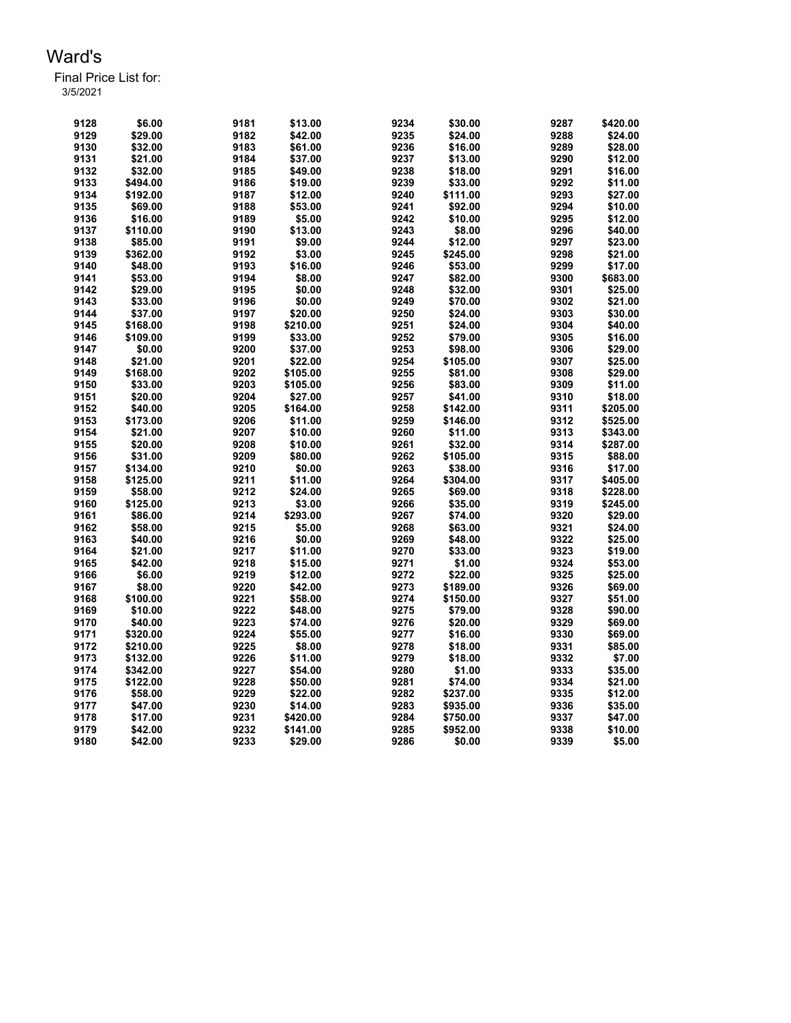| 9128 | \$6.00   | 9181 | \$13.00  | 9234 | \$30.00  | 9287 | \$420.00 |
|------|----------|------|----------|------|----------|------|----------|
| 9129 | \$29.00  | 9182 | \$42.00  | 9235 | \$24.00  | 9288 | \$24.00  |
| 9130 | \$32.00  | 9183 | \$61.00  | 9236 | \$16.00  | 9289 | \$28.00  |
| 9131 | \$21.00  | 9184 | \$37.00  | 9237 | \$13.00  | 9290 | \$12.00  |
| 9132 | \$32.00  | 9185 | \$49.00  | 9238 | \$18.00  | 9291 | \$16.00  |
| 9133 | \$494.00 | 9186 | \$19.00  | 9239 | \$33.00  | 9292 | \$11.00  |
| 9134 | \$192.00 | 9187 | \$12.00  | 9240 | \$111.00 | 9293 | \$27.00  |
| 9135 | \$69.00  | 9188 | \$53.00  | 9241 | \$92.00  | 9294 | \$10.00  |
| 9136 | \$16.00  | 9189 | \$5.00   | 9242 | \$10.00  | 9295 | \$12.00  |
| 9137 | \$110.00 | 9190 | \$13.00  | 9243 | \$8.00   | 9296 | \$40.00  |
| 9138 | \$85.00  | 9191 | \$9.00   | 9244 | \$12.00  | 9297 | \$23.00  |
| 9139 | \$362.00 | 9192 | \$3.00   | 9245 | \$245.00 | 9298 | \$21.00  |
| 9140 | \$48.00  | 9193 | \$16.00  | 9246 | \$53.00  | 9299 | \$17.00  |
| 9141 | \$53.00  | 9194 | \$8.00   | 9247 | \$82.00  | 9300 | \$683.00 |
| 9142 | \$29.00  | 9195 | \$0.00   | 9248 | \$32.00  | 9301 | \$25.00  |
| 9143 | \$33.00  | 9196 | \$0.00   | 9249 | \$70.00  | 9302 | \$21.00  |
| 9144 | \$37.00  | 9197 | \$20.00  | 9250 | \$24.00  | 9303 | \$30.00  |
| 9145 | \$168.00 | 9198 | \$210.00 | 9251 | \$24.00  | 9304 | \$40.00  |
| 9146 | \$109.00 | 9199 | \$33.00  | 9252 | \$79.00  | 9305 | \$16.00  |
| 9147 | \$0.00   | 9200 | \$37.00  | 9253 | \$98.00  | 9306 | \$29.00  |
| 9148 | \$21.00  | 9201 | \$22.00  | 9254 | \$105.00 | 9307 | \$25.00  |
| 9149 | \$168.00 | 9202 | \$105.00 | 9255 | \$81.00  | 9308 | \$29.00  |
| 9150 | \$33.00  | 9203 | \$105.00 | 9256 | \$83.00  | 9309 | \$11.00  |
| 9151 | \$20.00  | 9204 | \$27.00  | 9257 | \$41.00  | 9310 | \$18.00  |
| 9152 | \$40.00  | 9205 | \$164.00 | 9258 | \$142.00 | 9311 | \$205.00 |
| 9153 | \$173.00 | 9206 | \$11.00  | 9259 | \$146.00 | 9312 | \$525.00 |
| 9154 | \$21.00  | 9207 | \$10.00  | 9260 | \$11.00  | 9313 | \$343.00 |
| 9155 | \$20.00  | 9208 | \$10.00  | 9261 | \$32.00  | 9314 | \$287.00 |
| 9156 | \$31.00  | 9209 | \$80.00  | 9262 | \$105.00 | 9315 | \$88.00  |
| 9157 | \$134.00 | 9210 | \$0.00   | 9263 | \$38.00  | 9316 | \$17.00  |
| 9158 | \$125.00 | 9211 | \$11.00  | 9264 | \$304.00 | 9317 | \$405.00 |
| 9159 | \$58.00  | 9212 | \$24.00  | 9265 | \$69.00  | 9318 | \$228.00 |
| 9160 | \$125.00 | 9213 | \$3.00   | 9266 | \$35.00  | 9319 | \$245.00 |
| 9161 | \$86.00  | 9214 | \$293.00 | 9267 | \$74.00  | 9320 | \$29.00  |
| 9162 | \$58.00  | 9215 | \$5.00   | 9268 | \$63.00  | 9321 | \$24.00  |
| 9163 | \$40.00  | 9216 | \$0.00   | 9269 | \$48.00  | 9322 | \$25.00  |
| 9164 | \$21.00  | 9217 | \$11.00  | 9270 | \$33.00  | 9323 | \$19.00  |
| 9165 | \$42.00  | 9218 | \$15.00  | 9271 | \$1.00   | 9324 | \$53.00  |
| 9166 | \$6.00   | 9219 | \$12.00  | 9272 | \$22.00  | 9325 | \$25.00  |
| 9167 | \$8.00   | 9220 | \$42.00  | 9273 | \$189.00 | 9326 | \$69.00  |
| 9168 | \$100.00 | 9221 | \$58.00  | 9274 | \$150.00 | 9327 | \$51.00  |
| 9169 | \$10.00  | 9222 | \$48.00  | 9275 | \$79.00  | 9328 | \$90.00  |
| 9170 | \$40.00  | 9223 | \$74.00  | 9276 | \$20.00  | 9329 | \$69.00  |
| 9171 | \$320.00 | 9224 | \$55.00  | 9277 | \$16.00  | 9330 | \$69.00  |
| 9172 | \$210.00 | 9225 | \$8.00   | 9278 | \$18.00  | 9331 | \$85.00  |
| 9173 | \$132.00 | 9226 | \$11.00  | 9279 | \$18.00  | 9332 | \$7.00   |
| 9174 | \$342.00 | 9227 | \$54.00  | 9280 | \$1.00   | 9333 | \$35.00  |
| 9175 | \$122.00 | 9228 | \$50.00  | 9281 | \$74.00  | 9334 | \$21.00  |
| 9176 | \$58.00  | 9229 | \$22.00  | 9282 | \$237.00 | 9335 | \$12.00  |
| 9177 | \$47.00  | 9230 | \$14.00  | 9283 | \$935.00 | 9336 | \$35.00  |
| 9178 | \$17.00  | 9231 | \$420.00 | 9284 | \$750.00 | 9337 | \$47.00  |
| 9179 | \$42.00  | 9232 | \$141.00 | 9285 | \$952.00 | 9338 | \$10.00  |
| 9180 | \$42.00  | 9233 | \$29.00  | 9286 | \$0.00   | 9339 | \$5.00   |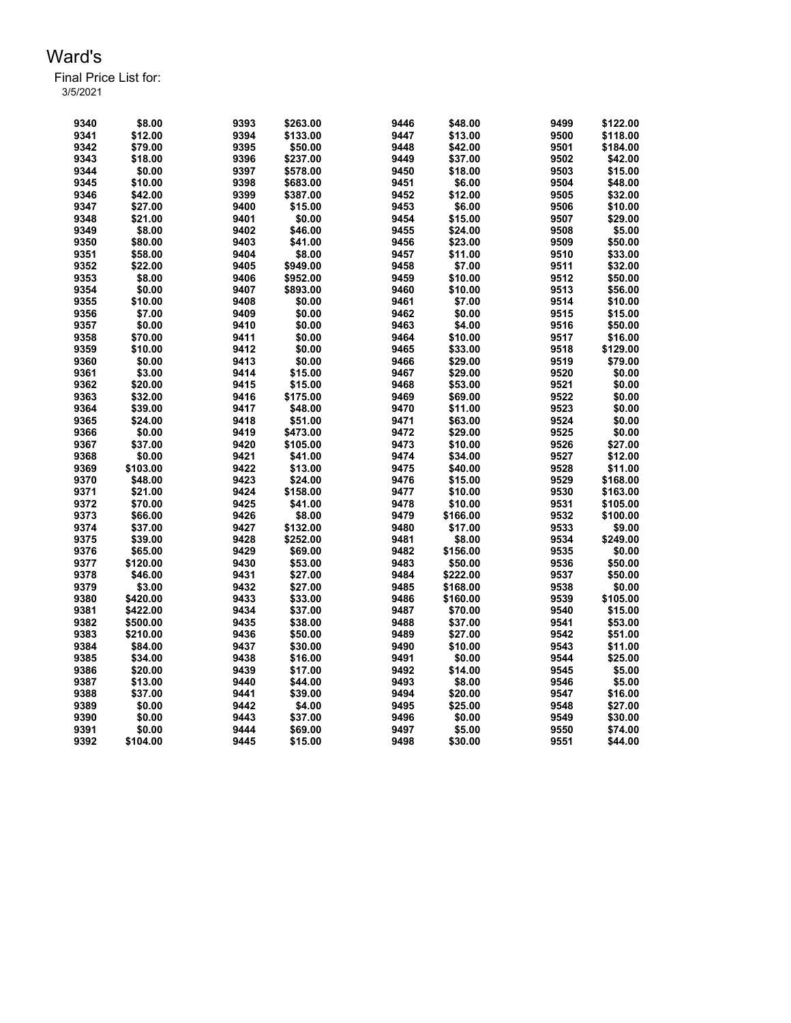| 9340 | \$8.00   | 9393 | \$263.00 | 9446 | \$48.00  | 9499 | \$122.00 |
|------|----------|------|----------|------|----------|------|----------|
| 9341 | \$12.00  | 9394 | \$133.00 | 9447 | \$13.00  | 9500 | \$118.00 |
| 9342 | \$79.00  | 9395 | \$50.00  | 9448 | \$42.00  | 9501 | \$184.00 |
| 9343 | \$18.00  | 9396 | \$237.00 | 9449 | \$37.00  | 9502 | \$42.00  |
| 9344 | \$0.00   | 9397 | \$578.00 | 9450 | \$18.00  | 9503 | \$15.00  |
| 9345 | \$10.00  | 9398 | \$683.00 | 9451 | \$6.00   | 9504 | \$48.00  |
| 9346 | \$42.00  | 9399 | \$387.00 | 9452 | \$12.00  | 9505 | \$32.00  |
| 9347 | \$27.00  | 9400 | \$15.00  | 9453 | \$6.00   | 9506 | \$10.00  |
| 9348 | \$21.00  | 9401 | \$0.00   | 9454 | \$15.00  | 9507 | \$29.00  |
| 9349 | \$8.00   | 9402 | \$46.00  | 9455 | \$24.00  | 9508 | \$5.00   |
| 9350 | \$80.00  | 9403 | \$41.00  | 9456 | \$23.00  | 9509 | \$50.00  |
| 9351 | \$58.00  | 9404 | \$8.00   | 9457 | \$11.00  | 9510 | \$33.00  |
| 9352 | \$22.00  | 9405 | \$949.00 | 9458 | \$7.00   | 9511 | \$32.00  |
| 9353 | \$8.00   | 9406 | \$952.00 | 9459 | \$10.00  | 9512 | \$50.00  |
| 9354 | \$0.00   | 9407 | \$893.00 | 9460 | \$10.00  | 9513 | \$56.00  |
| 9355 | \$10.00  | 9408 | \$0.00   | 9461 | \$7.00   | 9514 | \$10.00  |
| 9356 | \$7.00   | 9409 | \$0.00   | 9462 | \$0.00   | 9515 | \$15.00  |
| 9357 | \$0.00   | 9410 | \$0.00   | 9463 | \$4.00   | 9516 | \$50.00  |
| 9358 | \$70.00  | 9411 | \$0.00   | 9464 | \$10.00  | 9517 | \$16.00  |
| 9359 | \$10.00  | 9412 | \$0.00   | 9465 | \$33.00  | 9518 | \$129.00 |
| 9360 | \$0.00   | 9413 | \$0.00   | 9466 | \$29.00  | 9519 | \$79.00  |
| 9361 | \$3.00   | 9414 | \$15.00  | 9467 | \$29.00  | 9520 | \$0.00   |
| 9362 | \$20.00  | 9415 | \$15.00  | 9468 | \$53.00  | 9521 | \$0.00   |
| 9363 | \$32.00  | 9416 | \$175.00 | 9469 | \$69.00  | 9522 | \$0.00   |
| 9364 | \$39.00  | 9417 | \$48.00  | 9470 | \$11.00  | 9523 | \$0.00   |
| 9365 | \$24.00  | 9418 | \$51.00  | 9471 | \$63.00  | 9524 | \$0.00   |
| 9366 | \$0.00   | 9419 | \$473.00 | 9472 | \$29.00  | 9525 | \$0.00   |
| 9367 | \$37.00  | 9420 | \$105.00 | 9473 | \$10.00  | 9526 | \$27.00  |
| 9368 | \$0.00   | 9421 | \$41.00  | 9474 | \$34.00  | 9527 | \$12.00  |
| 9369 | \$103.00 | 9422 | \$13.00  | 9475 | \$40.00  | 9528 | \$11.00  |
| 9370 | \$48.00  | 9423 | \$24.00  | 9476 | \$15.00  | 9529 | \$168.00 |
| 9371 | \$21.00  | 9424 | \$158.00 | 9477 | \$10.00  | 9530 | \$163.00 |
| 9372 | \$70.00  | 9425 | \$41.00  | 9478 | \$10.00  | 9531 | \$105.00 |
| 9373 | \$66.00  | 9426 | \$8.00   | 9479 | \$166.00 | 9532 | \$100.00 |
| 9374 | \$37.00  | 9427 | \$132.00 | 9480 | \$17.00  | 9533 | \$9.00   |
| 9375 | \$39.00  | 9428 | \$252.00 | 9481 | \$8.00   | 9534 | \$249.00 |
| 9376 | \$65.00  | 9429 | \$69.00  | 9482 | \$156.00 | 9535 | \$0.00   |
| 9377 | \$120.00 | 9430 | \$53.00  | 9483 | \$50.00  | 9536 | \$50.00  |
| 9378 | \$46.00  | 9431 | \$27.00  | 9484 | \$222.00 | 9537 | \$50.00  |
| 9379 | \$3.00   | 9432 | \$27.00  | 9485 | \$168.00 | 9538 | \$0.00   |
| 9380 | \$420.00 | 9433 | \$33.00  | 9486 | \$160.00 | 9539 | \$105.00 |
| 9381 | \$422.00 | 9434 |          | 9487 |          | 9540 | \$15.00  |
| 9382 |          | 9435 | \$37.00  | 9488 | \$70.00  |      |          |
|      | \$500.00 |      | \$38.00  |      | \$37.00  | 9541 | \$53.00  |
| 9383 | \$210.00 | 9436 | \$50.00  | 9489 | \$27.00  | 9542 | \$51.00  |
| 9384 | \$84.00  | 9437 | \$30.00  | 9490 | \$10.00  | 9543 | \$11.00  |
| 9385 | \$34.00  | 9438 | \$16.00  | 9491 | \$0.00   | 9544 | \$25.00  |
| 9386 | \$20.00  | 9439 | \$17.00  | 9492 | \$14.00  | 9545 | \$5.00   |
| 9387 | \$13.00  | 9440 | \$44.00  | 9493 | \$8.00   | 9546 | \$5.00   |
| 9388 | \$37.00  | 9441 | \$39.00  | 9494 | \$20.00  | 9547 | \$16.00  |
| 9389 | \$0.00   | 9442 | \$4.00   | 9495 | \$25.00  | 9548 | \$27.00  |
| 9390 | \$0.00   | 9443 | \$37.00  | 9496 | \$0.00   | 9549 | \$30.00  |
| 9391 | \$0.00   | 9444 | \$69.00  | 9497 | \$5.00   | 9550 | \$74.00  |
| 9392 | \$104.00 | 9445 | \$15.00  | 9498 | \$30.00  | 9551 | \$44.00  |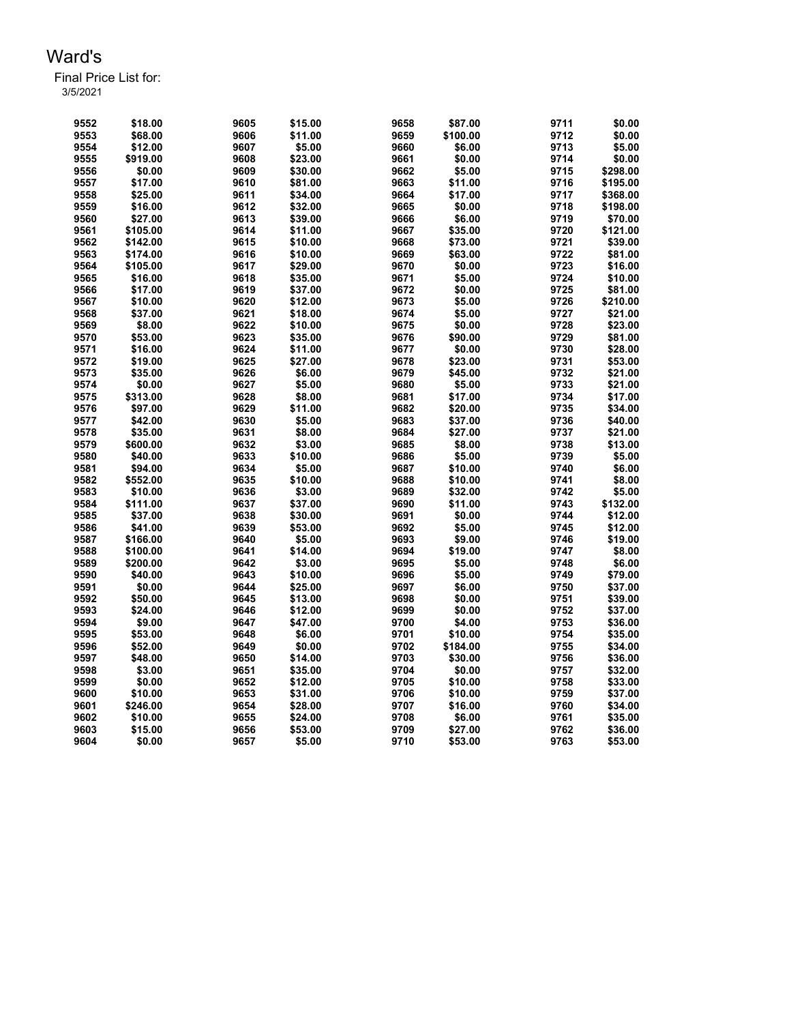Final Price List for: 3/5/2021

> \$18.00 9605 \$15.00 9658 \$87.00 9711 \$0.00 \$68.00 9606 \$11.00 9659 \$100.00 9712 \$0.00 \$12.00 9607 \$5.00 9660 \$6.00 9713 \$5.00 \$919.00 9608 \$23.00 9661 \$0.00 9714 \$0.00 \$0.00 9609 \$30.00 9662 \$5.00 9715 \$298.00 \$17.00 9610 \$81.00 9663 \$11.00 9716 \$195.00 \$25.00 9611 \$34.00 9664 \$17.00 9717 \$368.00 \$16.00 9612 \$32.00 9665 \$0.00 9718 \$198.00 \$27.00 9613 \$39.00 9666 \$6.00 9719 \$70.00 \$105.00 9614 \$11.00 9667 \$35.00 9720 \$121.00 \$142.00 9615 \$10.00 9668 \$73.00 9721 \$39.00 \$174.00 9616 \$10.00 9669 \$63.00 9722 \$81.00 \$105.00 9617 \$29.00 9670 \$0.00 9723 \$16.00 \$16.00 9618 \$35.00 9671 \$5.00 9724 \$10.00 \$17.00 9619 \$37.00 9672 \$0.00 9725 \$81.00 \$10.00 9620 \$12.00 9673 \$5.00 9726 \$210.00 \$37.00 9621 \$18.00 9674 \$5.00 9727 \$21.00 \$8.00 9622 \$10.00 9675 \$0.00 9728 \$23.00 \$53.00 9623 \$35.00 9676 \$90.00 9729 \$81.00 \$16.00 9624 \$11.00 9677 \$0.00 9730 \$28.00 \$19.00 9625 \$27.00 9678 \$23.00 9731 \$53.00 \$35.00 9626 \$6.00 9679 \$45.00 9732 \$21.00 \$0.00 9627 \$5.00 9680 \$5.00 9733 \$21.00 \$313.00 9628 \$8.00 9681 \$17.00 9734 \$17.00 \$97.00 9629 \$11.00 9682 \$20.00 9735 \$34.00 \$42.00 9630 \$5.00 9683 \$37.00 9736 \$40.00 \$35.00 9631 \$8.00 9684 \$27.00 9737 \$21.00 \$600.00 9632 \$3.00 9685 \$8.00 9738 \$13.00 \$40.00 9633 \$10.00 9686 \$5.00 9739 \$5.00 \$94.00 9634 \$5.00 9687 \$10.00 9740 \$6.00 \$552.00 9635 \$10.00 9688 \$10.00 9741 \$8.00 \$10.00 9636 \$3.00 9689 \$32.00 9742 \$5.00 \$111.00 9637 \$37.00 9690 \$11.00 9743 \$132.00 \$37.00 9638 \$30.00 9691 \$0.00 9744 \$12.00 \$41.00 9639 \$53.00 9692 \$5.00 9745 \$12.00 \$166.00 9640 \$5.00 9693 \$9.00 9746 \$19.00 \$100.00 9641 \$14.00 9694 \$19.00 9747 \$8.00 \$200.00 9642 \$3.00 9695 \$5.00 9748 \$6.00 \$40.00 9643 \$10.00 9696 \$5.00 9749 \$79.00 \$0.00 9644 \$25.00 9697 \$6.00 9750 \$37.00 \$50.00 9645 \$13.00 9698 \$0.00 9751 \$39.00 \$24.00 9646 \$12.00 9699 \$0.00 9752 \$37.00 \$9.00 9647 \$47.00 9700 \$4.00 9753 \$36.00 \$53.00 9648 \$6.00 9701 \$10.00 9754 \$35.00 \$52.00 9649 \$0.00 9702 \$184.00 9755 \$34.00 \$48.00 9650 \$14.00 9703 \$30.00 9756 \$36.00 \$3.00 9651 \$35.00 9704 \$0.00 9757 \$32.00 \$0.00 9652 \$12.00 9705 \$10.00 9758 \$33.00 \$10.00 9653 \$31.00 9706 \$10.00 9759 \$37.00 \$246.00 9654 \$28.00 9707 \$16.00 9760 \$34.00 \$10.00 9655 \$24.00 9708 \$6.00 9761 \$35.00 \$15.00 9656 \$53.00 9709 \$27.00 9762 \$36.00 \$0.00 9657 \$5.00 9710 \$53.00 9763 \$53.00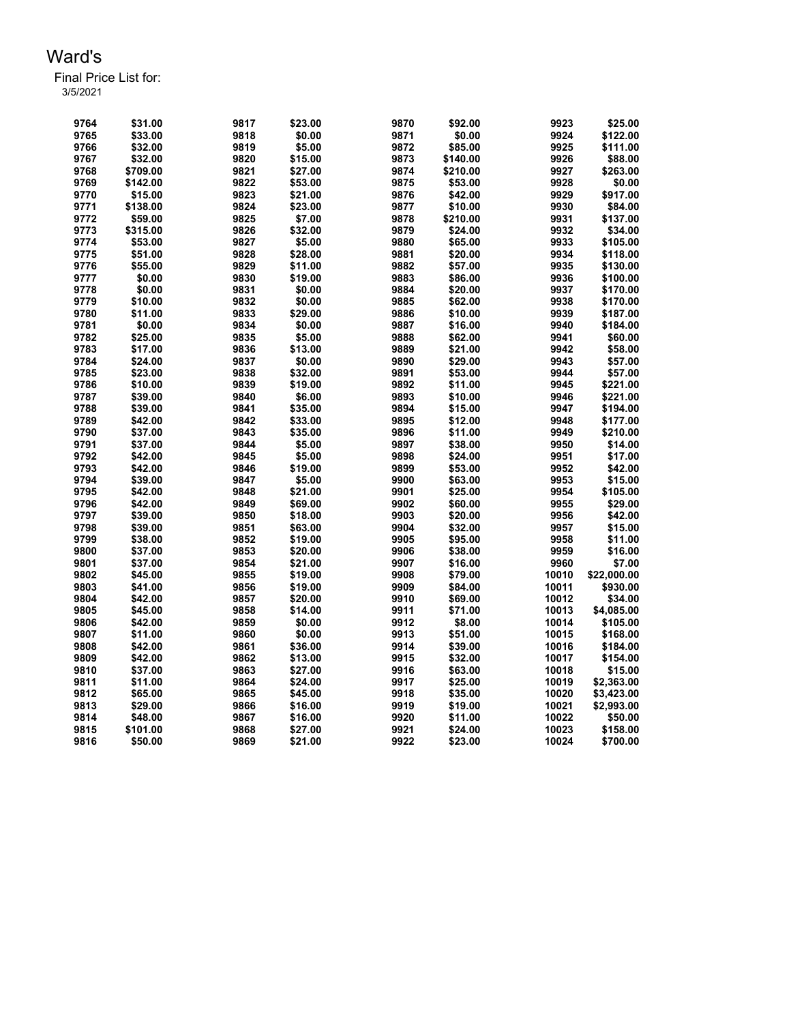| 9764 | \$31.00  | 9817 | \$23.00 | 9870 | \$92.00  | 9923  | \$25.00     |
|------|----------|------|---------|------|----------|-------|-------------|
| 9765 | \$33.00  | 9818 | \$0.00  | 9871 | \$0.00   | 9924  | \$122.00    |
| 9766 | \$32.00  | 9819 | \$5.00  | 9872 | \$85.00  | 9925  | \$111.00    |
| 9767 | \$32.00  | 9820 | \$15.00 | 9873 | \$140.00 | 9926  | \$88.00     |
| 9768 | \$709.00 | 9821 | \$27.00 | 9874 | \$210.00 | 9927  | \$263.00    |
| 9769 | \$142.00 | 9822 | \$53.00 | 9875 | \$53.00  | 9928  | \$0.00      |
| 9770 | \$15.00  | 9823 | \$21.00 | 9876 | \$42.00  | 9929  | \$917.00    |
| 9771 | \$138.00 | 9824 | \$23.00 | 9877 | \$10.00  | 9930  | \$84.00     |
| 9772 | \$59.00  | 9825 | \$7.00  | 9878 | \$210.00 | 9931  | \$137.00    |
| 9773 | \$315.00 | 9826 | \$32.00 | 9879 | \$24.00  | 9932  | \$34.00     |
| 9774 | \$53.00  | 9827 | \$5.00  | 9880 | \$65.00  | 9933  | \$105.00    |
| 9775 | \$51.00  | 9828 | \$28.00 | 9881 | \$20.00  | 9934  | \$118.00    |
| 9776 | \$55.00  | 9829 | \$11.00 | 9882 | \$57.00  | 9935  | \$130.00    |
| 9777 | \$0.00   | 9830 | \$19.00 | 9883 | \$86.00  | 9936  | \$100.00    |
| 9778 | \$0.00   | 9831 | \$0.00  | 9884 | \$20.00  | 9937  | \$170.00    |
| 9779 | \$10.00  | 9832 | \$0.00  | 9885 | \$62.00  | 9938  | \$170.00    |
| 9780 | \$11.00  | 9833 | \$29.00 | 9886 | \$10.00  | 9939  | \$187.00    |
| 9781 | \$0.00   | 9834 | \$0.00  | 9887 | \$16.00  | 9940  | \$184.00    |
| 9782 | \$25.00  | 9835 | \$5.00  | 9888 | \$62.00  | 9941  | \$60.00     |
| 9783 | \$17.00  | 9836 | \$13.00 | 9889 | \$21.00  | 9942  | \$58.00     |
| 9784 | \$24.00  | 9837 | \$0.00  | 9890 | \$29.00  | 9943  | \$57.00     |
| 9785 | \$23.00  | 9838 | \$32.00 | 9891 | \$53.00  | 9944  | \$57.00     |
| 9786 | \$10.00  | 9839 | \$19.00 | 9892 | \$11.00  | 9945  | \$221.00    |
| 9787 | \$39.00  | 9840 | \$6.00  | 9893 | \$10.00  | 9946  | \$221.00    |
| 9788 | \$39.00  | 9841 | \$35.00 | 9894 | \$15.00  | 9947  | \$194.00    |
| 9789 | \$42.00  | 9842 | \$33.00 | 9895 | \$12.00  | 9948  | \$177.00    |
| 9790 | \$37.00  | 9843 | \$35.00 | 9896 | \$11.00  | 9949  | \$210.00    |
| 9791 | \$37.00  | 9844 | \$5.00  | 9897 | \$38.00  | 9950  | \$14.00     |
| 9792 | \$42.00  | 9845 | \$5.00  | 9898 | \$24.00  | 9951  | \$17.00     |
| 9793 | \$42.00  | 9846 | \$19.00 | 9899 | \$53.00  | 9952  | \$42.00     |
| 9794 | \$39.00  | 9847 | \$5.00  | 9900 | \$63.00  | 9953  | \$15.00     |
| 9795 | \$42.00  | 9848 | \$21.00 | 9901 | \$25.00  | 9954  | \$105.00    |
| 9796 | \$42.00  | 9849 | \$69.00 | 9902 | \$60.00  | 9955  | \$29.00     |
| 9797 | \$39.00  | 9850 | \$18.00 | 9903 | \$20.00  | 9956  | \$42.00     |
| 9798 | \$39.00  | 9851 | \$63.00 | 9904 | \$32.00  | 9957  | \$15.00     |
| 9799 | \$38.00  | 9852 | \$19.00 | 9905 | \$95.00  | 9958  | \$11.00     |
| 9800 | \$37.00  | 9853 | \$20.00 | 9906 | \$38.00  | 9959  | \$16.00     |
| 9801 | \$37.00  | 9854 | \$21.00 | 9907 | \$16.00  | 9960  | \$7.00      |
| 9802 | \$45.00  | 9855 | \$19.00 | 9908 | \$79.00  | 10010 | \$22,000.00 |
| 9803 | \$41.00  | 9856 | \$19.00 | 9909 | \$84.00  | 10011 | \$930.00    |
| 9804 | \$42.00  | 9857 | \$20.00 | 9910 | \$69.00  | 10012 | \$34.00     |
| 9805 | \$45.00  | 9858 | \$14.00 | 9911 | \$71.00  | 10013 | \$4,085.00  |
| 9806 | \$42.00  | 9859 | \$0.00  | 9912 | \$8.00   | 10014 | \$105.00    |
| 9807 | \$11.00  | 9860 | \$0.00  | 9913 | \$51.00  | 10015 | \$168.00    |
| 9808 | \$42.00  | 9861 | \$36.00 | 9914 | \$39.00  | 10016 | \$184.00    |
| 9809 | \$42.00  | 9862 | \$13.00 | 9915 | \$32.00  | 10017 | \$154.00    |
| 9810 | \$37.00  | 9863 | \$27.00 | 9916 | \$63.00  | 10018 | \$15.00     |
| 9811 | \$11.00  | 9864 | \$24.00 | 9917 | \$25.00  | 10019 | \$2,363.00  |
| 9812 | \$65.00  | 9865 | \$45.00 | 9918 | \$35.00  | 10020 | \$3,423.00  |
| 9813 | \$29.00  | 9866 | \$16.00 | 9919 | \$19.00  | 10021 | \$2,993.00  |
| 9814 | \$48.00  | 9867 | \$16.00 | 9920 | \$11.00  | 10022 | \$50.00     |
| 9815 | \$101.00 | 9868 | \$27.00 | 9921 | \$24.00  | 10023 | \$158.00    |
| 9816 | \$50.00  | 9869 | \$21.00 | 9922 | \$23.00  | 10024 | \$700.00    |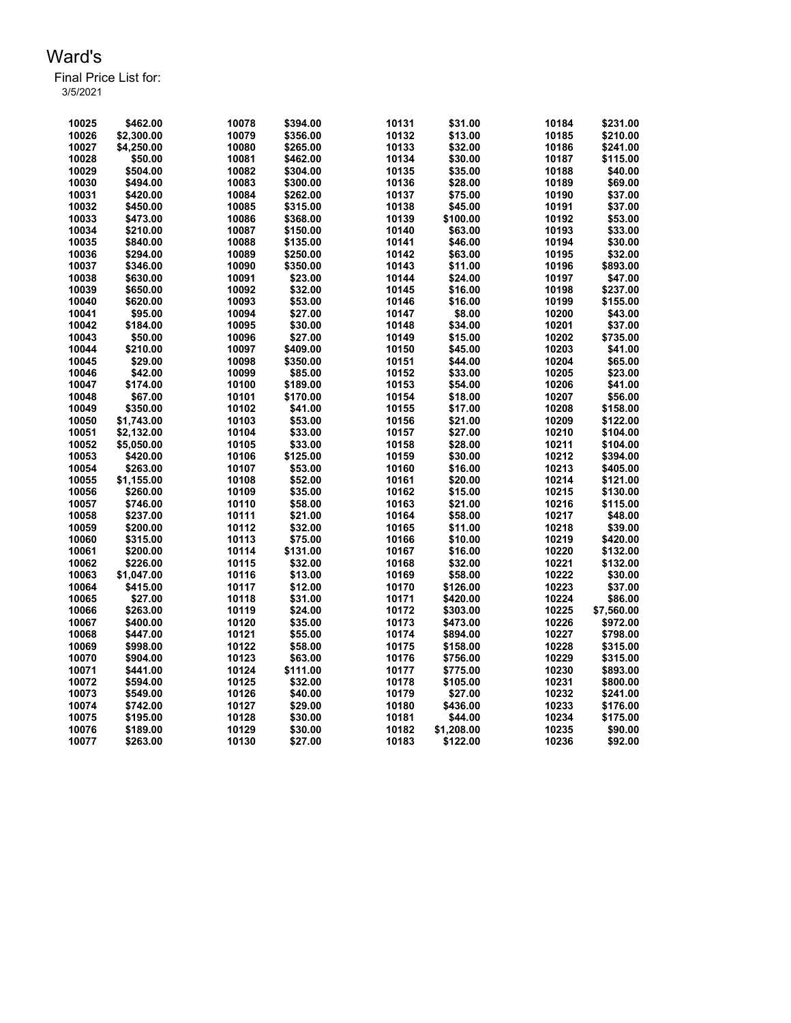| 10025 | \$462.00   | 10078 | \$394.00 | 10131 | \$31.00    | 10184 | \$231.00   |
|-------|------------|-------|----------|-------|------------|-------|------------|
| 10026 | \$2,300.00 | 10079 | \$356.00 | 10132 | \$13.00    | 10185 | \$210.00   |
| 10027 | \$4,250.00 | 10080 | \$265.00 | 10133 | \$32.00    | 10186 | \$241.00   |
| 10028 | \$50.00    | 10081 | \$462.00 | 10134 | \$30.00    | 10187 | \$115.00   |
| 10029 | \$504.00   | 10082 | \$304.00 | 10135 | \$35.00    | 10188 | \$40.00    |
| 10030 | \$494.00   | 10083 | \$300.00 | 10136 | \$28.00    | 10189 | \$69.00    |
| 10031 | \$420.00   | 10084 | \$262.00 | 10137 | \$75.00    | 10190 | \$37.00    |
| 10032 | \$450.00   | 10085 | \$315.00 | 10138 | \$45.00    | 10191 | \$37.00    |
| 10033 | \$473.00   | 10086 | \$368.00 | 10139 | \$100.00   | 10192 | \$53.00    |
| 10034 | \$210.00   | 10087 | \$150.00 | 10140 | \$63.00    | 10193 | \$33.00    |
| 10035 | \$840.00   | 10088 | \$135.00 | 10141 | \$46.00    | 10194 | \$30.00    |
| 10036 | \$294.00   | 10089 | \$250.00 | 10142 | \$63.00    | 10195 | \$32.00    |
| 10037 | \$346.00   | 10090 | \$350.00 | 10143 | \$11.00    | 10196 | \$893.00   |
| 10038 | \$630.00   | 10091 | \$23.00  | 10144 | \$24.00    | 10197 | \$47.00    |
| 10039 | \$650.00   | 10092 | \$32.00  | 10145 | \$16.00    | 10198 | \$237.00   |
| 10040 | \$620.00   | 10093 | \$53.00  | 10146 | \$16.00    | 10199 | \$155.00   |
| 10041 | \$95.00    | 10094 | \$27.00  | 10147 | \$8.00     | 10200 | \$43.00    |
| 10042 | \$184.00   | 10095 | \$30.00  | 10148 | \$34.00    | 10201 | \$37.00    |
| 10043 | \$50.00    | 10096 | \$27.00  | 10149 | \$15.00    | 10202 | \$735.00   |
| 10044 | \$210.00   | 10097 | \$409.00 | 10150 | \$45.00    | 10203 | \$41.00    |
| 10045 | \$29.00    | 10098 | \$350.00 | 10151 | \$44.00    | 10204 | \$65.00    |
| 10046 | \$42.00    | 10099 | \$85.00  | 10152 | \$33.00    | 10205 | \$23.00    |
| 10047 | \$174.00   | 10100 | \$189.00 | 10153 | \$54.00    | 10206 | \$41.00    |
| 10048 | \$67.00    | 10101 | \$170.00 | 10154 | \$18.00    | 10207 | \$56.00    |
| 10049 | \$350.00   | 10102 | \$41.00  | 10155 | \$17.00    | 10208 | \$158.00   |
| 10050 | \$1,743.00 | 10103 | \$53.00  | 10156 | \$21.00    | 10209 | \$122.00   |
| 10051 | \$2,132.00 | 10104 | \$33.00  | 10157 | \$27.00    | 10210 | \$104.00   |
| 10052 | \$5,050.00 | 10105 | \$33.00  | 10158 | \$28.00    | 10211 | \$104.00   |
| 10053 | \$420.00   | 10106 | \$125.00 | 10159 | \$30.00    | 10212 | \$394.00   |
| 10054 | \$263.00   | 10107 | \$53.00  | 10160 | \$16.00    | 10213 | \$405.00   |
| 10055 | \$1,155.00 | 10108 | \$52.00  | 10161 | \$20.00    | 10214 | \$121.00   |
| 10056 | \$260.00   | 10109 | \$35.00  | 10162 | \$15.00    | 10215 | \$130.00   |
| 10057 | \$746.00   | 10110 | \$58.00  | 10163 | \$21.00    | 10216 | \$115.00   |
| 10058 | \$237.00   | 10111 | \$21.00  | 10164 | \$58.00    | 10217 | \$48.00    |
| 10059 | \$200.00   | 10112 | \$32.00  | 10165 | \$11.00    | 10218 | \$39.00    |
| 10060 | \$315.00   | 10113 | \$75.00  | 10166 | \$10.00    | 10219 | \$420.00   |
| 10061 | \$200.00   | 10114 | \$131.00 | 10167 | \$16.00    | 10220 | \$132.00   |
| 10062 | \$226.00   | 10115 | \$32.00  | 10168 | \$32.00    | 10221 | \$132.00   |
| 10063 | \$1,047.00 | 10116 | \$13.00  | 10169 | \$58.00    | 10222 | \$30.00    |
| 10064 | \$415.00   | 10117 | \$12.00  | 10170 | \$126.00   | 10223 | \$37.00    |
| 10065 | \$27.00    | 10118 | \$31.00  | 10171 | \$420.00   | 10224 | \$86.00    |
| 10066 | \$263.00   | 10119 | \$24.00  | 10172 | \$303.00   | 10225 | \$7,560.00 |
| 10067 | \$400.00   | 10120 | \$35.00  | 10173 | \$473.00   | 10226 | \$972.00   |
| 10068 | \$447.00   | 10121 | \$55.00  | 10174 | \$894.00   | 10227 | \$798.00   |
| 10069 | \$998.00   | 10122 | \$58.00  | 10175 | \$158.00   | 10228 | \$315.00   |
| 10070 | \$904.00   | 10123 | \$63.00  | 10176 | \$756.00   | 10229 | \$315.00   |
| 10071 | \$441.00   | 10124 | \$111.00 | 10177 | \$775.00   | 10230 | \$893.00   |
| 10072 | \$594.00   | 10125 | \$32.00  | 10178 | \$105.00   | 10231 | \$800.00   |
| 10073 | \$549.00   | 10126 | \$40.00  | 10179 | \$27.00    | 10232 | \$241.00   |
| 10074 | \$742.00   | 10127 | \$29.00  | 10180 | \$436.00   | 10233 | \$176.00   |
| 10075 | \$195.00   | 10128 | \$30.00  | 10181 | \$44.00    | 10234 | \$175.00   |
| 10076 | \$189.00   | 10129 | \$30.00  | 10182 | \$1,208.00 | 10235 | \$90.00    |
| 10077 | \$263.00   | 10130 | \$27.00  | 10183 | \$122.00   | 10236 | \$92.00    |
|       |            |       |          |       |            |       |            |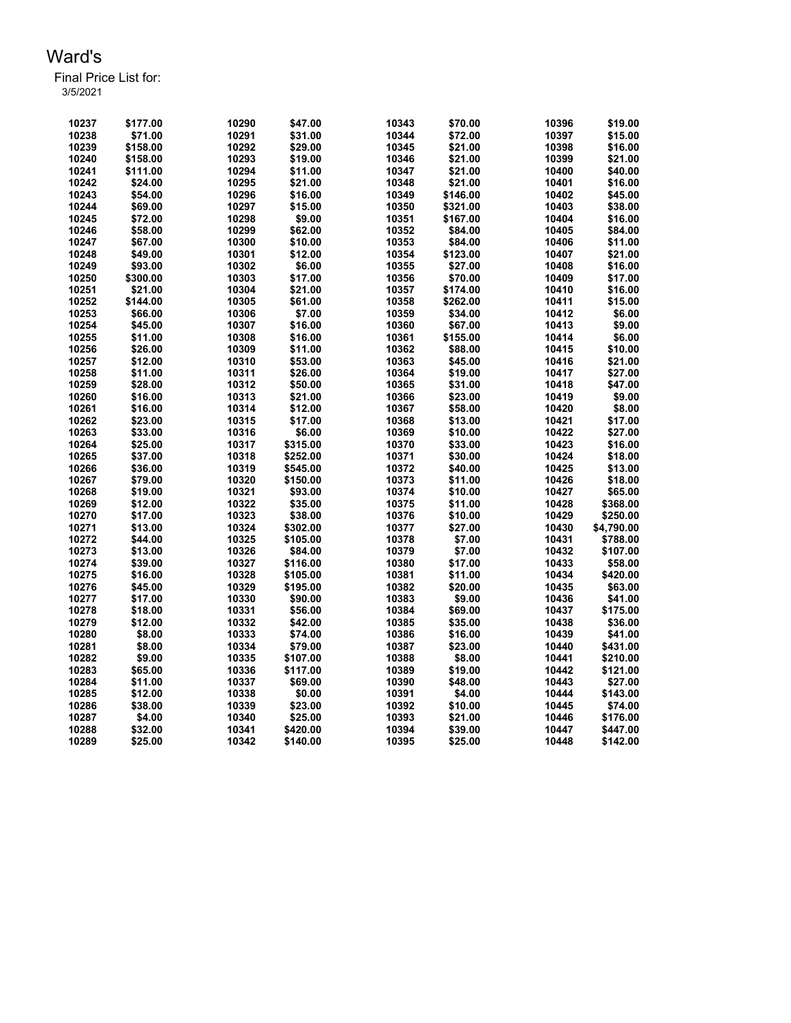| 10237 | \$177.00 | 10290 | \$47.00  | 10343 | \$70.00  | 10396 | \$19.00    |
|-------|----------|-------|----------|-------|----------|-------|------------|
| 10238 | \$71.00  | 10291 | \$31.00  | 10344 | \$72.00  | 10397 | \$15.00    |
| 10239 | \$158.00 | 10292 | \$29.00  | 10345 | \$21.00  | 10398 | \$16.00    |
| 10240 | \$158.00 | 10293 | \$19.00  | 10346 | \$21.00  | 10399 | \$21.00    |
| 10241 | \$111.00 | 10294 | \$11.00  | 10347 | \$21.00  | 10400 | \$40.00    |
| 10242 | \$24.00  | 10295 | \$21.00  | 10348 | \$21.00  | 10401 | \$16.00    |
| 10243 | \$54.00  | 10296 | \$16.00  | 10349 | \$146.00 | 10402 | \$45.00    |
| 10244 | \$69.00  | 10297 | \$15.00  | 10350 | \$321.00 | 10403 | \$38.00    |
| 10245 | \$72.00  | 10298 | \$9.00   | 10351 | \$167.00 | 10404 | \$16.00    |
| 10246 | \$58.00  | 10299 | \$62.00  | 10352 | \$84.00  | 10405 | \$84.00    |
| 10247 | \$67.00  | 10300 | \$10.00  | 10353 | \$84.00  | 10406 | \$11.00    |
| 10248 | \$49.00  | 10301 | \$12.00  | 10354 | \$123.00 | 10407 | \$21.00    |
| 10249 | \$93.00  | 10302 | \$6.00   | 10355 | \$27.00  | 10408 | \$16.00    |
| 10250 | \$300.00 | 10303 | \$17.00  | 10356 | \$70.00  | 10409 | \$17.00    |
| 10251 | \$21.00  | 10304 | \$21.00  | 10357 | \$174.00 | 10410 | \$16.00    |
| 10252 | \$144.00 | 10305 | \$61.00  | 10358 | \$262.00 | 10411 | \$15.00    |
| 10253 | \$66.00  | 10306 | \$7.00   | 10359 | \$34.00  | 10412 | \$6.00     |
| 10254 | \$45.00  | 10307 | \$16.00  | 10360 | \$67.00  | 10413 | \$9.00     |
| 10255 | \$11.00  | 10308 | \$16.00  | 10361 | \$155.00 | 10414 | \$6.00     |
| 10256 | \$26.00  | 10309 | \$11.00  | 10362 | \$88.00  | 10415 | \$10.00    |
| 10257 | \$12.00  | 10310 | \$53.00  | 10363 | \$45.00  | 10416 | \$21.00    |
| 10258 | \$11.00  | 10311 | \$26.00  | 10364 | \$19.00  | 10417 | \$27.00    |
| 10259 | \$28.00  | 10312 | \$50.00  | 10365 | \$31.00  | 10418 | \$47.00    |
| 10260 | \$16.00  | 10313 | \$21.00  | 10366 | \$23.00  | 10419 | \$9.00     |
| 10261 | \$16.00  | 10314 | \$12.00  | 10367 | \$58.00  | 10420 | \$8.00     |
| 10262 | \$23.00  | 10315 | \$17.00  | 10368 | \$13.00  | 10421 | \$17.00    |
| 10263 | \$33.00  | 10316 | \$6.00   | 10369 | \$10.00  | 10422 | \$27.00    |
| 10264 | \$25.00  | 10317 | \$315.00 | 10370 | \$33.00  | 10423 | \$16.00    |
| 10265 | \$37.00  | 10318 | \$252.00 | 10371 | \$30.00  | 10424 | \$18.00    |
| 10266 | \$36.00  | 10319 | \$545.00 | 10372 | \$40.00  | 10425 | \$13.00    |
| 10267 | \$79.00  | 10320 | \$150.00 | 10373 | \$11.00  | 10426 | \$18.00    |
| 10268 | \$19.00  | 10321 | \$93.00  | 10374 | \$10.00  | 10427 | \$65.00    |
| 10269 | \$12.00  | 10322 | \$35.00  | 10375 | \$11.00  | 10428 | \$368.00   |
| 10270 | \$17.00  | 10323 | \$38.00  | 10376 | \$10.00  | 10429 | \$250.00   |
| 10271 | \$13.00  | 10324 | \$302.00 | 10377 | \$27.00  | 10430 | \$4,790.00 |
| 10272 | \$44.00  | 10325 | \$105.00 | 10378 | \$7.00   | 10431 | \$788.00   |
| 10273 | \$13.00  | 10326 | \$84.00  | 10379 | \$7.00   | 10432 | \$107.00   |
| 10274 | \$39.00  | 10327 | \$116.00 | 10380 | \$17.00  | 10433 | \$58.00    |
| 10275 | \$16.00  | 10328 | \$105.00 | 10381 | \$11.00  | 10434 | \$420.00   |
| 10276 | \$45.00  | 10329 | \$195.00 | 10382 | \$20.00  | 10435 | \$63.00    |
| 10277 | \$17.00  | 10330 | \$90.00  | 10383 | \$9.00   | 10436 | \$41.00    |
| 10278 | \$18.00  | 10331 | \$56.00  | 10384 | \$69.00  | 10437 | \$175.00   |
| 10279 | \$12.00  | 10332 | \$42.00  | 10385 | \$35.00  | 10438 | \$36.00    |
| 10280 | \$8.00   | 10333 | \$74.00  | 10386 | \$16.00  | 10439 | \$41.00    |
| 10281 | \$8.00   | 10334 | \$79.00  | 10387 | \$23.00  | 10440 | \$431.00   |
| 10282 | \$9.00   | 10335 | \$107.00 | 10388 | \$8.00   | 10441 | \$210.00   |
| 10283 | \$65.00  | 10336 | \$117.00 | 10389 | \$19.00  | 10442 | \$121.00   |
| 10284 | \$11.00  | 10337 | \$69.00  | 10390 | \$48.00  | 10443 | \$27.00    |
| 10285 | \$12.00  | 10338 | \$0.00   | 10391 | \$4.00   | 10444 | \$143.00   |
| 10286 | \$38.00  | 10339 | \$23.00  | 10392 | \$10.00  | 10445 | \$74.00    |
| 10287 | \$4.00   | 10340 | \$25.00  | 10393 | \$21.00  | 10446 | \$176.00   |
| 10288 | \$32.00  | 10341 | \$420.00 | 10394 | \$39.00  | 10447 | \$447.00   |
| 10289 | \$25.00  | 10342 | \$140.00 | 10395 | \$25.00  | 10448 | \$142.00   |
|       |          |       |          |       |          |       |            |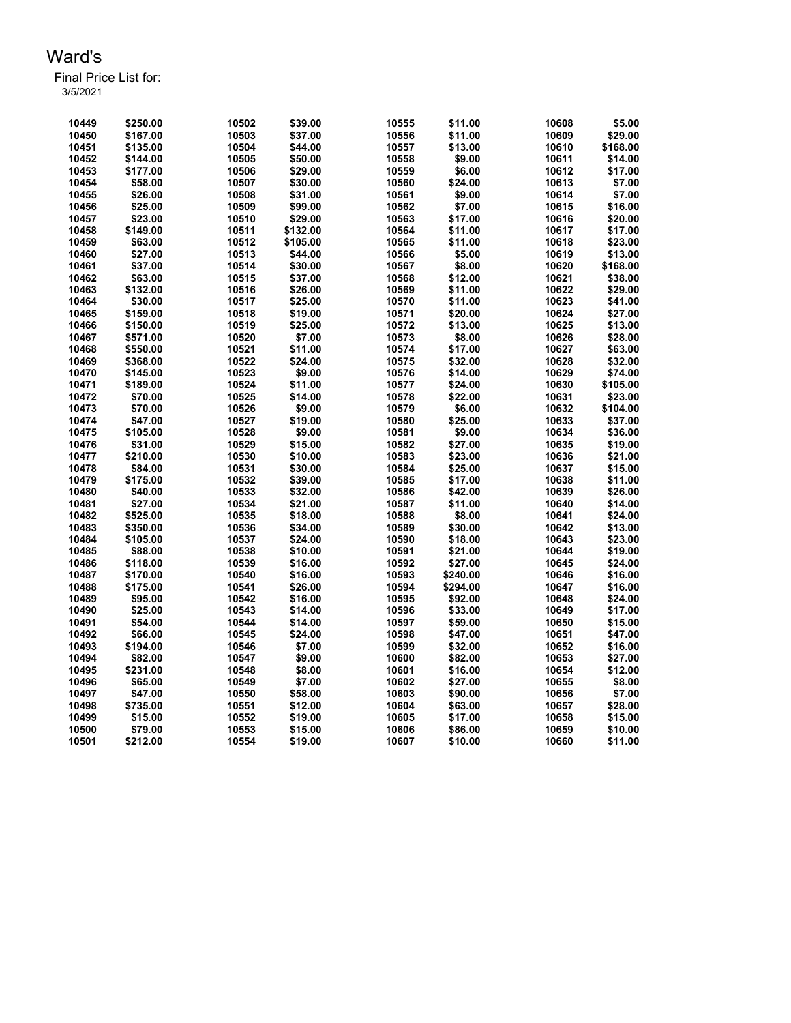| 10449 | \$250.00 | 10502 | \$39.00  | 10555 | \$11.00  | 10608 | \$5.00   |
|-------|----------|-------|----------|-------|----------|-------|----------|
| 10450 | \$167.00 | 10503 | \$37.00  | 10556 | \$11.00  | 10609 | \$29.00  |
| 10451 | \$135.00 | 10504 | \$44.00  | 10557 | \$13.00  | 10610 | \$168.00 |
| 10452 | \$144.00 | 10505 | \$50.00  | 10558 | \$9.00   | 10611 | \$14.00  |
| 10453 | \$177.00 | 10506 | \$29.00  | 10559 | \$6.00   | 10612 | \$17.00  |
| 10454 | \$58.00  | 10507 | \$30.00  | 10560 | \$24.00  | 10613 | \$7.00   |
| 10455 | \$26.00  | 10508 | \$31.00  | 10561 | \$9.00   | 10614 | \$7.00   |
| 10456 | \$25.00  | 10509 | \$99.00  | 10562 | \$7.00   | 10615 | \$16.00  |
| 10457 | \$23.00  | 10510 | \$29.00  | 10563 | \$17.00  | 10616 | \$20.00  |
| 10458 | \$149.00 | 10511 | \$132.00 | 10564 | \$11.00  | 10617 | \$17.00  |
| 10459 | \$63.00  | 10512 | \$105.00 | 10565 | \$11.00  | 10618 | \$23.00  |
| 10460 | \$27.00  | 10513 | \$44.00  | 10566 | \$5.00   | 10619 | \$13.00  |
| 10461 | \$37.00  | 10514 | \$30.00  | 10567 | \$8.00   | 10620 | \$168.00 |
| 10462 | \$63.00  | 10515 | \$37.00  | 10568 | \$12.00  | 10621 | \$38.00  |
| 10463 | \$132.00 | 10516 | \$26.00  | 10569 | \$11.00  | 10622 | \$29.00  |
| 10464 | \$30.00  | 10517 | \$25.00  | 10570 | \$11.00  | 10623 | \$41.00  |
| 10465 | \$159.00 | 10518 | \$19.00  | 10571 | \$20.00  | 10624 | \$27.00  |
| 10466 | \$150.00 | 10519 | \$25.00  | 10572 | \$13.00  | 10625 | \$13.00  |
| 10467 | \$571.00 | 10520 | \$7.00   | 10573 | \$8.00   | 10626 | \$28.00  |
| 10468 | \$550.00 | 10521 | \$11.00  | 10574 | \$17.00  | 10627 | \$63.00  |
| 10469 | \$368.00 | 10522 | \$24.00  | 10575 | \$32.00  | 10628 | \$32.00  |
| 10470 | \$145.00 | 10523 | \$9.00   | 10576 | \$14.00  | 10629 | \$74.00  |
| 10471 | \$189.00 | 10524 | \$11.00  | 10577 | \$24.00  | 10630 | \$105.00 |
| 10472 | \$70.00  | 10525 | \$14.00  | 10578 | \$22.00  | 10631 | \$23.00  |
| 10473 | \$70.00  | 10526 | \$9.00   | 10579 | \$6.00   | 10632 | \$104.00 |
| 10474 | \$47.00  | 10527 | \$19.00  | 10580 | \$25.00  | 10633 | \$37.00  |
| 10475 | \$105.00 | 10528 | \$9.00   | 10581 | \$9.00   | 10634 | \$36.00  |
| 10476 | \$31.00  | 10529 | \$15.00  | 10582 | \$27.00  | 10635 | \$19.00  |
| 10477 | \$210.00 | 10530 | \$10.00  | 10583 | \$23.00  | 10636 | \$21.00  |
| 10478 | \$84.00  | 10531 | \$30.00  | 10584 | \$25.00  | 10637 | \$15.00  |
| 10479 | \$175.00 | 10532 | \$39.00  | 10585 | \$17.00  | 10638 | \$11.00  |
| 10480 | \$40.00  | 10533 | \$32.00  | 10586 | \$42.00  | 10639 | \$26.00  |
| 10481 | \$27.00  | 10534 | \$21.00  | 10587 | \$11.00  | 10640 | \$14.00  |
| 10482 | \$525.00 | 10535 | \$18.00  | 10588 | \$8.00   | 10641 | \$24.00  |
| 10483 | \$350.00 | 10536 | \$34.00  | 10589 | \$30.00  | 10642 | \$13.00  |
| 10484 | \$105.00 | 10537 | \$24.00  | 10590 | \$18.00  | 10643 | \$23.00  |
| 10485 | \$88.00  | 10538 | \$10.00  | 10591 | \$21.00  | 10644 | \$19.00  |
| 10486 | \$118.00 | 10539 | \$16.00  | 10592 | \$27.00  | 10645 | \$24.00  |
| 10487 | \$170.00 | 10540 | \$16.00  | 10593 | \$240.00 | 10646 | \$16.00  |
| 10488 | \$175.00 | 10541 | \$26.00  | 10594 | \$294.00 | 10647 | \$16.00  |
| 10489 | \$95.00  | 10542 | \$16.00  | 10595 | \$92.00  | 10648 | \$24.00  |
| 10490 | \$25.00  | 10543 | \$14.00  | 10596 | \$33.00  | 10649 | \$17.00  |
| 10491 | \$54.00  | 10544 | \$14.00  | 10597 | \$59.00  | 10650 | \$15.00  |
| 10492 | \$66.00  | 10545 | \$24.00  | 10598 | \$47.00  | 10651 | \$47.00  |
| 10493 | \$194.00 | 10546 | \$7.00   | 10599 | \$32.00  | 10652 | \$16.00  |
| 10494 | \$82.00  | 10547 | \$9.00   | 10600 | \$82.00  | 10653 | \$27.00  |
| 10495 | \$231.00 | 10548 | \$8.00   | 10601 | \$16.00  | 10654 | \$12.00  |
| 10496 | \$65.00  | 10549 | \$7.00   | 10602 | \$27.00  | 10655 | \$8.00   |
| 10497 | \$47.00  | 10550 | \$58.00  | 10603 | \$90.00  | 10656 | \$7.00   |
| 10498 | \$735.00 | 10551 | \$12.00  | 10604 | \$63.00  | 10657 | \$28.00  |
| 10499 | \$15.00  | 10552 | \$19.00  | 10605 | \$17.00  | 10658 | \$15.00  |
| 10500 | \$79.00  | 10553 | \$15.00  | 10606 | \$86.00  | 10659 | \$10.00  |
| 10501 | \$212.00 | 10554 | \$19.00  | 10607 | \$10.00  | 10660 | \$11.00  |
|       |          |       |          |       |          |       |          |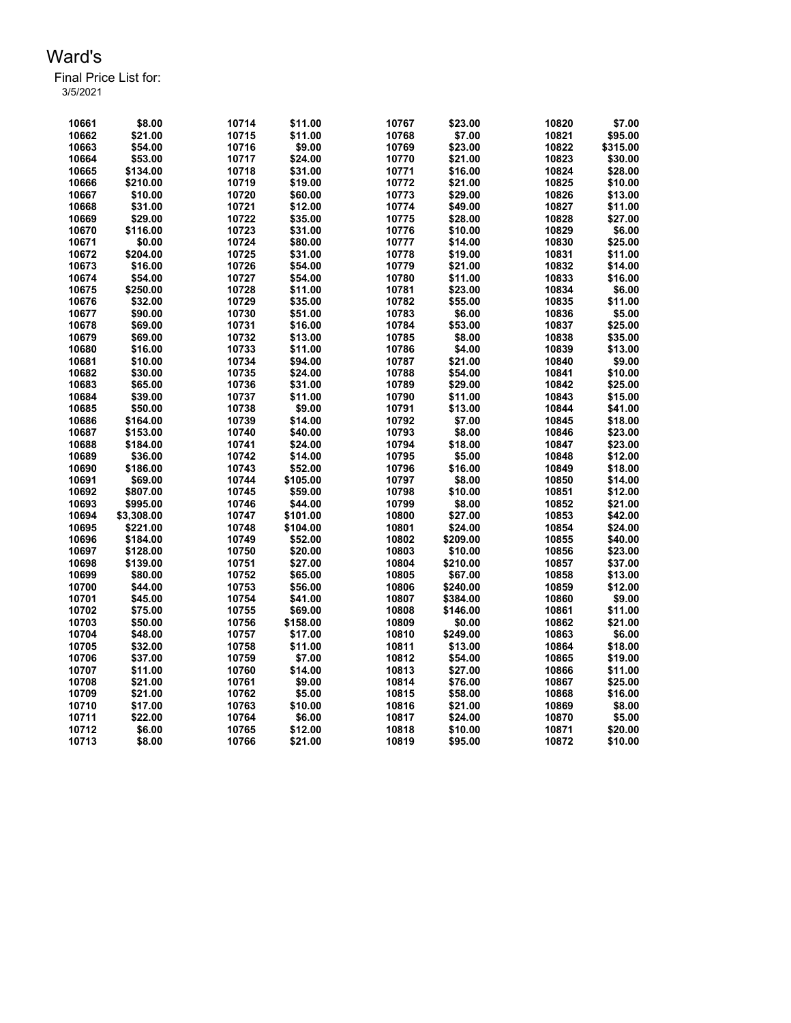| 10661 | \$8.00     | 10714 | \$11.00  | 10767 | \$23.00  | 10820 | \$7.00   |
|-------|------------|-------|----------|-------|----------|-------|----------|
| 10662 | \$21.00    | 10715 | \$11.00  | 10768 | \$7.00   | 10821 | \$95.00  |
| 10663 | \$54.00    | 10716 | \$9.00   | 10769 | \$23.00  | 10822 | \$315.00 |
| 10664 | \$53.00    | 10717 | \$24.00  | 10770 | \$21.00  | 10823 | \$30.00  |
| 10665 | \$134.00   | 10718 | \$31.00  | 10771 | \$16.00  | 10824 | \$28.00  |
| 10666 | \$210.00   | 10719 | \$19.00  | 10772 | \$21.00  | 10825 | \$10.00  |
| 10667 | \$10.00    | 10720 | \$60.00  | 10773 | \$29.00  | 10826 | \$13.00  |
| 10668 | \$31.00    | 10721 | \$12.00  | 10774 | \$49.00  | 10827 | \$11.00  |
| 10669 | \$29.00    | 10722 | \$35.00  | 10775 | \$28.00  | 10828 | \$27.00  |
| 10670 | \$116.00   | 10723 | \$31.00  | 10776 | \$10.00  | 10829 | \$6.00   |
| 10671 | \$0.00     | 10724 | \$80.00  | 10777 | \$14.00  | 10830 | \$25.00  |
| 10672 | \$204.00   | 10725 | \$31.00  | 10778 | \$19.00  | 10831 | \$11.00  |
| 10673 | \$16.00    | 10726 | \$54.00  | 10779 | \$21.00  | 10832 | \$14.00  |
| 10674 | \$54.00    | 10727 | \$54.00  | 10780 | \$11.00  | 10833 | \$16.00  |
| 10675 | \$250.00   | 10728 | \$11.00  | 10781 | \$23.00  | 10834 | \$6.00   |
| 10676 | \$32.00    | 10729 | \$35.00  | 10782 | \$55.00  | 10835 | \$11.00  |
| 10677 | \$90.00    | 10730 | \$51.00  | 10783 | \$6.00   | 10836 | \$5.00   |
| 10678 | \$69.00    | 10731 | \$16.00  | 10784 | \$53.00  | 10837 | \$25.00  |
| 10679 | \$69.00    | 10732 | \$13.00  | 10785 | \$8.00   | 10838 | \$35.00  |
| 10680 | \$16.00    | 10733 | \$11.00  | 10786 | \$4.00   | 10839 | \$13.00  |
| 10681 | \$10.00    | 10734 | \$94.00  | 10787 | \$21.00  | 10840 | \$9.00   |
| 10682 | \$30.00    | 10735 | \$24.00  | 10788 | \$54.00  | 10841 | \$10.00  |
| 10683 | \$65.00    | 10736 | \$31.00  | 10789 | \$29.00  | 10842 | \$25.00  |
| 10684 | \$39.00    | 10737 | \$11.00  | 10790 | \$11.00  | 10843 | \$15.00  |
| 10685 | \$50.00    | 10738 | \$9.00   | 10791 | \$13.00  | 10844 | \$41.00  |
| 10686 | \$164.00   | 10739 | \$14.00  | 10792 | \$7.00   | 10845 | \$18.00  |
| 10687 | \$153.00   | 10740 | \$40.00  | 10793 | \$8.00   | 10846 | \$23.00  |
| 10688 | \$184.00   | 10741 | \$24.00  | 10794 | \$18.00  | 10847 | \$23.00  |
| 10689 | \$36.00    | 10742 | \$14.00  | 10795 | \$5.00   | 10848 | \$12.00  |
| 10690 | \$186.00   | 10743 | \$52.00  | 10796 | \$16.00  | 10849 | \$18.00  |
| 10691 | \$69.00    | 10744 | \$105.00 | 10797 | \$8.00   | 10850 | \$14.00  |
| 10692 | \$807.00   | 10745 | \$59.00  | 10798 | \$10.00  | 10851 | \$12.00  |
| 10693 | \$995.00   | 10746 | \$44.00  | 10799 | \$8.00   | 10852 | \$21.00  |
| 10694 | \$3,308.00 | 10747 | \$101.00 | 10800 | \$27.00  | 10853 | \$42.00  |
| 10695 | \$221.00   | 10748 | \$104.00 | 10801 | \$24.00  | 10854 | \$24.00  |
| 10696 | \$184.00   | 10749 | \$52.00  | 10802 | \$209.00 | 10855 | \$40.00  |
| 10697 | \$128.00   | 10750 | \$20.00  | 10803 | \$10.00  | 10856 | \$23.00  |
| 10698 | \$139.00   | 10751 | \$27.00  | 10804 | \$210.00 | 10857 | \$37.00  |
| 10699 | \$80.00    | 10752 | \$65.00  | 10805 | \$67.00  | 10858 | \$13.00  |
| 10700 | \$44.00    | 10753 | \$56.00  | 10806 | \$240.00 | 10859 | \$12.00  |
| 10701 | \$45.00    | 10754 | \$41.00  | 10807 | \$384.00 | 10860 | \$9.00   |
| 10702 | \$75.00    | 10755 | \$69.00  | 10808 | \$146.00 | 10861 | \$11.00  |
| 10703 | \$50.00    | 10756 | \$158.00 | 10809 | \$0.00   | 10862 | \$21.00  |
| 10704 | \$48.00    | 10757 | \$17.00  | 10810 | \$249.00 | 10863 | \$6.00   |
| 10705 | \$32.00    | 10758 | \$11.00  | 10811 | \$13.00  | 10864 | \$18.00  |
| 10706 | \$37.00    | 10759 | \$7.00   | 10812 | \$54.00  | 10865 | \$19.00  |
| 10707 | \$11.00    | 10760 | \$14.00  | 10813 | \$27.00  | 10866 | \$11.00  |
| 10708 | \$21.00    | 10761 | \$9.00   | 10814 | \$76.00  | 10867 | \$25.00  |
| 10709 | \$21.00    | 10762 | \$5.00   | 10815 | \$58.00  | 10868 | \$16.00  |
| 10710 | \$17.00    | 10763 | \$10.00  | 10816 | \$21.00  | 10869 | \$8.00   |
| 10711 | \$22.00    | 10764 | \$6.00   | 10817 | \$24.00  | 10870 | \$5.00   |
| 10712 | \$6.00     | 10765 | \$12.00  | 10818 | \$10.00  | 10871 | \$20.00  |
| 10713 | \$8.00     | 10766 | \$21.00  | 10819 | \$95.00  | 10872 | \$10.00  |
|       |            |       |          |       |          |       |          |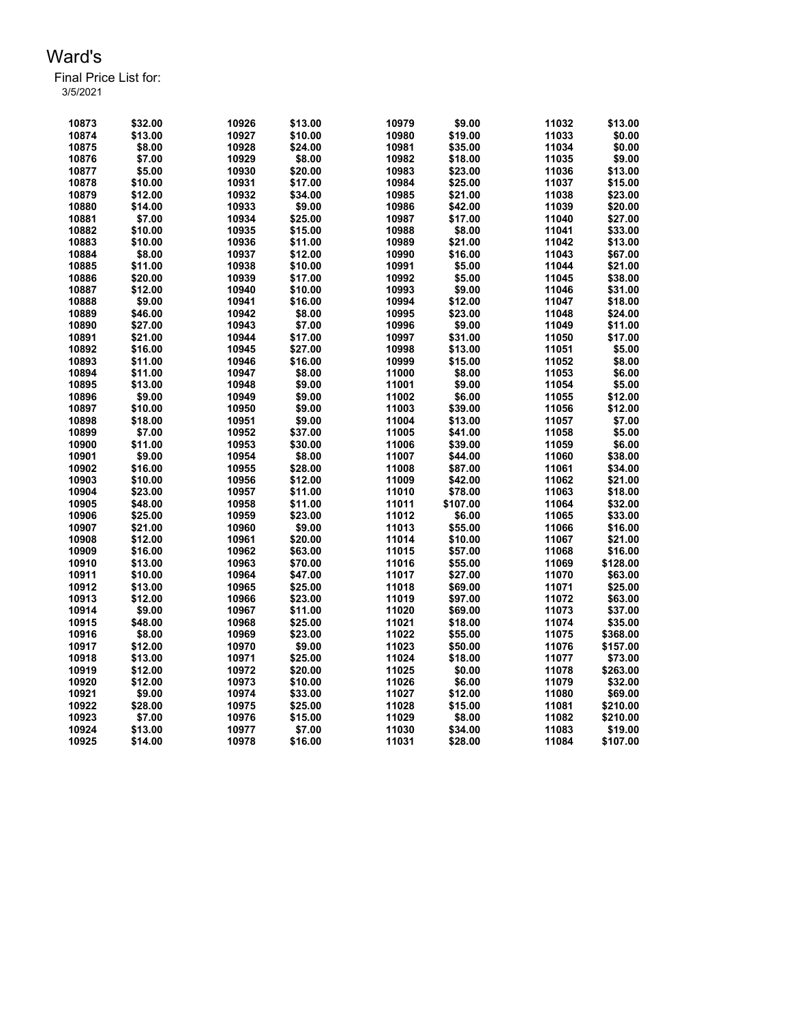| 10873 | \$32.00 | 10926 | \$13.00 | 10979 | \$9.00   | 11032 | \$13.00  |
|-------|---------|-------|---------|-------|----------|-------|----------|
| 10874 | \$13.00 | 10927 | \$10.00 | 10980 | \$19.00  | 11033 | \$0.00   |
| 10875 | \$8.00  | 10928 | \$24.00 | 10981 | \$35.00  | 11034 | \$0.00   |
| 10876 | \$7.00  | 10929 | \$8.00  | 10982 | \$18.00  | 11035 | \$9.00   |
| 10877 | \$5.00  | 10930 | \$20.00 | 10983 | \$23.00  | 11036 | \$13.00  |
| 10878 | \$10.00 | 10931 | \$17.00 | 10984 | \$25.00  | 11037 | \$15.00  |
| 10879 | \$12.00 | 10932 | \$34.00 | 10985 | \$21.00  | 11038 | \$23.00  |
| 10880 | \$14.00 | 10933 | \$9.00  | 10986 | \$42.00  | 11039 | \$20.00  |
| 10881 | \$7.00  | 10934 | \$25.00 | 10987 | \$17.00  | 11040 | \$27.00  |
| 10882 | \$10.00 | 10935 | \$15.00 | 10988 | \$8.00   | 11041 | \$33.00  |
| 10883 | \$10.00 | 10936 | \$11.00 | 10989 | \$21.00  | 11042 | \$13.00  |
| 10884 | \$8.00  | 10937 | \$12.00 | 10990 | \$16.00  | 11043 | \$67.00  |
| 10885 | \$11.00 | 10938 | \$10.00 | 10991 | \$5.00   | 11044 | \$21.00  |
| 10886 | \$20.00 | 10939 | \$17.00 | 10992 | \$5.00   | 11045 | \$38.00  |
| 10887 | \$12.00 | 10940 | \$10.00 | 10993 | \$9.00   | 11046 | \$31.00  |
| 10888 | \$9.00  | 10941 | \$16.00 | 10994 | \$12.00  | 11047 | \$18.00  |
| 10889 | \$46.00 | 10942 | \$8.00  | 10995 | \$23.00  | 11048 | \$24.00  |
| 10890 | \$27.00 | 10943 | \$7.00  | 10996 | \$9.00   | 11049 | \$11.00  |
| 10891 | \$21.00 | 10944 | \$17.00 | 10997 | \$31.00  | 11050 | \$17.00  |
| 10892 | \$16.00 | 10945 | \$27.00 | 10998 | \$13.00  | 11051 | \$5.00   |
| 10893 | \$11.00 | 10946 | \$16.00 | 10999 | \$15.00  | 11052 | \$8.00   |
| 10894 | \$11.00 | 10947 | \$8.00  | 11000 | \$8.00   | 11053 | \$6.00   |
| 10895 | \$13.00 | 10948 | \$9.00  | 11001 | \$9.00   | 11054 | \$5.00   |
| 10896 | \$9.00  | 10949 | \$9.00  | 11002 | \$6.00   | 11055 | \$12.00  |
| 10897 | \$10.00 | 10950 | \$9.00  | 11003 | \$39.00  | 11056 | \$12.00  |
| 10898 | \$18.00 | 10951 | \$9.00  | 11004 | \$13.00  | 11057 | \$7.00   |
| 10899 | \$7.00  | 10952 | \$37.00 | 11005 | \$41.00  | 11058 | \$5.00   |
| 10900 | \$11.00 | 10953 | \$30.00 | 11006 | \$39.00  | 11059 | \$6.00   |
| 10901 | \$9.00  | 10954 | \$8.00  | 11007 | \$44.00  | 11060 | \$38.00  |
| 10902 | \$16.00 | 10955 | \$28.00 | 11008 | \$87.00  | 11061 | \$34.00  |
| 10903 | \$10.00 | 10956 | \$12.00 | 11009 | \$42.00  | 11062 | \$21.00  |
| 10904 | \$23.00 | 10957 | \$11.00 | 11010 | \$78.00  | 11063 | \$18.00  |
| 10905 | \$48.00 | 10958 | \$11.00 | 11011 | \$107.00 | 11064 | \$32.00  |
| 10906 | \$25.00 | 10959 | \$23.00 | 11012 | \$6.00   | 11065 | \$33.00  |
| 10907 | \$21.00 | 10960 | \$9.00  | 11013 | \$55.00  | 11066 | \$16.00  |
| 10908 | \$12.00 | 10961 | \$20.00 | 11014 | \$10.00  | 11067 | \$21.00  |
| 10909 | \$16.00 | 10962 | \$63.00 | 11015 | \$57.00  | 11068 | \$16.00  |
| 10910 | \$13.00 | 10963 | \$70.00 | 11016 | \$55.00  | 11069 | \$128.00 |
| 10911 | \$10.00 | 10964 | \$47.00 | 11017 | \$27.00  | 11070 | \$63.00  |
| 10912 | \$13.00 | 10965 | \$25.00 | 11018 | \$69.00  | 11071 | \$25.00  |
| 10913 | \$12.00 | 10966 | \$23.00 | 11019 | \$97.00  | 11072 | \$63.00  |
| 10914 | \$9.00  | 10967 | \$11.00 | 11020 | \$69.00  | 11073 | \$37.00  |
| 10915 | \$48.00 | 10968 | \$25.00 | 11021 | \$18.00  | 11074 | \$35.00  |
| 10916 | \$8.00  | 10969 | \$23.00 | 11022 | \$55.00  | 11075 | \$368.00 |
| 10917 | \$12.00 | 10970 | \$9.00  | 11023 | \$50.00  | 11076 | \$157.00 |
| 10918 | \$13.00 | 10971 | \$25.00 | 11024 | \$18.00  | 11077 | \$73.00  |
| 10919 | \$12.00 | 10972 | \$20.00 | 11025 | \$0.00   | 11078 | \$263.00 |
| 10920 | \$12.00 | 10973 | \$10.00 | 11026 | \$6.00   | 11079 | \$32.00  |
| 10921 | \$9.00  | 10974 | \$33.00 | 11027 | \$12.00  | 11080 | \$69.00  |
| 10922 | \$28.00 | 10975 | \$25.00 | 11028 | \$15.00  | 11081 | \$210.00 |
| 10923 | \$7.00  | 10976 | \$15.00 | 11029 | \$8.00   | 11082 | \$210.00 |
| 10924 | \$13.00 | 10977 | \$7.00  | 11030 | \$34.00  | 11083 | \$19.00  |
|       |         |       |         |       |          |       |          |
| 10925 | \$14.00 | 10978 | \$16.00 | 11031 | \$28.00  | 11084 | \$107.00 |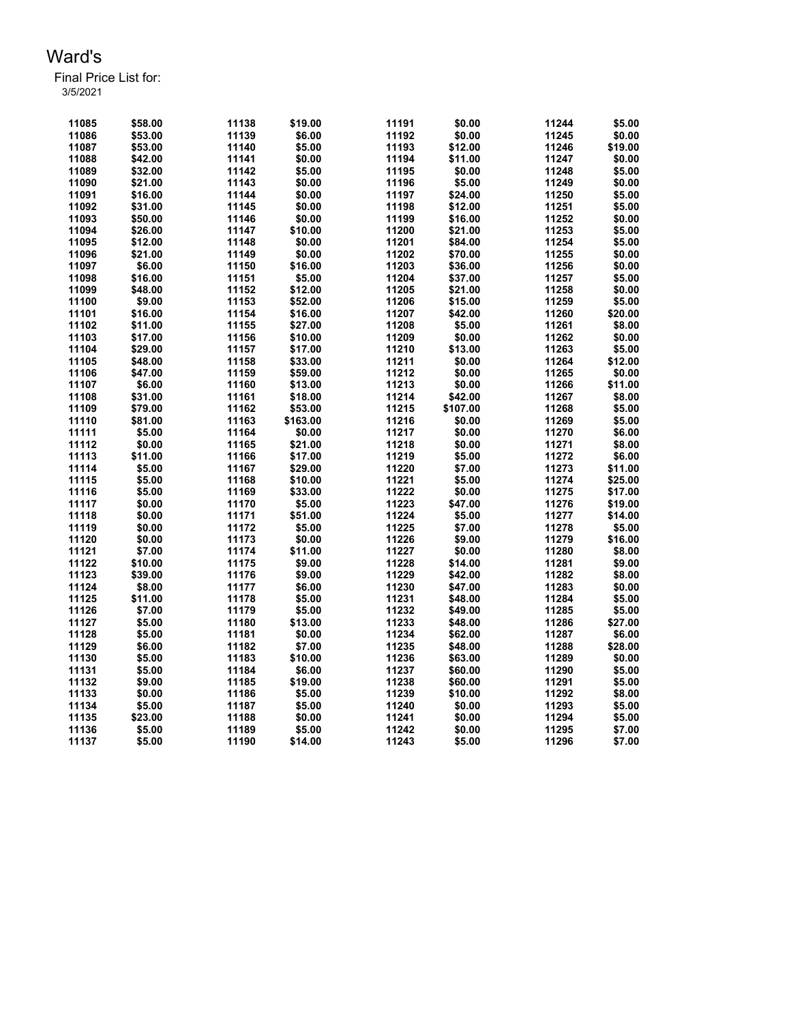| 11085 | \$58.00 | 11138 | \$19.00  | 11191 | \$0.00   | 11244 | \$5.00  |
|-------|---------|-------|----------|-------|----------|-------|---------|
| 11086 | \$53.00 | 11139 | \$6.00   | 11192 | \$0.00   | 11245 | \$0.00  |
| 11087 | \$53.00 | 11140 | \$5.00   | 11193 | \$12.00  | 11246 | \$19.00 |
| 11088 | \$42.00 | 11141 | \$0.00   | 11194 | \$11.00  | 11247 | \$0.00  |
| 11089 | \$32.00 | 11142 | \$5.00   | 11195 | \$0.00   | 11248 | \$5.00  |
| 11090 | \$21.00 | 11143 | \$0.00   | 11196 | \$5.00   | 11249 | \$0.00  |
| 11091 | \$16.00 | 11144 | \$0.00   | 11197 | \$24.00  | 11250 | \$5.00  |
| 11092 | \$31.00 | 11145 | \$0.00   | 11198 | \$12.00  | 11251 | \$5.00  |
| 11093 | \$50.00 | 11146 | \$0.00   | 11199 | \$16.00  | 11252 | \$0.00  |
| 11094 | \$26.00 | 11147 | \$10.00  | 11200 | \$21.00  | 11253 | \$5.00  |
| 11095 | \$12.00 | 11148 | \$0.00   | 11201 | \$84.00  | 11254 | \$5.00  |
| 11096 | \$21.00 | 11149 | \$0.00   | 11202 | \$70.00  | 11255 | \$0.00  |
| 11097 | \$6.00  | 11150 | \$16.00  | 11203 | \$36.00  | 11256 | \$0.00  |
| 11098 | \$16.00 | 11151 | \$5.00   | 11204 | \$37.00  | 11257 | \$5.00  |
| 11099 | \$48.00 | 11152 | \$12.00  | 11205 | \$21.00  | 11258 | \$0.00  |
| 11100 | \$9.00  | 11153 | \$52.00  | 11206 | \$15.00  | 11259 | \$5.00  |
| 11101 | \$16.00 | 11154 | \$16.00  | 11207 | \$42.00  | 11260 | \$20.00 |
| 11102 | \$11.00 | 11155 | \$27.00  | 11208 | \$5.00   | 11261 | \$8.00  |
| 11103 | \$17.00 | 11156 | \$10.00  | 11209 | \$0.00   | 11262 | \$0.00  |
| 11104 | \$29.00 | 11157 | \$17.00  | 11210 | \$13.00  | 11263 | \$5.00  |
| 11105 | \$48.00 | 11158 | \$33.00  | 11211 | \$0.00   | 11264 | \$12.00 |
| 11106 | \$47.00 | 11159 | \$59.00  | 11212 | \$0.00   | 11265 | \$0.00  |
| 11107 | \$6.00  | 11160 | \$13.00  | 11213 | \$0.00   | 11266 | \$11.00 |
| 11108 | \$31.00 | 11161 | \$18.00  | 11214 | \$42.00  | 11267 | \$8.00  |
| 11109 | \$79.00 | 11162 | \$53.00  | 11215 | \$107.00 | 11268 | \$5.00  |
| 11110 | \$81.00 | 11163 | \$163.00 | 11216 | \$0.00   | 11269 | \$5.00  |
| 11111 | \$5.00  | 11164 | \$0.00   | 11217 | \$0.00   | 11270 | \$6.00  |
| 11112 | \$0.00  | 11165 | \$21.00  | 11218 | \$0.00   | 11271 | \$8.00  |
| 11113 | \$11.00 | 11166 | \$17.00  | 11219 | \$5.00   | 11272 | \$6.00  |
| 11114 | \$5.00  | 11167 | \$29.00  | 11220 | \$7.00   | 11273 | \$11.00 |
| 11115 | \$5.00  | 11168 | \$10.00  | 11221 | \$5.00   | 11274 | \$25.00 |
| 11116 | \$5.00  | 11169 | \$33.00  | 11222 | \$0.00   | 11275 | \$17.00 |
| 11117 | \$0.00  | 11170 | \$5.00   | 11223 | \$47.00  | 11276 | \$19.00 |
| 11118 | \$0.00  | 11171 | \$51.00  | 11224 | \$5.00   | 11277 | \$14.00 |
| 11119 | \$0.00  | 11172 | \$5.00   | 11225 | \$7.00   | 11278 | \$5.00  |
| 11120 | \$0.00  | 11173 | \$0.00   | 11226 | \$9.00   | 11279 | \$16.00 |
| 11121 | \$7.00  | 11174 | \$11.00  | 11227 | \$0.00   | 11280 | \$8.00  |
| 11122 | \$10.00 | 11175 | \$9.00   | 11228 | \$14.00  | 11281 | \$9.00  |
| 11123 | \$39.00 | 11176 | \$9.00   | 11229 | \$42.00  | 11282 | \$8.00  |
| 11124 | \$8.00  | 11177 | \$6.00   | 11230 | \$47.00  | 11283 | \$0.00  |
| 11125 | \$11.00 | 11178 | \$5.00   | 11231 | \$48.00  | 11284 | \$5.00  |
| 11126 | \$7.00  | 11179 | \$5.00   | 11232 | \$49.00  | 11285 | \$5.00  |
| 11127 | \$5.00  | 11180 | \$13.00  | 11233 | \$48.00  | 11286 | \$27.00 |
| 11128 | \$5.00  | 11181 | \$0.00   | 11234 | \$62.00  | 11287 | \$6.00  |
| 11129 | \$6.00  | 11182 | \$7.00   | 11235 | \$48.00  | 11288 | \$28.00 |
| 11130 | \$5.00  | 11183 | \$10.00  | 11236 | \$63.00  | 11289 | \$0.00  |
| 11131 | \$5.00  | 11184 | \$6.00   | 11237 | \$60.00  | 11290 | \$5.00  |
| 11132 | \$9.00  | 11185 | \$19.00  | 11238 | \$60.00  | 11291 | \$5.00  |
| 11133 | \$0.00  | 11186 | \$5.00   | 11239 | \$10.00  | 11292 | \$8.00  |
| 11134 | \$5.00  | 11187 | \$5.00   | 11240 | \$0.00   | 11293 | \$5.00  |
| 11135 | \$23.00 | 11188 | \$0.00   | 11241 | \$0.00   | 11294 | \$5.00  |
| 11136 | \$5.00  | 11189 | \$5.00   | 11242 | \$0.00   | 11295 | \$7.00  |
| 11137 | \$5.00  | 11190 | \$14.00  | 11243 | \$5.00   | 11296 | \$7.00  |
|       |         |       |          |       |          |       |         |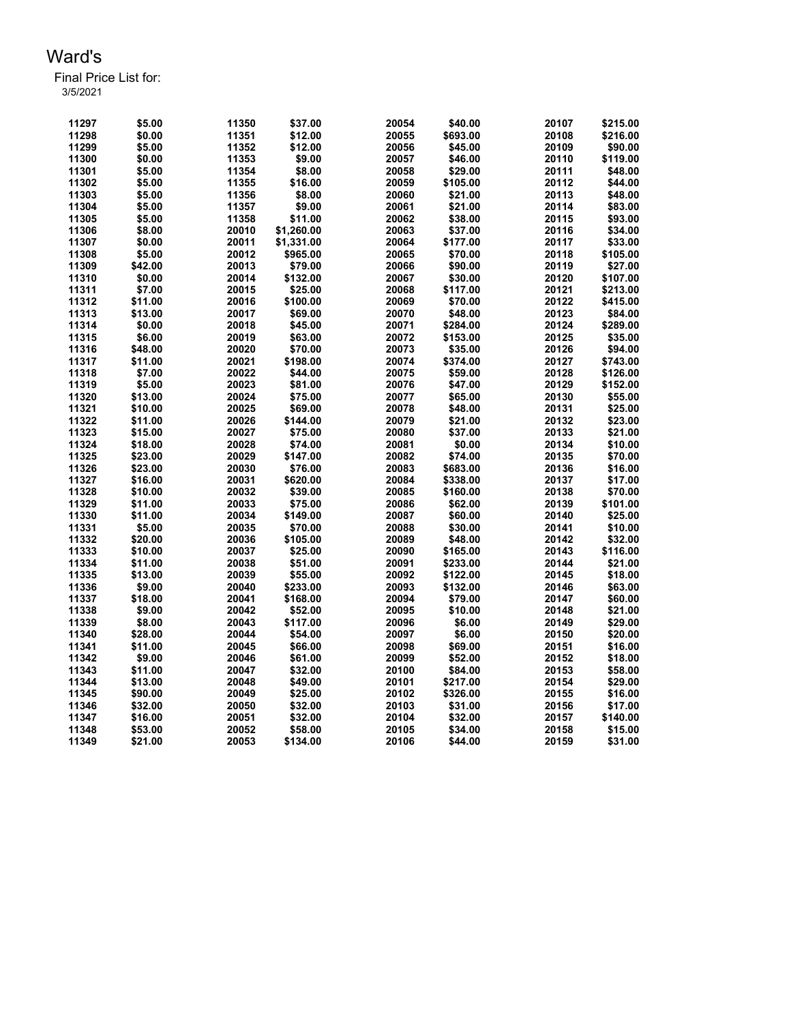| 11297 | \$5.00  | 11350 | \$37.00    | 20054 | \$40.00  | 20107 | \$215.00 |
|-------|---------|-------|------------|-------|----------|-------|----------|
| 11298 | \$0.00  | 11351 | \$12.00    | 20055 | \$693.00 | 20108 | \$216.00 |
| 11299 | \$5.00  | 11352 | \$12.00    | 20056 | \$45.00  | 20109 | \$90.00  |
| 11300 | \$0.00  | 11353 | \$9.00     | 20057 | \$46.00  | 20110 | \$119.00 |
| 11301 | \$5.00  | 11354 | \$8.00     | 20058 | \$29.00  | 20111 | \$48.00  |
| 11302 | \$5.00  | 11355 | \$16.00    | 20059 | \$105.00 | 20112 | \$44.00  |
| 11303 | \$5.00  | 11356 | \$8.00     | 20060 | \$21.00  | 20113 | \$48.00  |
| 11304 | \$5.00  | 11357 | \$9.00     | 20061 | \$21.00  | 20114 | \$83.00  |
| 11305 | \$5.00  | 11358 | \$11.00    | 20062 | \$38.00  | 20115 | \$93.00  |
| 11306 | \$8.00  | 20010 | \$1,260.00 | 20063 | \$37.00  | 20116 | \$34.00  |
| 11307 | \$0.00  | 20011 | \$1,331.00 | 20064 | \$177.00 | 20117 | \$33.00  |
| 11308 | \$5.00  | 20012 | \$965.00   | 20065 | \$70.00  | 20118 | \$105.00 |
| 11309 | \$42.00 | 20013 | \$79.00    | 20066 | \$90.00  | 20119 | \$27.00  |
| 11310 | \$0.00  | 20014 | \$132.00   | 20067 | \$30.00  | 20120 | \$107.00 |
| 11311 | \$7.00  | 20015 | \$25.00    | 20068 | \$117.00 | 20121 | \$213.00 |
| 11312 | \$11.00 | 20016 | \$100.00   | 20069 | \$70.00  | 20122 | \$415.00 |
| 11313 | \$13.00 | 20017 | \$69.00    | 20070 | \$48.00  | 20123 | \$84.00  |
| 11314 | \$0.00  | 20018 | \$45.00    | 20071 | \$284.00 | 20124 | \$289.00 |
| 11315 | \$6.00  | 20019 | \$63.00    | 20072 | \$153.00 | 20125 | \$35.00  |
| 11316 | \$48.00 | 20020 | \$70.00    | 20073 | \$35.00  | 20126 | \$94.00  |
| 11317 | \$11.00 | 20021 | \$198.00   | 20074 | \$374.00 | 20127 | \$743.00 |
| 11318 | \$7.00  | 20022 | \$44.00    | 20075 | \$59.00  | 20128 | \$126.00 |
| 11319 | \$5.00  | 20023 | \$81.00    | 20076 | \$47.00  | 20129 | \$152.00 |
| 11320 | \$13.00 | 20024 | \$75.00    | 20077 | \$65.00  | 20130 | \$55.00  |
| 11321 | \$10.00 | 20025 | \$69.00    | 20078 | \$48.00  | 20131 | \$25.00  |
| 11322 | \$11.00 | 20026 | \$144.00   | 20079 | \$21.00  | 20132 | \$23.00  |
| 11323 | \$15.00 | 20027 | \$75.00    | 20080 | \$37.00  | 20133 | \$21.00  |
| 11324 | \$18.00 | 20028 | \$74.00    | 20081 | \$0.00   | 20134 | \$10.00  |
| 11325 | \$23.00 | 20029 | \$147.00   | 20082 | \$74.00  | 20135 | \$70.00  |
| 11326 | \$23.00 | 20030 | \$76.00    | 20083 | \$683.00 | 20136 | \$16.00  |
| 11327 | \$16.00 | 20031 | \$620.00   | 20084 | \$338.00 | 20137 | \$17.00  |
| 11328 | \$10.00 | 20032 | \$39.00    | 20085 | \$160.00 | 20138 | \$70.00  |
| 11329 | \$11.00 | 20033 | \$75.00    | 20086 | \$62.00  | 20139 | \$101.00 |
| 11330 | \$11.00 | 20034 | \$149.00   | 20087 | \$60.00  | 20140 | \$25.00  |
| 11331 | \$5.00  | 20035 | \$70.00    | 20088 | \$30.00  | 20141 | \$10.00  |
| 11332 | \$20.00 | 20036 | \$105.00   | 20089 | \$48.00  | 20142 | \$32.00  |
| 11333 | \$10.00 | 20037 | \$25.00    | 20090 | \$165.00 | 20143 | \$116.00 |
| 11334 | \$11.00 | 20038 | \$51.00    | 20091 | \$233.00 | 20144 | \$21.00  |
| 11335 | \$13.00 | 20039 | \$55.00    | 20092 | \$122.00 | 20145 | \$18.00  |
| 11336 | \$9.00  | 20040 | \$233.00   | 20093 | \$132.00 | 20146 | \$63.00  |
| 11337 | \$18.00 | 20041 | \$168.00   | 20094 | \$79.00  | 20147 | \$60.00  |
| 11338 | \$9.00  | 20042 | \$52.00    | 20095 | \$10.00  | 20148 | \$21.00  |
| 11339 | \$8.00  | 20043 | \$117.00   | 20096 | \$6.00   | 20149 | \$29.00  |
| 11340 | \$28.00 | 20044 | \$54.00    | 20097 | \$6.00   | 20150 | \$20.00  |
| 11341 | \$11.00 | 20045 | \$66.00    | 20098 | \$69.00  | 20151 | \$16.00  |
| 11342 | \$9.00  | 20046 | \$61.00    | 20099 | \$52.00  | 20152 | \$18.00  |
| 11343 | \$11.00 | 20047 | \$32.00    | 20100 | \$84.00  | 20153 | \$58.00  |
| 11344 | \$13.00 | 20048 | \$49.00    | 20101 | \$217.00 | 20154 | \$29.00  |
| 11345 | \$90.00 | 20049 | \$25.00    | 20102 | \$326.00 | 20155 | \$16.00  |
| 11346 | \$32.00 | 20050 | \$32.00    | 20103 | \$31.00  | 20156 | \$17.00  |
| 11347 | \$16.00 | 20051 | \$32.00    | 20104 | \$32.00  | 20157 | \$140.00 |
| 11348 | \$53.00 | 20052 | \$58.00    | 20105 | \$34.00  | 20158 | \$15.00  |
| 11349 | \$21.00 | 20053 | \$134.00   | 20106 | \$44.00  | 20159 | \$31.00  |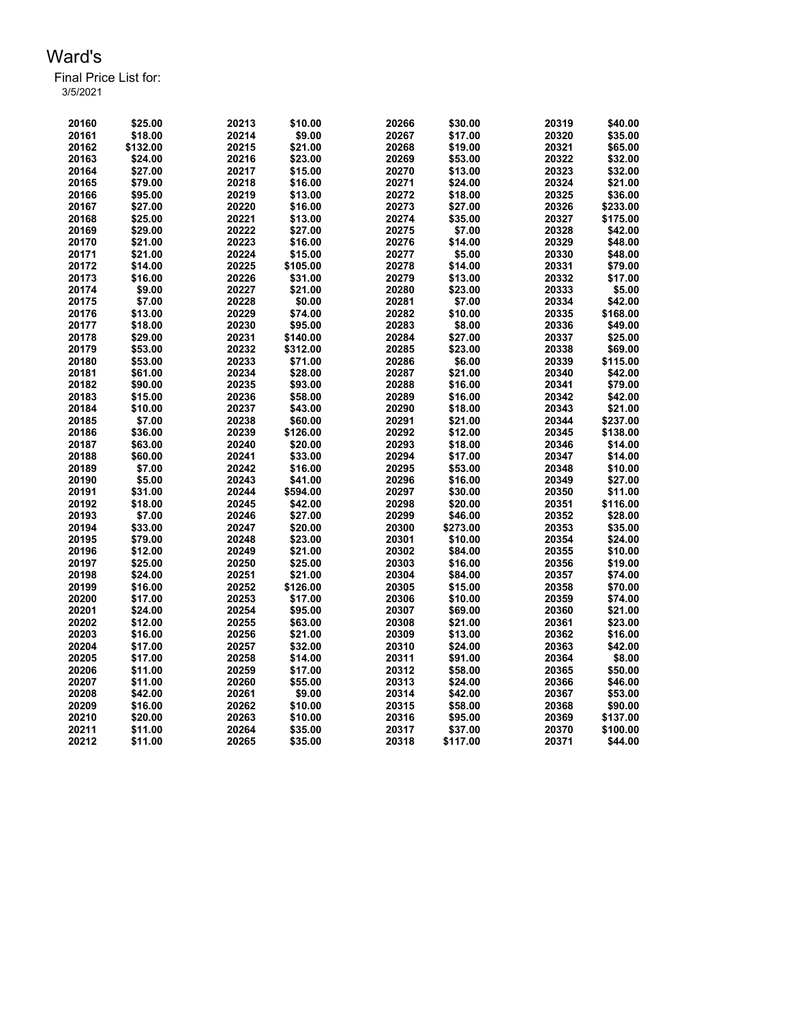| 20160 | \$25.00  | 20213 | \$10.00  | 20266 | \$30.00  | 20319 | \$40.00  |
|-------|----------|-------|----------|-------|----------|-------|----------|
| 20161 | \$18.00  | 20214 | \$9.00   | 20267 | \$17.00  | 20320 | \$35.00  |
| 20162 | \$132.00 | 20215 | \$21.00  | 20268 | \$19.00  | 20321 | \$65.00  |
| 20163 | \$24.00  | 20216 | \$23.00  | 20269 | \$53.00  | 20322 | \$32.00  |
| 20164 | \$27.00  | 20217 | \$15.00  | 20270 | \$13.00  | 20323 | \$32.00  |
| 20165 | \$79.00  | 20218 | \$16.00  | 20271 | \$24.00  | 20324 | \$21.00  |
| 20166 | \$95.00  | 20219 | \$13.00  | 20272 | \$18.00  | 20325 | \$36.00  |
| 20167 | \$27.00  | 20220 | \$16.00  | 20273 | \$27.00  | 20326 | \$233.00 |
| 20168 | \$25.00  | 20221 | \$13.00  | 20274 | \$35.00  | 20327 | \$175.00 |
| 20169 | \$29.00  | 20222 | \$27.00  | 20275 | \$7.00   | 20328 | \$42.00  |
| 20170 | \$21.00  | 20223 | \$16.00  | 20276 | \$14.00  | 20329 | \$48.00  |
| 20171 | \$21.00  | 20224 | \$15.00  | 20277 | \$5.00   | 20330 | \$48.00  |
| 20172 | \$14.00  | 20225 | \$105.00 | 20278 | \$14.00  | 20331 | \$79.00  |
| 20173 | \$16.00  | 20226 | \$31.00  | 20279 | \$13.00  | 20332 | \$17.00  |
| 20174 | \$9.00   | 20227 | \$21.00  | 20280 | \$23.00  | 20333 | \$5.00   |
| 20175 | \$7.00   | 20228 | \$0.00   | 20281 | \$7.00   | 20334 | \$42.00  |
| 20176 | \$13.00  | 20229 | \$74.00  | 20282 | \$10.00  | 20335 | \$168.00 |
| 20177 | \$18.00  | 20230 | \$95.00  | 20283 | \$8.00   | 20336 | \$49.00  |
| 20178 | \$29.00  | 20231 | \$140.00 | 20284 | \$27.00  | 20337 | \$25.00  |
| 20179 | \$53.00  | 20232 | \$312.00 | 20285 | \$23.00  | 20338 | \$69.00  |
| 20180 | \$53.00  | 20233 | \$71.00  | 20286 | \$6.00   | 20339 | \$115.00 |
| 20181 | \$61.00  | 20234 | \$28.00  | 20287 | \$21.00  | 20340 | \$42.00  |
| 20182 | \$90.00  | 20235 | \$93.00  | 20288 | \$16.00  | 20341 | \$79.00  |
| 20183 | \$15.00  | 20236 | \$58.00  | 20289 | \$16.00  | 20342 | \$42.00  |
| 20184 | \$10.00  | 20237 | \$43.00  | 20290 | \$18.00  | 20343 | \$21.00  |
| 20185 | \$7.00   | 20238 | \$60.00  | 20291 | \$21.00  | 20344 | \$237.00 |
| 20186 | \$36.00  | 20239 | \$126.00 | 20292 | \$12.00  | 20345 | \$138.00 |
| 20187 | \$63.00  | 20240 | \$20.00  | 20293 | \$18.00  | 20346 | \$14.00  |
| 20188 | \$60.00  | 20241 | \$33.00  | 20294 | \$17.00  | 20347 | \$14.00  |
| 20189 | \$7.00   | 20242 | \$16.00  | 20295 | \$53.00  | 20348 | \$10.00  |
| 20190 | \$5.00   | 20243 | \$41.00  | 20296 | \$16.00  | 20349 | \$27.00  |
| 20191 | \$31.00  | 20244 | \$594.00 | 20297 | \$30.00  | 20350 | \$11.00  |
| 20192 | \$18.00  | 20245 | \$42.00  | 20298 | \$20.00  | 20351 | \$116.00 |
| 20193 | \$7.00   | 20246 | \$27.00  | 20299 | \$46.00  | 20352 | \$28.00  |
| 20194 | \$33.00  | 20247 | \$20.00  | 20300 | \$273.00 | 20353 | \$35.00  |
| 20195 | \$79.00  | 20248 | \$23.00  | 20301 | \$10.00  | 20354 | \$24.00  |
| 20196 | \$12.00  | 20249 | \$21.00  | 20302 | \$84.00  | 20355 | \$10.00  |
| 20197 | \$25.00  | 20250 | \$25.00  | 20303 | \$16.00  | 20356 | \$19.00  |
| 20198 | \$24.00  | 20251 | \$21.00  | 20304 | \$84.00  | 20357 | \$74.00  |
| 20199 | \$16.00  | 20252 | \$126.00 | 20305 | \$15.00  | 20358 | \$70.00  |
| 20200 | \$17.00  | 20253 | \$17.00  | 20306 | \$10.00  | 20359 | \$74.00  |
| 20201 | \$24.00  | 20254 | \$95.00  | 20307 | \$69.00  | 20360 | \$21.00  |
| 20202 | \$12.00  | 20255 | \$63.00  | 20308 | \$21.00  | 20361 | \$23.00  |
| 20203 | \$16.00  | 20256 | \$21.00  | 20309 | \$13.00  | 20362 | \$16.00  |
| 20204 | \$17.00  | 20257 | \$32.00  | 20310 | \$24.00  | 20363 | \$42.00  |
| 20205 | \$17.00  | 20258 | \$14.00  | 20311 | \$91.00  | 20364 | \$8.00   |
| 20206 | \$11.00  | 20259 | \$17.00  | 20312 | \$58.00  | 20365 | \$50.00  |
| 20207 | \$11.00  | 20260 | \$55.00  | 20313 | \$24.00  | 20366 | \$46.00  |
| 20208 | \$42.00  | 20261 | \$9.00   | 20314 | \$42.00  | 20367 | \$53.00  |
| 20209 | \$16.00  | 20262 | \$10.00  | 20315 | \$58.00  | 20368 | \$90.00  |
| 20210 | \$20.00  | 20263 | \$10.00  | 20316 | \$95.00  | 20369 | \$137.00 |
| 20211 | \$11.00  |       |          | 20317 | \$37.00  | 20370 | \$100.00 |
|       |          | 20264 | \$35.00  |       |          |       |          |
| 20212 | \$11.00  | 20265 | \$35.00  | 20318 | \$117.00 | 20371 | \$44.00  |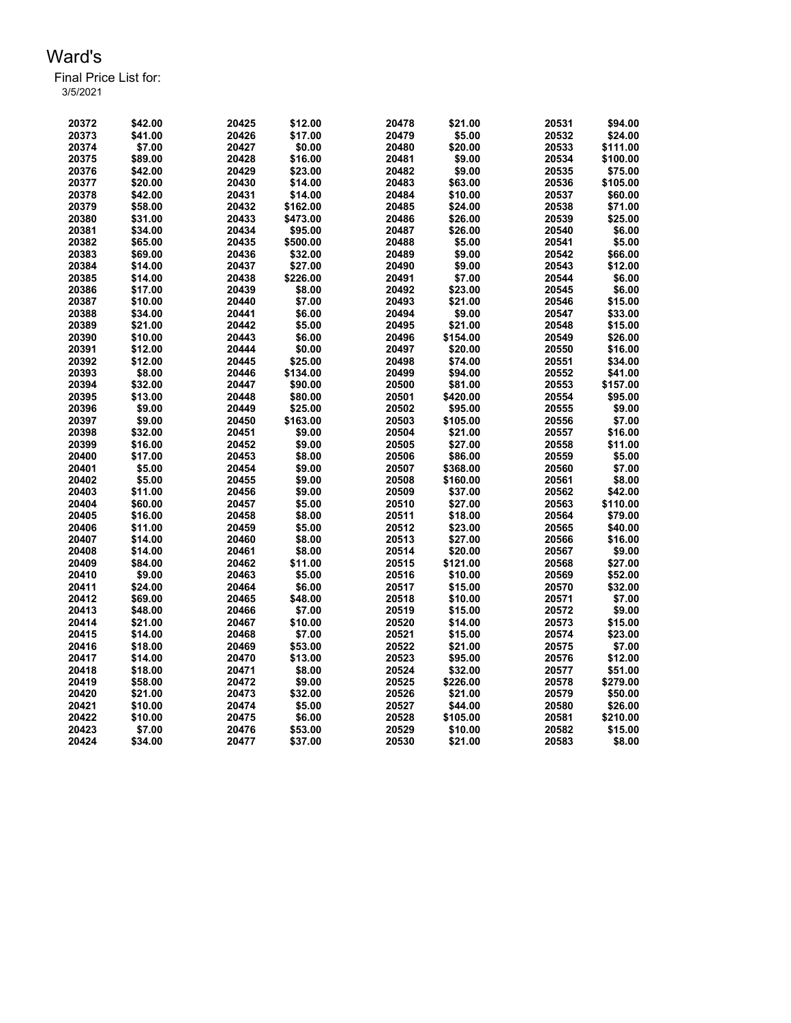| 20372 | \$42.00 | 20425 | \$12.00  | 20478 | \$21.00  | 20531 | \$94.00  |
|-------|---------|-------|----------|-------|----------|-------|----------|
| 20373 | \$41.00 | 20426 | \$17.00  | 20479 | \$5.00   | 20532 | \$24.00  |
| 20374 | \$7.00  | 20427 | \$0.00   | 20480 | \$20.00  | 20533 | \$111.00 |
| 20375 | \$89.00 | 20428 | \$16.00  | 20481 | \$9.00   | 20534 | \$100.00 |
| 20376 | \$42.00 | 20429 | \$23.00  | 20482 | \$9.00   | 20535 | \$75.00  |
| 20377 | \$20.00 | 20430 | \$14.00  | 20483 | \$63.00  | 20536 | \$105.00 |
| 20378 | \$42.00 | 20431 | \$14.00  | 20484 | \$10.00  | 20537 | \$60.00  |
| 20379 | \$58.00 | 20432 | \$162.00 | 20485 | \$24.00  | 20538 | \$71.00  |
| 20380 | \$31.00 | 20433 | \$473.00 | 20486 | \$26.00  | 20539 | \$25.00  |
| 20381 | \$34.00 | 20434 | \$95.00  | 20487 | \$26.00  | 20540 | \$6.00   |
| 20382 | \$65.00 | 20435 | \$500.00 | 20488 | \$5.00   | 20541 | \$5.00   |
| 20383 | \$69.00 | 20436 | \$32.00  | 20489 | \$9.00   | 20542 | \$66.00  |
| 20384 | \$14.00 | 20437 | \$27.00  | 20490 | \$9.00   | 20543 | \$12.00  |
| 20385 | \$14.00 | 20438 | \$226.00 | 20491 | \$7.00   | 20544 | \$6.00   |
| 20386 | \$17.00 | 20439 | \$8.00   | 20492 | \$23.00  | 20545 | \$6.00   |
| 20387 | \$10.00 | 20440 | \$7.00   | 20493 | \$21.00  | 20546 | \$15.00  |
| 20388 | \$34.00 | 20441 | \$6.00   | 20494 | \$9.00   | 20547 | \$33.00  |
| 20389 | \$21.00 | 20442 | \$5.00   | 20495 | \$21.00  | 20548 | \$15.00  |
| 20390 | \$10.00 | 20443 | \$6.00   | 20496 | \$154.00 | 20549 | \$26.00  |
| 20391 | \$12.00 | 20444 | \$0.00   | 20497 | \$20.00  | 20550 | \$16.00  |
| 20392 | \$12.00 | 20445 | \$25.00  | 20498 | \$74.00  | 20551 | \$34.00  |
| 20393 | \$8.00  | 20446 | \$134.00 | 20499 | \$94.00  | 20552 | \$41.00  |
| 20394 | \$32.00 | 20447 | \$90.00  | 20500 | \$81.00  | 20553 | \$157.00 |
| 20395 | \$13.00 | 20448 | \$80.00  | 20501 | \$420.00 | 20554 | \$95.00  |
| 20396 | \$9.00  | 20449 | \$25.00  | 20502 | \$95.00  | 20555 | \$9.00   |
| 20397 | \$9.00  | 20450 | \$163.00 | 20503 | \$105.00 | 20556 | \$7.00   |
| 20398 | \$32.00 | 20451 | \$9.00   | 20504 | \$21.00  | 20557 | \$16.00  |
| 20399 | \$16.00 | 20452 | \$9.00   | 20505 | \$27.00  | 20558 | \$11.00  |
| 20400 | \$17.00 | 20453 | \$8.00   | 20506 | \$86.00  | 20559 | \$5.00   |
| 20401 | \$5.00  | 20454 | \$9.00   | 20507 | \$368.00 | 20560 | \$7.00   |
| 20402 | \$5.00  | 20455 | \$9.00   | 20508 | \$160.00 | 20561 | \$8.00   |
| 20403 | \$11.00 | 20456 | \$9.00   | 20509 | \$37.00  | 20562 | \$42.00  |
| 20404 | \$60.00 | 20457 | \$5.00   | 20510 | \$27.00  | 20563 | \$110.00 |
| 20405 | \$16.00 | 20458 | \$8.00   | 20511 | \$18.00  | 20564 | \$79.00  |
| 20406 | \$11.00 | 20459 | \$5.00   | 20512 | \$23.00  | 20565 | \$40.00  |
| 20407 | \$14.00 | 20460 | \$8.00   | 20513 | \$27.00  | 20566 | \$16.00  |
| 20408 | \$14.00 | 20461 | \$8.00   | 20514 | \$20.00  | 20567 | \$9.00   |
| 20409 | \$84.00 | 20462 | \$11.00  | 20515 | \$121.00 | 20568 | \$27.00  |
| 20410 | \$9.00  | 20463 | \$5.00   | 20516 | \$10.00  | 20569 | \$52.00  |
| 20411 | \$24.00 | 20464 | \$6.00   | 20517 | \$15.00  | 20570 | \$32.00  |
| 20412 | \$69.00 | 20465 | \$48.00  | 20518 | \$10.00  | 20571 | \$7.00   |
| 20413 | \$48.00 | 20466 | \$7.00   | 20519 | \$15.00  | 20572 | \$9.00   |
| 20414 | \$21.00 | 20467 | \$10.00  | 20520 | \$14.00  | 20573 | \$15.00  |
| 20415 | \$14.00 | 20468 | \$7.00   | 20521 | \$15.00  | 20574 | \$23.00  |
| 20416 | \$18.00 | 20469 | \$53.00  | 20522 | \$21.00  | 20575 | \$7.00   |
| 20417 | \$14.00 | 20470 | \$13.00  | 20523 | \$95.00  | 20576 | \$12.00  |
| 20418 | \$18.00 | 20471 | \$8.00   | 20524 | \$32.00  | 20577 | \$51.00  |
| 20419 | \$58.00 | 20472 | \$9.00   | 20525 | \$226.00 | 20578 | \$279.00 |
| 20420 | \$21.00 | 20473 | \$32.00  | 20526 | \$21.00  | 20579 | \$50.00  |
| 20421 | \$10.00 | 20474 | \$5.00   | 20527 | \$44.00  | 20580 | \$26.00  |
| 20422 | \$10.00 | 20475 | \$6.00   | 20528 | \$105.00 | 20581 | \$210.00 |
| 20423 | \$7.00  | 20476 | \$53.00  | 20529 | \$10.00  | 20582 | \$15.00  |
| 20424 | \$34.00 | 20477 | \$37.00  | 20530 | \$21.00  | 20583 | \$8.00   |
|       |         |       |          |       |          |       |          |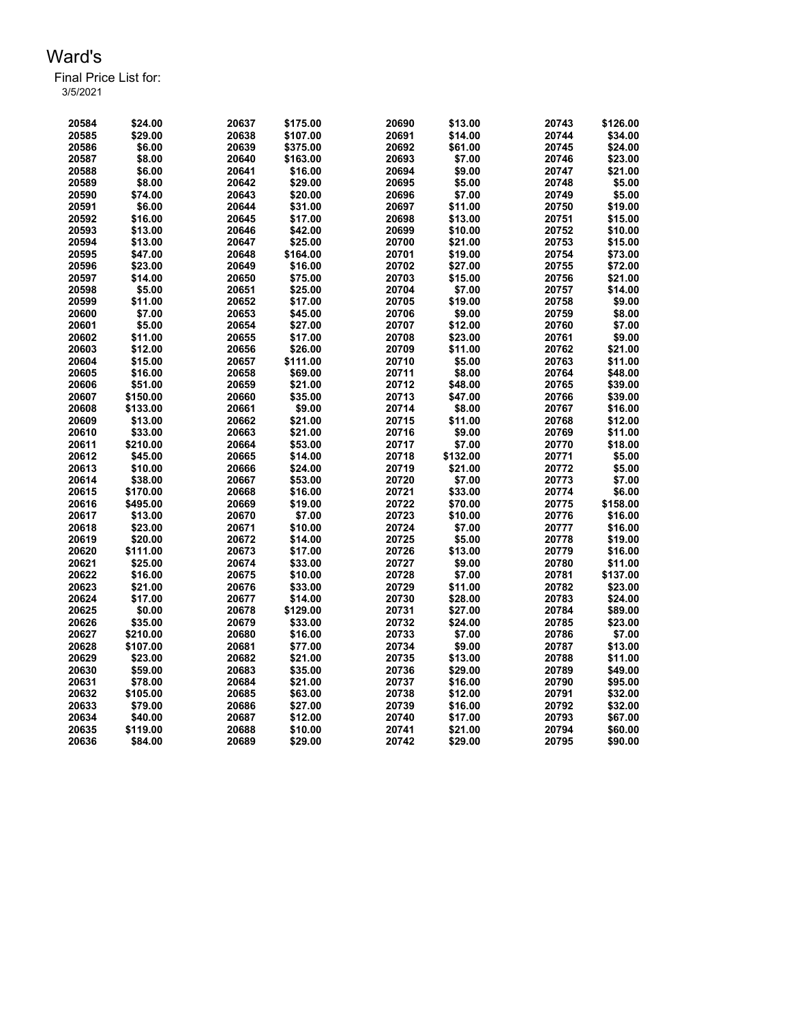| 3/5/2021 |
|----------|
|          |

| 20584 | \$24.00  | 20637 | \$175.00 | 20690 | \$13.00  | 20743 | \$126.00 |
|-------|----------|-------|----------|-------|----------|-------|----------|
| 20585 | \$29.00  | 20638 | \$107.00 | 20691 | \$14.00  | 20744 | \$34.00  |
| 20586 | \$6.00   | 20639 | \$375.00 | 20692 | \$61.00  | 20745 | \$24.00  |
| 20587 | \$8.00   | 20640 | \$163.00 | 20693 | \$7.00   | 20746 | \$23.00  |
| 20588 | \$6.00   | 20641 | \$16.00  | 20694 | \$9.00   | 20747 | \$21.00  |
| 20589 | \$8.00   | 20642 | \$29.00  | 20695 | \$5.00   | 20748 | \$5.00   |
| 20590 | \$74.00  | 20643 | \$20.00  | 20696 | \$7.00   | 20749 | \$5.00   |
| 20591 | \$6.00   | 20644 | \$31.00  | 20697 | \$11.00  | 20750 | \$19.00  |
| 20592 | \$16.00  | 20645 | \$17.00  | 20698 | \$13.00  | 20751 | \$15.00  |
| 20593 | \$13.00  | 20646 | \$42.00  | 20699 | \$10.00  | 20752 | \$10.00  |
| 20594 | \$13.00  | 20647 | \$25.00  | 20700 | \$21.00  | 20753 | \$15.00  |
| 20595 | \$47.00  | 20648 | \$164.00 | 20701 | \$19.00  | 20754 | \$73.00  |
| 20596 | \$23.00  | 20649 | \$16.00  | 20702 | \$27.00  | 20755 | \$72.00  |
| 20597 | \$14.00  | 20650 | \$75.00  | 20703 | \$15.00  | 20756 | \$21.00  |
| 20598 | \$5.00   | 20651 | \$25.00  | 20704 | \$7.00   | 20757 | \$14.00  |
| 20599 | \$11.00  | 20652 | \$17.00  | 20705 | \$19.00  | 20758 | \$9.00   |
| 20600 | \$7.00   | 20653 | \$45.00  | 20706 | \$9.00   | 20759 | \$8.00   |
| 20601 | \$5.00   | 20654 | \$27.00  | 20707 | \$12.00  | 20760 | \$7.00   |
| 20602 | \$11.00  | 20655 | \$17.00  | 20708 | \$23.00  | 20761 | \$9.00   |
| 20603 | \$12.00  | 20656 | \$26.00  | 20709 | \$11.00  | 20762 | \$21.00  |
| 20604 | \$15.00  | 20657 | \$111.00 | 20710 | \$5.00   | 20763 | \$11.00  |
| 20605 | \$16.00  | 20658 | \$69.00  | 20711 | \$8.00   | 20764 | \$48.00  |
| 20606 | \$51.00  | 20659 | \$21.00  | 20712 | \$48.00  | 20765 | \$39.00  |
| 20607 | \$150.00 | 20660 | \$35.00  | 20713 | \$47.00  | 20766 | \$39.00  |
| 20608 | \$133.00 | 20661 | \$9.00   | 20714 | \$8.00   | 20767 | \$16.00  |
| 20609 | \$13.00  | 20662 | \$21.00  | 20715 | \$11.00  | 20768 | \$12.00  |
| 20610 | \$33.00  | 20663 | \$21.00  | 20716 | \$9.00   | 20769 | \$11.00  |
| 20611 | \$210.00 | 20664 | \$53.00  | 20717 | \$7.00   | 20770 | \$18.00  |
| 20612 | \$45.00  | 20665 | \$14.00  | 20718 | \$132.00 | 20771 | \$5.00   |
| 20613 | \$10.00  | 20666 | \$24.00  | 20719 | \$21.00  | 20772 | \$5.00   |
| 20614 | \$38.00  | 20667 | \$53.00  | 20720 | \$7.00   | 20773 | \$7.00   |
| 20615 | \$170.00 | 20668 | \$16.00  | 20721 | \$33.00  | 20774 | \$6.00   |
| 20616 | \$495.00 | 20669 | \$19.00  | 20722 | \$70.00  | 20775 | \$158.00 |
| 20617 | \$13.00  | 20670 | \$7.00   | 20723 | \$10.00  | 20776 | \$16.00  |
| 20618 | \$23.00  | 20671 | \$10.00  | 20724 | \$7.00   | 20777 | \$16.00  |
| 20619 | \$20.00  | 20672 | \$14.00  | 20725 | \$5.00   | 20778 | \$19.00  |
| 20620 | \$111.00 | 20673 | \$17.00  | 20726 | \$13.00  | 20779 | \$16.00  |
| 20621 | \$25.00  | 20674 | \$33.00  | 20727 | \$9.00   | 20780 | \$11.00  |
| 20622 | \$16.00  | 20675 | \$10.00  | 20728 | \$7.00   | 20781 | \$137.00 |
| 20623 | \$21.00  | 20676 | \$33.00  | 20729 | \$11.00  | 20782 | \$23.00  |
| 20624 | \$17.00  | 20677 | \$14.00  | 20730 | \$28.00  | 20783 | \$24.00  |
| 20625 | \$0.00   | 20678 | \$129.00 | 20731 | \$27.00  | 20784 | \$89.00  |
| 20626 | \$35.00  | 20679 | \$33.00  | 20732 | \$24.00  | 20785 | \$23.00  |
| 20627 | \$210.00 | 20680 | \$16.00  | 20733 | \$7.00   | 20786 | \$7.00   |
| 20628 | \$107.00 | 20681 | \$77.00  | 20734 | \$9.00   | 20787 | \$13.00  |
| 20629 | \$23.00  | 20682 | \$21.00  | 20735 | \$13.00  | 20788 | \$11.00  |
| 20630 | \$59.00  | 20683 | \$35.00  | 20736 | \$29.00  | 20789 | \$49.00  |
| 20631 | \$78.00  | 20684 | \$21.00  | 20737 | \$16.00  | 20790 | \$95.00  |
| 20632 | \$105.00 | 20685 | \$63.00  | 20738 | \$12.00  | 20791 | \$32.00  |
| 20633 | \$79.00  | 20686 | \$27.00  | 20739 | \$16.00  | 20792 | \$32.00  |
| 20634 | \$40.00  | 20687 | \$12.00  | 20740 | \$17.00  | 20793 | \$67.00  |
| 20635 | \$119.00 | 20688 | \$10.00  | 20741 | \$21.00  | 20794 | \$60.00  |
| 20636 | \$84.00  | 20689 | \$29.00  | 20742 | \$29.00  | 20795 | \$90.00  |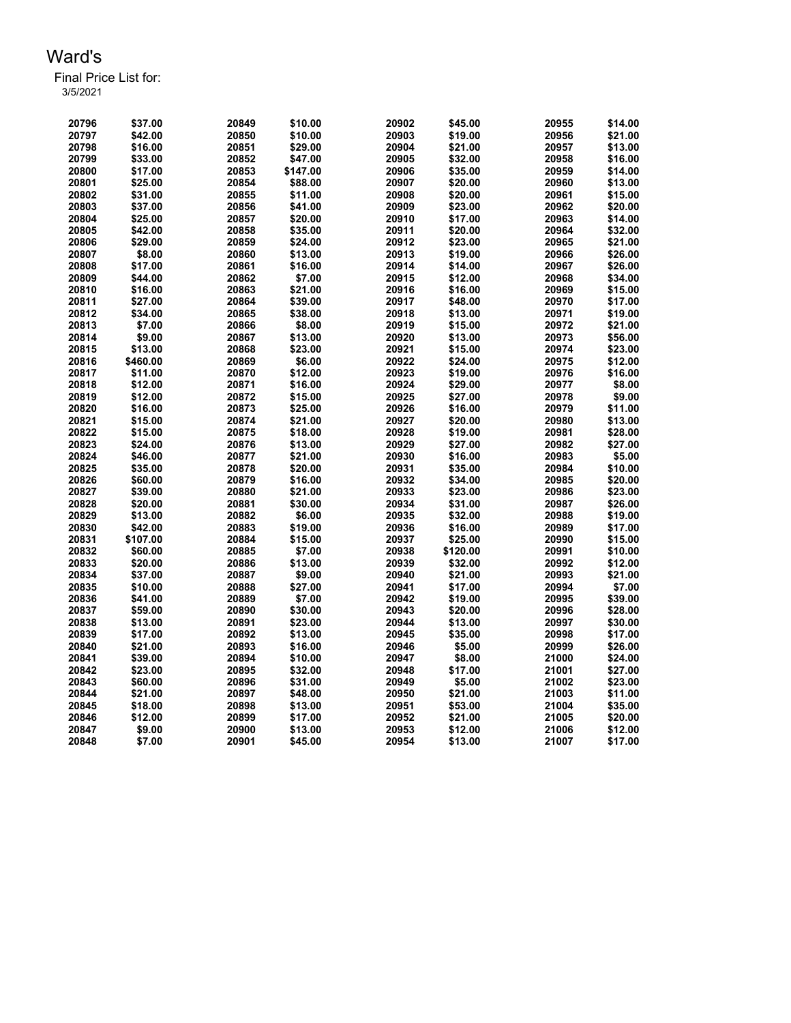| 20796 | \$37.00  | 20849 | \$10.00  | 20902 | \$45.00  | 20955 | \$14.00 |
|-------|----------|-------|----------|-------|----------|-------|---------|
| 20797 | \$42.00  | 20850 | \$10.00  | 20903 | \$19.00  | 20956 | \$21.00 |
| 20798 | \$16.00  | 20851 | \$29.00  | 20904 | \$21.00  | 20957 | \$13.00 |
| 20799 | \$33.00  | 20852 | \$47.00  | 20905 | \$32.00  | 20958 | \$16.00 |
| 20800 | \$17.00  | 20853 | \$147.00 | 20906 | \$35.00  | 20959 | \$14.00 |
| 20801 | \$25.00  | 20854 | \$88.00  | 20907 | \$20.00  | 20960 | \$13.00 |
| 20802 | \$31.00  | 20855 | \$11.00  | 20908 | \$20.00  | 20961 | \$15.00 |
| 20803 | \$37.00  | 20856 | \$41.00  | 20909 | \$23.00  | 20962 | \$20.00 |
| 20804 | \$25.00  | 20857 | \$20.00  | 20910 | \$17.00  | 20963 | \$14.00 |
| 20805 | \$42.00  | 20858 | \$35.00  | 20911 | \$20.00  | 20964 | \$32.00 |
| 20806 | \$29.00  | 20859 | \$24.00  | 20912 | \$23.00  | 20965 | \$21.00 |
| 20807 | \$8.00   | 20860 | \$13.00  | 20913 | \$19.00  | 20966 | \$26.00 |
| 20808 | \$17.00  | 20861 | \$16.00  | 20914 | \$14.00  | 20967 | \$26.00 |
| 20809 | \$44.00  | 20862 | \$7.00   | 20915 | \$12.00  | 20968 | \$34.00 |
| 20810 | \$16.00  | 20863 | \$21.00  | 20916 | \$16.00  | 20969 | \$15.00 |
| 20811 | \$27.00  | 20864 | \$39.00  | 20917 | \$48.00  | 20970 | \$17.00 |
| 20812 | \$34.00  | 20865 | \$38.00  | 20918 | \$13.00  | 20971 | \$19.00 |
| 20813 | \$7.00   | 20866 | \$8.00   | 20919 | \$15.00  | 20972 | \$21.00 |
| 20814 | \$9.00   | 20867 | \$13.00  | 20920 | \$13.00  | 20973 | \$56.00 |
| 20815 | \$13.00  | 20868 | \$23.00  | 20921 | \$15.00  | 20974 | \$23.00 |
| 20816 | \$460.00 | 20869 | \$6.00   | 20922 | \$24.00  | 20975 | \$12.00 |
| 20817 | \$11.00  | 20870 | \$12.00  | 20923 | \$19.00  | 20976 | \$16.00 |
| 20818 | \$12.00  | 20871 | \$16.00  | 20924 | \$29.00  | 20977 | \$8.00  |
| 20819 | \$12.00  | 20872 | \$15.00  | 20925 | \$27.00  | 20978 | \$9.00  |
| 20820 | \$16.00  | 20873 | \$25.00  | 20926 | \$16.00  | 20979 | \$11.00 |
| 20821 | \$15.00  | 20874 | \$21.00  | 20927 | \$20.00  | 20980 | \$13.00 |
| 20822 | \$15.00  | 20875 | \$18.00  | 20928 | \$19.00  | 20981 | \$28.00 |
| 20823 | \$24.00  | 20876 | \$13.00  | 20929 | \$27.00  | 20982 | \$27.00 |
| 20824 | \$46.00  | 20877 | \$21.00  | 20930 | \$16.00  | 20983 | \$5.00  |
| 20825 | \$35.00  | 20878 | \$20.00  | 20931 | \$35.00  | 20984 | \$10.00 |
| 20826 | \$60.00  | 20879 | \$16.00  | 20932 | \$34.00  | 20985 | \$20.00 |
| 20827 | \$39.00  | 20880 | \$21.00  | 20933 | \$23.00  | 20986 | \$23.00 |
| 20828 | \$20.00  | 20881 | \$30.00  | 20934 | \$31.00  | 20987 | \$26.00 |
| 20829 | \$13.00  | 20882 | \$6.00   | 20935 | \$32.00  | 20988 | \$19.00 |
| 20830 | \$42.00  | 20883 | \$19.00  | 20936 | \$16.00  | 20989 | \$17.00 |
| 20831 | \$107.00 | 20884 | \$15.00  | 20937 | \$25.00  | 20990 | \$15.00 |
| 20832 | \$60.00  | 20885 | \$7.00   | 20938 | \$120.00 | 20991 | \$10.00 |
| 20833 | \$20.00  | 20886 | \$13.00  | 20939 | \$32.00  | 20992 | \$12.00 |
| 20834 | \$37.00  | 20887 | \$9.00   | 20940 | \$21.00  | 20993 | \$21.00 |
| 20835 | \$10.00  | 20888 | \$27.00  | 20941 | \$17.00  | 20994 | \$7.00  |
| 20836 | \$41.00  | 20889 | \$7.00   | 20942 | \$19.00  | 20995 | \$39.00 |
| 20837 | \$59.00  | 20890 | \$30.00  | 20943 | \$20.00  | 20996 | \$28.00 |
| 20838 | \$13.00  | 20891 | \$23.00  | 20944 | \$13.00  | 20997 | \$30.00 |
| 20839 | \$17.00  | 20892 | \$13.00  | 20945 | \$35.00  | 20998 | \$17.00 |
| 20840 | \$21.00  | 20893 | \$16.00  | 20946 | \$5.00   | 20999 | \$26.00 |
| 20841 | \$39.00  | 20894 | \$10.00  | 20947 | \$8.00   | 21000 | \$24.00 |
| 20842 | \$23.00  | 20895 | \$32.00  | 20948 | \$17.00  | 21001 | \$27.00 |
| 20843 | \$60.00  | 20896 | \$31.00  | 20949 | \$5.00   | 21002 | \$23.00 |
| 20844 | \$21.00  | 20897 | \$48.00  | 20950 | \$21.00  | 21003 | \$11.00 |
| 20845 | \$18.00  | 20898 | \$13.00  | 20951 | \$53.00  | 21004 | \$35.00 |
| 20846 | \$12.00  | 20899 | \$17.00  | 20952 | \$21.00  | 21005 | \$20.00 |
| 20847 | \$9.00   | 20900 | \$13.00  | 20953 | \$12.00  | 21006 | \$12.00 |
| 20848 | \$7.00   | 20901 | \$45.00  | 20954 | \$13.00  | 21007 | \$17.00 |
|       |          |       |          |       |          |       |         |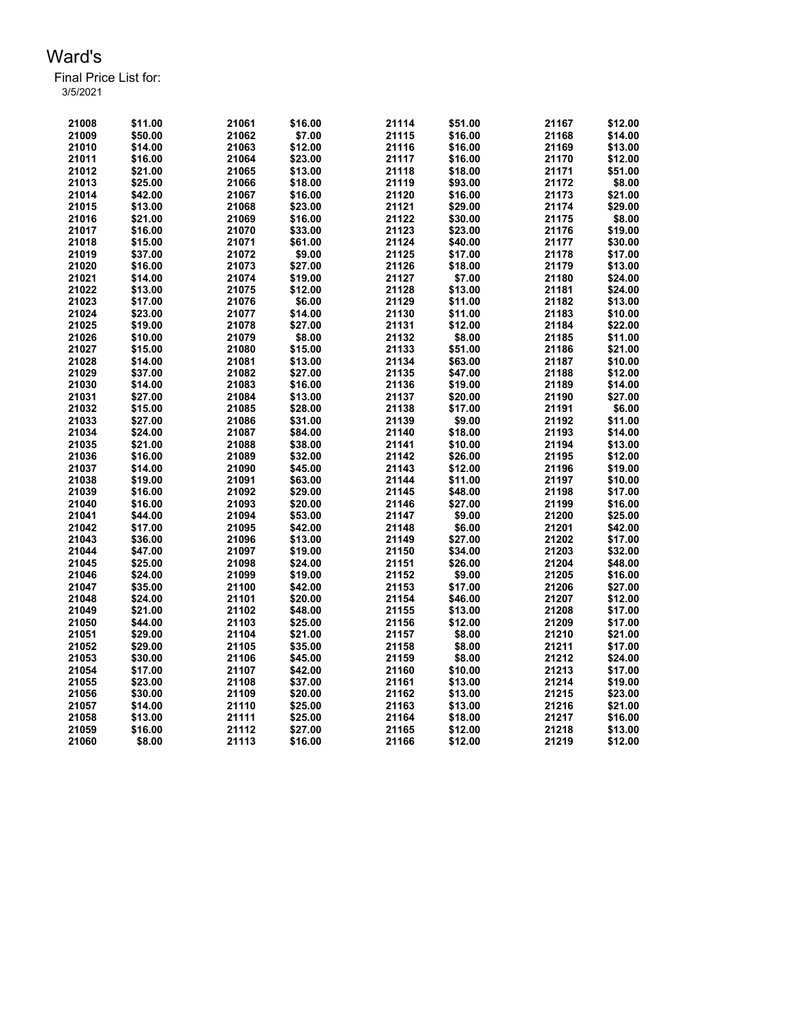| 21008 | \$11.00 | 21061 | \$16.00 | 21114 | \$51.00 | 21167 | \$12.00 |
|-------|---------|-------|---------|-------|---------|-------|---------|
| 21009 | \$50.00 | 21062 | \$7.00  | 21115 | \$16.00 | 21168 | \$14.00 |
| 21010 | \$14.00 | 21063 | \$12.00 | 21116 | \$16.00 | 21169 | \$13.00 |
| 21011 | \$16.00 | 21064 | \$23.00 | 21117 | \$16.00 | 21170 | \$12.00 |
| 21012 | \$21.00 | 21065 | \$13.00 | 21118 | \$18.00 | 21171 | \$51.00 |
| 21013 | \$25.00 | 21066 | \$18.00 | 21119 | \$93.00 | 21172 | \$8.00  |
| 21014 | \$42.00 | 21067 | \$16.00 | 21120 | \$16.00 | 21173 | \$21.00 |
| 21015 | \$13.00 | 21068 | \$23.00 | 21121 | \$29.00 | 21174 | \$29.00 |
| 21016 | \$21.00 | 21069 | \$16.00 | 21122 | \$30.00 | 21175 | \$8.00  |
| 21017 | \$16.00 | 21070 | \$33.00 | 21123 | \$23.00 | 21176 | \$19.00 |
| 21018 | \$15.00 | 21071 | \$61.00 | 21124 | \$40.00 | 21177 | \$30.00 |
| 21019 | \$37.00 | 21072 | \$9.00  | 21125 | \$17.00 | 21178 | \$17.00 |
| 21020 | \$16.00 | 21073 | \$27.00 | 21126 | \$18.00 | 21179 | \$13.00 |
| 21021 | \$14.00 | 21074 | \$19.00 | 21127 | \$7.00  | 21180 | \$24.00 |
| 21022 | \$13.00 | 21075 | \$12.00 | 21128 | \$13.00 | 21181 | \$24.00 |
| 21023 | \$17.00 | 21076 | \$6.00  | 21129 | \$11.00 | 21182 | \$13.00 |
| 21024 | \$23.00 | 21077 | \$14.00 | 21130 | \$11.00 | 21183 | \$10.00 |
| 21025 | \$19.00 | 21078 | \$27.00 | 21131 | \$12.00 | 21184 | \$22.00 |
| 21026 | \$10.00 | 21079 | \$8.00  | 21132 | \$8.00  | 21185 | \$11.00 |
| 21027 | \$15.00 | 21080 | \$15.00 | 21133 | \$51.00 | 21186 | \$21.00 |
| 21028 | \$14.00 | 21081 | \$13.00 | 21134 | \$63.00 | 21187 | \$10.00 |
| 21029 | \$37.00 | 21082 | \$27.00 | 21135 | \$47.00 | 21188 | \$12.00 |
| 21030 | \$14.00 | 21083 | \$16.00 | 21136 | \$19.00 | 21189 | \$14.00 |
| 21031 | \$27.00 | 21084 | \$13.00 | 21137 | \$20.00 | 21190 | \$27.00 |
| 21032 | \$15.00 | 21085 | \$28.00 | 21138 | \$17.00 | 21191 | \$6.00  |
| 21033 | \$27.00 | 21086 | \$31.00 | 21139 | \$9.00  | 21192 | \$11.00 |
| 21034 | \$24.00 | 21087 | \$84.00 | 21140 | \$18.00 | 21193 | \$14.00 |
| 21035 | \$21.00 | 21088 | \$38.00 | 21141 | \$10.00 | 21194 | \$13.00 |
| 21036 | \$16.00 | 21089 | \$32.00 | 21142 | \$26.00 | 21195 | \$12.00 |
| 21037 | \$14.00 | 21090 | \$45.00 | 21143 | \$12.00 | 21196 | \$19.00 |
| 21038 | \$19.00 | 21091 | \$63.00 | 21144 | \$11.00 | 21197 | \$10.00 |
| 21039 | \$16.00 | 21092 | \$29.00 | 21145 | \$48.00 | 21198 | \$17.00 |
| 21040 | \$16.00 | 21093 | \$20.00 | 21146 | \$27.00 | 21199 | \$16.00 |
| 21041 | \$44.00 | 21094 | \$53.00 | 21147 | \$9.00  | 21200 | \$25.00 |
| 21042 | \$17.00 | 21095 | \$42.00 | 21148 | \$6.00  | 21201 | \$42.00 |
| 21043 | \$36.00 | 21096 | \$13.00 | 21149 | \$27.00 | 21202 | \$17.00 |
| 21044 | \$47.00 | 21097 | \$19.00 | 21150 | \$34.00 | 21203 | \$32.00 |
| 21045 | \$25.00 | 21098 | \$24.00 | 21151 | \$26.00 | 21204 | \$48.00 |
| 21046 | \$24.00 | 21099 | \$19.00 | 21152 | \$9.00  | 21205 | \$16.00 |
| 21047 | \$35.00 | 21100 | \$42.00 | 21153 | \$17.00 | 21206 | \$27.00 |
| 21048 | \$24.00 | 21101 | \$20.00 | 21154 | \$46.00 | 21207 | \$12.00 |
| 21049 | \$21.00 | 21102 | \$48.00 | 21155 | \$13.00 | 21208 | \$17.00 |
| 21050 | \$44.00 | 21103 | \$25.00 | 21156 | \$12.00 | 21209 | \$17.00 |
| 21051 | \$29.00 | 21104 | \$21.00 | 21157 | \$8.00  | 21210 | \$21.00 |
| 21052 | \$29.00 | 21105 | \$35.00 | 21158 | \$8.00  | 21211 | \$17.00 |
| 21053 | \$30.00 | 21106 | \$45.00 | 21159 | \$8.00  | 21212 | \$24.00 |
| 21054 | \$17.00 | 21107 | \$42.00 | 21160 | \$10.00 | 21213 | \$17.00 |
| 21055 | \$23.00 | 21108 | \$37.00 | 21161 | \$13.00 | 21214 | \$19.00 |
| 21056 | \$30.00 | 21109 | \$20.00 | 21162 | \$13.00 | 21215 | \$23.00 |
| 21057 | \$14.00 | 21110 | \$25.00 | 21163 | \$13.00 | 21216 | \$21.00 |
| 21058 | \$13.00 | 21111 | \$25.00 | 21164 | \$18.00 | 21217 | \$16.00 |
| 21059 | \$16.00 | 21112 | \$27.00 | 21165 | \$12.00 | 21218 | \$13.00 |
| 21060 | \$8.00  | 21113 | \$16.00 | 21166 | \$12.00 | 21219 | \$12.00 |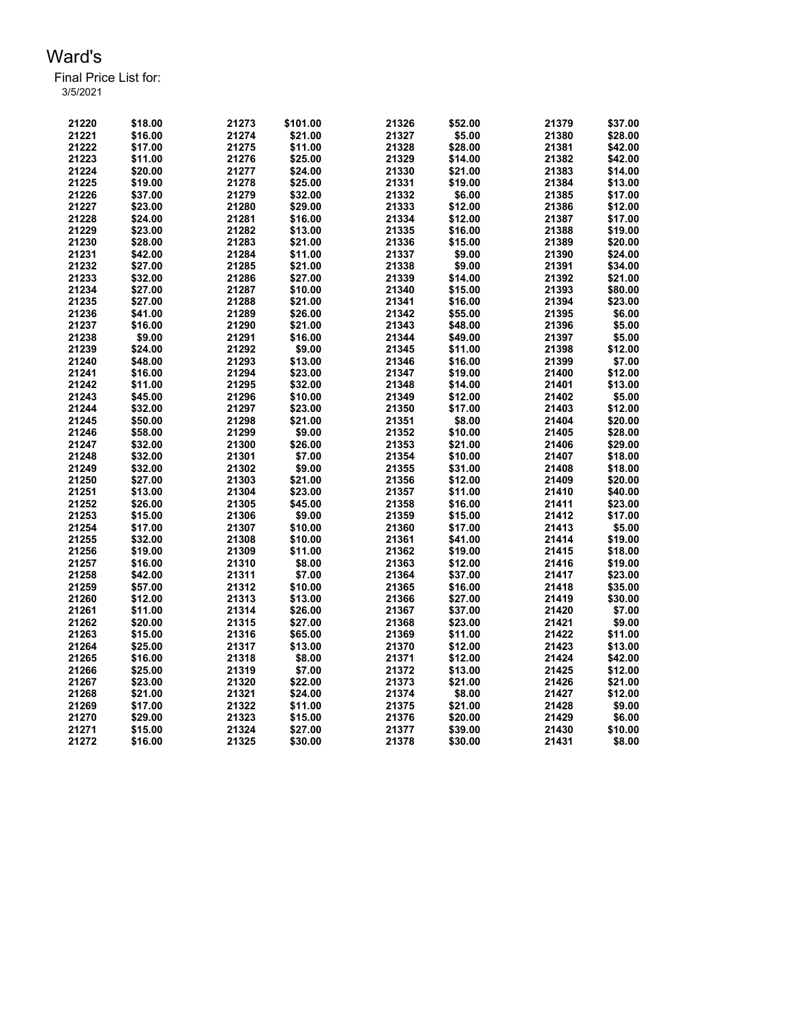| 21220 | \$18.00 | 21273 | \$101.00 | 21326 | \$52.00 | 21379 | \$37.00 |
|-------|---------|-------|----------|-------|---------|-------|---------|
| 21221 | \$16.00 | 21274 | \$21.00  | 21327 | \$5.00  | 21380 | \$28.00 |
| 21222 | \$17.00 | 21275 | \$11.00  | 21328 | \$28.00 | 21381 | \$42.00 |
| 21223 | \$11.00 | 21276 | \$25.00  | 21329 | \$14.00 | 21382 | \$42.00 |
| 21224 | \$20.00 | 21277 | \$24.00  | 21330 | \$21.00 | 21383 | \$14.00 |
| 21225 | \$19.00 | 21278 | \$25.00  | 21331 | \$19.00 | 21384 | \$13.00 |
| 21226 | \$37.00 | 21279 | \$32.00  | 21332 | \$6.00  | 21385 | \$17.00 |
| 21227 | \$23.00 | 21280 | \$29.00  | 21333 | \$12.00 | 21386 | \$12.00 |
| 21228 | \$24.00 | 21281 | \$16.00  | 21334 | \$12.00 | 21387 | \$17.00 |
| 21229 | \$23.00 | 21282 | \$13.00  | 21335 | \$16.00 | 21388 | \$19.00 |
| 21230 | \$28.00 | 21283 | \$21.00  | 21336 | \$15.00 | 21389 | \$20.00 |
| 21231 | \$42.00 | 21284 | \$11.00  | 21337 | \$9.00  | 21390 | \$24.00 |
| 21232 | \$27.00 | 21285 | \$21.00  | 21338 | \$9.00  | 21391 | \$34.00 |
| 21233 | \$32.00 | 21286 | \$27.00  | 21339 | \$14.00 | 21392 | \$21.00 |
| 21234 | \$27.00 | 21287 | \$10.00  | 21340 | \$15.00 | 21393 | \$80.00 |
| 21235 | \$27.00 | 21288 | \$21.00  | 21341 | \$16.00 | 21394 | \$23.00 |
| 21236 | \$41.00 | 21289 | \$26.00  | 21342 | \$55.00 | 21395 | \$6.00  |
| 21237 | \$16.00 | 21290 | \$21.00  | 21343 | \$48.00 | 21396 | \$5.00  |
| 21238 | \$9.00  | 21291 | \$16.00  | 21344 | \$49.00 | 21397 | \$5.00  |
| 21239 | \$24.00 | 21292 | \$9.00   | 21345 | \$11.00 | 21398 | \$12.00 |
| 21240 | \$48.00 | 21293 | \$13.00  | 21346 | \$16.00 | 21399 | \$7.00  |
| 21241 | \$16.00 | 21294 | \$23.00  | 21347 | \$19.00 | 21400 | \$12.00 |
| 21242 | \$11.00 | 21295 | \$32.00  | 21348 | \$14.00 | 21401 | \$13.00 |
| 21243 | \$45.00 | 21296 | \$10.00  | 21349 | \$12.00 | 21402 | \$5.00  |
| 21244 | \$32.00 | 21297 | \$23.00  | 21350 | \$17.00 | 21403 | \$12.00 |
| 21245 | \$50.00 | 21298 | \$21.00  | 21351 | \$8.00  | 21404 | \$20.00 |
| 21246 | \$58.00 | 21299 | \$9.00   | 21352 | \$10.00 | 21405 | \$28.00 |
| 21247 | \$32.00 | 21300 | \$26.00  | 21353 | \$21.00 | 21406 | \$29.00 |
| 21248 | \$32.00 | 21301 | \$7.00   | 21354 | \$10.00 | 21407 | \$18.00 |
| 21249 | \$32.00 | 21302 | \$9.00   | 21355 | \$31.00 | 21408 | \$18.00 |
| 21250 | \$27.00 | 21303 | \$21.00  | 21356 | \$12.00 | 21409 | \$20.00 |
| 21251 | \$13.00 | 21304 | \$23.00  | 21357 | \$11.00 | 21410 | \$40.00 |
| 21252 | \$26.00 | 21305 | \$45.00  | 21358 | \$16.00 | 21411 | \$23.00 |
| 21253 | \$15.00 | 21306 | \$9.00   | 21359 | \$15.00 | 21412 | \$17.00 |
| 21254 | \$17.00 | 21307 | \$10.00  | 21360 | \$17.00 | 21413 | \$5.00  |
| 21255 | \$32.00 | 21308 | \$10.00  | 21361 | \$41.00 | 21414 | \$19.00 |
| 21256 | \$19.00 | 21309 | \$11.00  | 21362 | \$19.00 | 21415 | \$18.00 |
| 21257 | \$16.00 | 21310 | \$8.00   | 21363 | \$12.00 | 21416 | \$19.00 |
| 21258 | \$42.00 | 21311 | \$7.00   | 21364 | \$37.00 | 21417 | \$23.00 |
| 21259 | \$57.00 | 21312 | \$10.00  | 21365 | \$16.00 | 21418 | \$35.00 |
| 21260 | \$12.00 | 21313 | \$13.00  | 21366 | \$27.00 | 21419 | \$30.00 |
| 21261 | \$11.00 | 21314 | \$26.00  | 21367 | \$37.00 | 21420 | \$7.00  |
| 21262 | \$20.00 | 21315 | \$27.00  | 21368 | \$23.00 | 21421 | \$9.00  |
| 21263 | \$15.00 | 21316 | \$65.00  | 21369 | \$11.00 | 21422 | \$11.00 |
| 21264 | \$25.00 | 21317 | \$13.00  | 21370 | \$12.00 | 21423 | \$13.00 |
| 21265 | \$16.00 | 21318 | \$8.00   | 21371 | \$12.00 | 21424 | \$42.00 |
| 21266 | \$25.00 | 21319 | \$7.00   | 21372 | \$13.00 | 21425 | \$12.00 |
| 21267 | \$23.00 | 21320 | \$22.00  | 21373 | \$21.00 | 21426 | \$21.00 |
| 21268 | \$21.00 | 21321 | \$24.00  | 21374 | \$8.00  | 21427 | \$12.00 |
| 21269 | \$17.00 | 21322 | \$11.00  | 21375 | \$21.00 | 21428 | \$9.00  |
| 21270 | \$29.00 | 21323 | \$15.00  | 21376 | \$20.00 | 21429 | \$6.00  |
| 21271 | \$15.00 | 21324 | \$27.00  | 21377 | \$39.00 | 21430 | \$10.00 |
|       |         |       |          |       |         |       | \$8.00  |
| 21272 | \$16.00 | 21325 | \$30.00  | 21378 | \$30.00 | 21431 |         |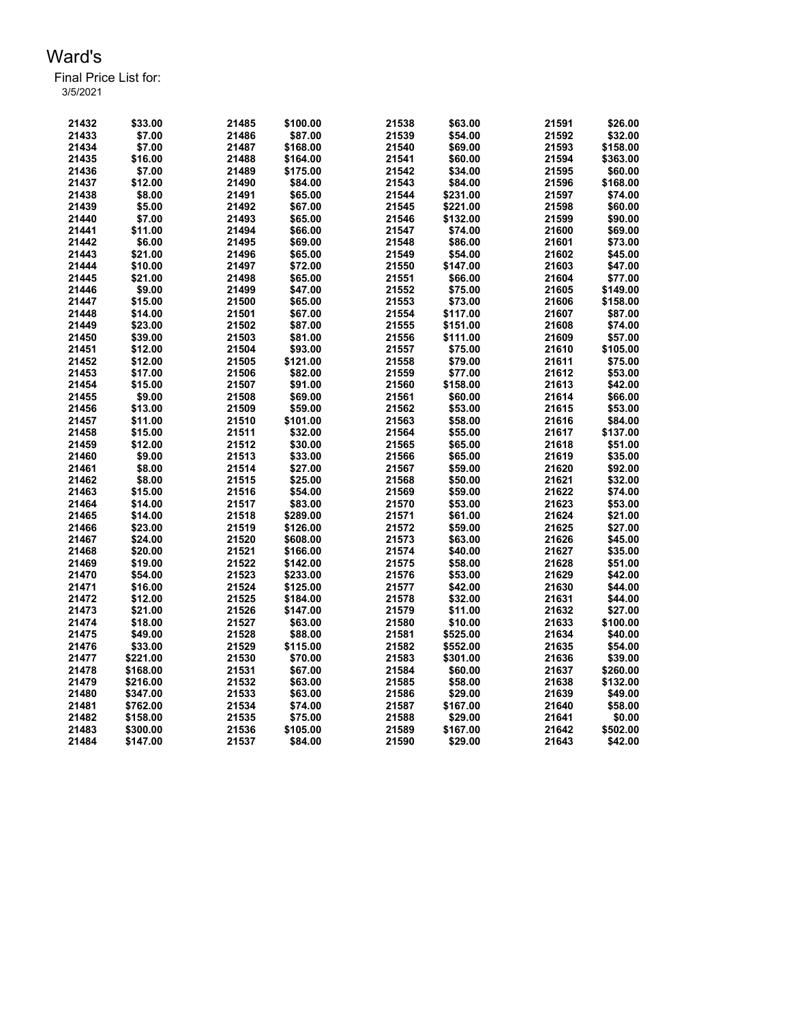| 21432 | \$33.00  | 21485 | \$100.00 | 21538 | \$63.00  | 21591 | \$26.00  |
|-------|----------|-------|----------|-------|----------|-------|----------|
| 21433 | \$7.00   | 21486 | \$87.00  | 21539 | \$54.00  | 21592 | \$32.00  |
| 21434 | \$7.00   | 21487 | \$168.00 | 21540 | \$69.00  | 21593 | \$158.00 |
| 21435 | \$16.00  | 21488 | \$164.00 | 21541 | \$60.00  | 21594 | \$363.00 |
| 21436 | \$7.00   | 21489 | \$175.00 | 21542 | \$34.00  | 21595 | \$60.00  |
| 21437 | \$12.00  | 21490 | \$84.00  | 21543 | \$84.00  | 21596 | \$168.00 |
| 21438 | \$8.00   | 21491 | \$65.00  | 21544 | \$231.00 | 21597 | \$74.00  |
| 21439 | \$5.00   | 21492 | \$67.00  | 21545 | \$221.00 | 21598 | \$60.00  |
| 21440 | \$7.00   | 21493 | \$65.00  | 21546 | \$132.00 | 21599 | \$90.00  |
| 21441 | \$11.00  | 21494 | \$66.00  | 21547 | \$74.00  | 21600 | \$69.00  |
| 21442 | \$6.00   | 21495 | \$69.00  | 21548 | \$86.00  | 21601 | \$73.00  |
| 21443 | \$21.00  | 21496 | \$65.00  | 21549 | \$54.00  | 21602 | \$45.00  |
| 21444 | \$10.00  | 21497 | \$72.00  | 21550 | \$147.00 | 21603 | \$47.00  |
| 21445 | \$21.00  | 21498 | \$65.00  | 21551 | \$66.00  | 21604 | \$77.00  |
| 21446 | \$9.00   | 21499 | \$47.00  | 21552 | \$75.00  | 21605 | \$149.00 |
| 21447 | \$15.00  | 21500 | \$65.00  | 21553 | \$73.00  | 21606 | \$158.00 |
| 21448 | \$14.00  | 21501 | \$67.00  | 21554 | \$117.00 | 21607 | \$87.00  |
| 21449 | \$23.00  | 21502 | \$87.00  | 21555 | \$151.00 | 21608 | \$74.00  |
| 21450 | \$39.00  | 21503 | \$81.00  | 21556 | \$111.00 | 21609 | \$57.00  |
| 21451 | \$12.00  | 21504 | \$93.00  | 21557 | \$75.00  | 21610 | \$105.00 |
| 21452 | \$12.00  | 21505 | \$121.00 | 21558 | \$79.00  | 21611 | \$75.00  |
| 21453 | \$17.00  | 21506 | \$82.00  | 21559 | \$77.00  | 21612 | \$53.00  |
| 21454 | \$15.00  | 21507 | \$91.00  | 21560 | \$158.00 | 21613 | \$42.00  |
| 21455 | \$9.00   | 21508 | \$69.00  | 21561 | \$60.00  | 21614 | \$66.00  |
| 21456 | \$13.00  | 21509 | \$59.00  | 21562 | \$53.00  | 21615 | \$53.00  |
| 21457 | \$11.00  | 21510 | \$101.00 | 21563 | \$58.00  | 21616 | \$84.00  |
| 21458 | \$15.00  | 21511 | \$32.00  | 21564 | \$55.00  | 21617 | \$137.00 |
| 21459 | \$12.00  | 21512 | \$30.00  | 21565 | \$65.00  | 21618 | \$51.00  |
| 21460 | \$9.00   | 21513 | \$33.00  | 21566 | \$65.00  | 21619 | \$35.00  |
| 21461 | \$8.00   | 21514 | \$27.00  | 21567 | \$59.00  | 21620 | \$92.00  |
| 21462 | \$8.00   | 21515 | \$25.00  | 21568 | \$50.00  | 21621 | \$32.00  |
| 21463 | \$15.00  | 21516 | \$54.00  | 21569 | \$59.00  | 21622 | \$74.00  |
| 21464 | \$14.00  | 21517 | \$83.00  | 21570 | \$53.00  | 21623 | \$53.00  |
| 21465 | \$14.00  | 21518 | \$289.00 | 21571 | \$61.00  | 21624 | \$21.00  |
| 21466 | \$23.00  | 21519 | \$126.00 | 21572 | \$59.00  | 21625 | \$27.00  |
| 21467 | \$24.00  | 21520 | \$608.00 | 21573 | \$63.00  | 21626 | \$45.00  |
| 21468 | \$20.00  | 21521 | \$166.00 | 21574 | \$40.00  | 21627 | \$35.00  |
| 21469 | \$19.00  | 21522 | \$142.00 | 21575 | \$58.00  | 21628 | \$51.00  |
| 21470 | \$54.00  | 21523 | \$233.00 | 21576 | \$53.00  | 21629 | \$42.00  |
| 21471 | \$16.00  | 21524 | \$125.00 | 21577 | \$42.00  | 21630 | \$44.00  |
| 21472 | \$12.00  | 21525 | \$184.00 | 21578 | \$32.00  | 21631 | \$44.00  |
| 21473 | \$21.00  | 21526 | \$147.00 | 21579 | \$11.00  | 21632 | \$27.00  |
| 21474 | \$18.00  | 21527 | \$63.00  | 21580 | \$10.00  | 21633 | \$100.00 |
| 21475 | \$49.00  | 21528 | \$88.00  | 21581 | \$525.00 | 21634 | \$40.00  |
| 21476 | \$33.00  | 21529 | \$115.00 | 21582 | \$552.00 | 21635 | \$54.00  |
| 21477 | \$221.00 | 21530 | \$70.00  | 21583 | \$301.00 | 21636 | \$39.00  |
| 21478 | \$168.00 | 21531 | \$67.00  | 21584 | \$60.00  | 21637 | \$260.00 |
| 21479 | \$216.00 | 21532 | \$63.00  | 21585 | \$58.00  | 21638 | \$132.00 |
| 21480 | \$347.00 | 21533 | \$63.00  | 21586 | \$29.00  | 21639 | \$49.00  |
| 21481 | \$762.00 | 21534 | \$74.00  | 21587 | \$167.00 | 21640 | \$58.00  |
| 21482 | \$158.00 | 21535 | \$75.00  | 21588 | \$29.00  | 21641 | \$0.00   |
| 21483 | \$300.00 | 21536 | \$105.00 | 21589 | \$167.00 | 21642 | \$502.00 |
| 21484 | \$147.00 | 21537 | \$84.00  | 21590 | \$29.00  | 21643 | \$42.00  |
|       |          |       |          |       |          |       |          |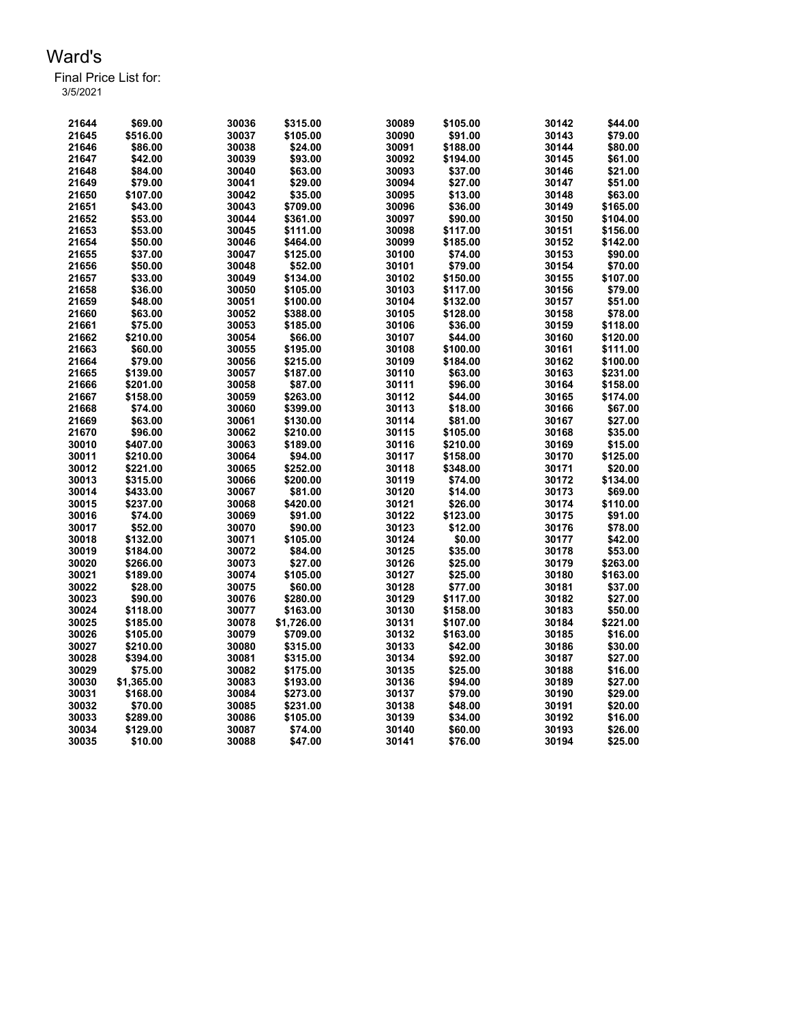| 21644 | \$69.00    | 30036 | \$315.00   | 30089 | \$105.00 | 30142 | \$44.00              |
|-------|------------|-------|------------|-------|----------|-------|----------------------|
| 21645 | \$516.00   | 30037 | \$105.00   | 30090 | \$91.00  | 30143 | \$79.00              |
| 21646 | \$86.00    | 30038 | \$24.00    | 30091 | \$188.00 | 30144 | \$80.00              |
| 21647 | \$42.00    | 30039 | \$93.00    | 30092 | \$194.00 | 30145 | \$61.00              |
| 21648 | \$84.00    | 30040 | \$63.00    | 30093 | \$37.00  | 30146 | \$21.00              |
| 21649 | \$79.00    | 30041 | \$29.00    | 30094 | \$27.00  | 30147 | \$51.00              |
| 21650 | \$107.00   | 30042 | \$35.00    | 30095 | \$13.00  | 30148 | \$63.00              |
| 21651 | \$43.00    | 30043 | \$709.00   | 30096 | \$36.00  | 30149 | \$165.00             |
| 21652 | \$53.00    | 30044 | \$361.00   | 30097 | \$90.00  | 30150 | \$104.00             |
| 21653 | \$53.00    | 30045 | \$111.00   | 30098 | \$117.00 | 30151 | \$156.00             |
| 21654 | \$50.00    | 30046 | \$464.00   | 30099 | \$185.00 | 30152 | \$142.00             |
| 21655 | \$37.00    | 30047 | \$125.00   | 30100 | \$74.00  | 30153 | \$90.00              |
| 21656 | \$50.00    | 30048 | \$52.00    | 30101 | \$79.00  | 30154 | \$70.00              |
| 21657 | \$33.00    | 30049 | \$134.00   | 30102 | \$150.00 | 30155 | \$107.00             |
| 21658 | \$36.00    | 30050 | \$105.00   | 30103 | \$117.00 | 30156 | \$79.00              |
| 21659 | \$48.00    | 30051 | \$100.00   | 30104 | \$132.00 | 30157 | \$51.00              |
| 21660 | \$63.00    | 30052 | \$388.00   | 30105 | \$128.00 | 30158 | \$78.00              |
| 21661 | \$75.00    | 30053 | \$185.00   | 30106 | \$36.00  | 30159 | \$118.00             |
| 21662 | \$210.00   | 30054 | \$66.00    | 30107 | \$44.00  | 30160 | \$120.00             |
| 21663 | \$60.00    | 30055 | \$195.00   | 30108 | \$100.00 | 30161 | \$111.00             |
| 21664 | \$79.00    | 30056 | \$215.00   | 30109 | \$184.00 | 30162 | \$100.00             |
| 21665 | \$139.00   | 30057 | \$187.00   | 30110 | \$63.00  | 30163 | \$231.00             |
| 21666 | \$201.00   | 30058 | \$87.00    | 30111 | \$96.00  | 30164 | \$158.00             |
| 21667 | \$158.00   | 30059 | \$263.00   | 30112 | \$44.00  | 30165 | \$174.00             |
| 21668 | \$74.00    | 30060 | \$399.00   | 30113 | \$18.00  | 30166 | \$67.00              |
| 21669 | \$63.00    | 30061 | \$130.00   | 30114 | \$81.00  | 30167 | \$27.00              |
| 21670 | \$96.00    | 30062 | \$210.00   | 30115 | \$105.00 | 30168 | \$35.00              |
| 30010 | \$407.00   | 30063 | \$189.00   | 30116 | \$210.00 | 30169 | \$15.00              |
| 30011 | \$210.00   | 30064 | \$94.00    | 30117 | \$158.00 | 30170 | \$125.00             |
| 30012 | \$221.00   | 30065 | \$252.00   | 30118 | \$348.00 | 30171 | \$20.00              |
| 30013 | \$315.00   | 30066 | \$200.00   | 30119 | \$74.00  | 30172 | \$134.00             |
| 30014 | \$433.00   | 30067 | \$81.00    | 30120 | \$14.00  | 30173 | \$69.00              |
| 30015 | \$237.00   | 30068 | \$420.00   | 30121 | \$26.00  | 30174 | \$110.00             |
| 30016 | \$74.00    | 30069 | \$91.00    | 30122 | \$123.00 | 30175 | \$91.00              |
| 30017 | \$52.00    | 30070 | \$90.00    | 30123 | \$12.00  | 30176 | \$78.00              |
| 30018 | \$132.00   | 30071 | \$105.00   | 30124 | \$0.00   | 30177 | \$42.00              |
|       |            |       |            | 30125 |          |       | \$53.00              |
| 30019 | \$184.00   | 30072 | \$84.00    |       | \$35.00  | 30178 |                      |
| 30020 | \$266.00   | 30073 | \$27.00    | 30126 | \$25.00  | 30179 | \$263.00<br>\$163.00 |
| 30021 | \$189.00   | 30074 | \$105.00   | 30127 | \$25.00  | 30180 |                      |
| 30022 | \$28.00    | 30075 | \$60.00    | 30128 | \$77.00  | 30181 | \$37.00              |
| 30023 | \$90.00    | 30076 | \$280.00   | 30129 | \$117.00 | 30182 | \$27.00              |
| 30024 | \$118.00   | 30077 | \$163.00   | 30130 | \$158.00 | 30183 | \$50.00              |
| 30025 | \$185.00   | 30078 | \$1,726.00 | 30131 | \$107.00 | 30184 | \$221.00             |
| 30026 | \$105.00   | 30079 | \$709.00   | 30132 | \$163.00 | 30185 | \$16.00              |
| 30027 | \$210.00   | 30080 | \$315.00   | 30133 | \$42.00  | 30186 | \$30.00              |
| 30028 | \$394.00   | 30081 | \$315.00   | 30134 | \$92.00  | 30187 | \$27.00              |
| 30029 | \$75.00    | 30082 | \$175.00   | 30135 | \$25.00  | 30188 | \$16.00              |
| 30030 | \$1,365.00 | 30083 | \$193.00   | 30136 | \$94.00  | 30189 | \$27.00              |
| 30031 | \$168.00   | 30084 | \$273.00   | 30137 | \$79.00  | 30190 | \$29.00              |
| 30032 | \$70.00    | 30085 | \$231.00   | 30138 | \$48.00  | 30191 | \$20.00              |
| 30033 | \$289.00   | 30086 | \$105.00   | 30139 | \$34.00  | 30192 | \$16.00              |
| 30034 | \$129.00   | 30087 | \$74.00    | 30140 | \$60.00  | 30193 | \$26.00              |
| 30035 | \$10.00    | 30088 | \$47.00    | 30141 | \$76.00  | 30194 | \$25.00              |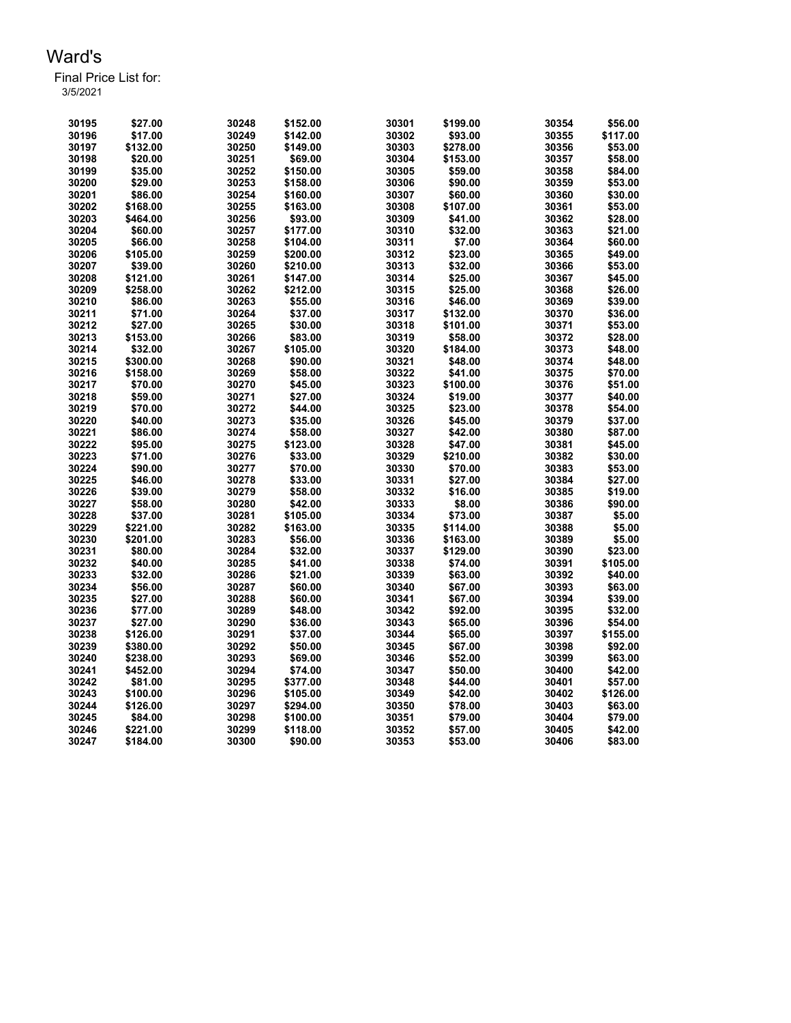| 30195 | \$27.00  | 30248 | \$152.00 | 30301 | \$199.00 | 30354 | \$56.00  |
|-------|----------|-------|----------|-------|----------|-------|----------|
| 30196 | \$17.00  | 30249 | \$142.00 | 30302 | \$93.00  | 30355 | \$117.00 |
| 30197 | \$132.00 | 30250 | \$149.00 | 30303 | \$278.00 | 30356 | \$53.00  |
| 30198 | \$20.00  | 30251 | \$69.00  | 30304 | \$153.00 | 30357 | \$58.00  |
| 30199 | \$35.00  | 30252 | \$150.00 | 30305 | \$59.00  | 30358 | \$84.00  |
| 30200 | \$29.00  | 30253 | \$158.00 | 30306 | \$90.00  | 30359 | \$53.00  |
| 30201 | \$86.00  | 30254 | \$160.00 | 30307 | \$60.00  | 30360 | \$30.00  |
| 30202 | \$168.00 | 30255 | \$163.00 | 30308 | \$107.00 | 30361 | \$53.00  |
| 30203 | \$464.00 | 30256 | \$93.00  | 30309 | \$41.00  | 30362 | \$28.00  |
| 30204 | \$60.00  | 30257 | \$177.00 | 30310 | \$32.00  | 30363 | \$21.00  |
| 30205 | \$66.00  | 30258 | \$104.00 | 30311 | \$7.00   | 30364 | \$60.00  |
| 30206 | \$105.00 | 30259 | \$200.00 | 30312 | \$23.00  | 30365 | \$49.00  |
| 30207 | \$39.00  | 30260 | \$210.00 | 30313 | \$32.00  | 30366 | \$53.00  |
| 30208 | \$121.00 | 30261 | \$147.00 | 30314 | \$25.00  | 30367 | \$45.00  |
| 30209 | \$258.00 | 30262 | \$212.00 | 30315 | \$25.00  | 30368 | \$26.00  |
| 30210 | \$86.00  | 30263 | \$55.00  | 30316 | \$46.00  | 30369 | \$39.00  |
| 30211 | \$71.00  | 30264 | \$37.00  | 30317 | \$132.00 | 30370 | \$36.00  |
| 30212 | \$27.00  | 30265 | \$30.00  | 30318 | \$101.00 | 30371 | \$53.00  |
| 30213 | \$153.00 | 30266 | \$83.00  | 30319 | \$58.00  | 30372 | \$28.00  |
| 30214 | \$32.00  | 30267 | \$105.00 | 30320 | \$184.00 | 30373 | \$48.00  |
| 30215 | \$300.00 | 30268 | \$90.00  | 30321 | \$48.00  | 30374 | \$48.00  |
| 30216 | \$158.00 | 30269 | \$58.00  | 30322 | \$41.00  | 30375 | \$70.00  |
| 30217 | \$70.00  | 30270 | \$45.00  | 30323 | \$100.00 | 30376 | \$51.00  |
| 30218 | \$59.00  | 30271 | \$27.00  | 30324 | \$19.00  | 30377 | \$40.00  |
| 30219 | \$70.00  | 30272 | \$44.00  | 30325 | \$23.00  | 30378 | \$54.00  |
| 30220 | \$40.00  | 30273 | \$35.00  | 30326 | \$45.00  | 30379 | \$37.00  |
| 30221 | \$86.00  | 30274 | \$58.00  | 30327 | \$42.00  | 30380 | \$87.00  |
| 30222 | \$95.00  | 30275 | \$123.00 | 30328 | \$47.00  | 30381 | \$45.00  |
| 30223 | \$71.00  | 30276 | \$33.00  | 30329 | \$210.00 | 30382 | \$30.00  |
| 30224 | \$90.00  | 30277 | \$70.00  | 30330 | \$70.00  | 30383 | \$53.00  |
| 30225 | \$46.00  | 30278 | \$33.00  | 30331 | \$27.00  | 30384 | \$27.00  |
| 30226 | \$39.00  | 30279 | \$58.00  | 30332 | \$16.00  | 30385 | \$19.00  |
| 30227 | \$58.00  | 30280 | \$42.00  | 30333 | \$8.00   | 30386 | \$90.00  |
| 30228 | \$37.00  | 30281 | \$105.00 | 30334 | \$73.00  | 30387 | \$5.00   |
| 30229 | \$221.00 | 30282 | \$163.00 | 30335 | \$114.00 | 30388 | \$5.00   |
| 30230 | \$201.00 | 30283 | \$56.00  | 30336 | \$163.00 | 30389 | \$5.00   |
| 30231 | \$80.00  | 30284 | \$32.00  | 30337 | \$129.00 | 30390 | \$23.00  |
| 30232 | \$40.00  | 30285 | \$41.00  | 30338 | \$74.00  | 30391 | \$105.00 |
| 30233 | \$32.00  | 30286 | \$21.00  | 30339 | \$63.00  | 30392 | \$40.00  |
| 30234 | \$56.00  | 30287 | \$60.00  | 30340 | \$67.00  | 30393 | \$63.00  |
| 30235 | \$27.00  | 30288 | \$60.00  | 30341 | \$67.00  | 30394 | \$39.00  |
| 30236 | \$77.00  | 30289 | \$48.00  | 30342 | \$92.00  | 30395 | \$32.00  |
| 30237 | \$27.00  | 30290 | \$36.00  | 30343 | \$65.00  | 30396 | \$54.00  |
| 30238 | \$126.00 | 30291 | \$37.00  | 30344 | \$65.00  | 30397 | \$155.00 |
| 30239 | \$380.00 | 30292 | \$50.00  | 30345 | \$67.00  | 30398 | \$92.00  |
| 30240 | \$238.00 | 30293 | \$69.00  | 30346 | \$52.00  | 30399 | \$63.00  |
| 30241 | \$452.00 | 30294 | \$74.00  | 30347 | \$50.00  | 30400 | \$42.00  |
| 30242 | \$81.00  | 30295 | \$377.00 | 30348 | \$44.00  | 30401 | \$57.00  |
| 30243 | \$100.00 | 30296 | \$105.00 | 30349 | \$42.00  | 30402 | \$126.00 |
| 30244 | \$126.00 | 30297 | \$294.00 | 30350 | \$78.00  | 30403 | \$63.00  |
| 30245 | \$84.00  | 30298 | \$100.00 | 30351 | \$79.00  | 30404 | \$79.00  |
| 30246 | \$221.00 | 30299 | \$118.00 | 30352 | \$57.00  | 30405 | \$42.00  |
| 30247 | \$184.00 | 30300 | \$90.00  | 30353 | \$53.00  | 30406 | \$83.00  |
|       |          |       |          |       |          |       |          |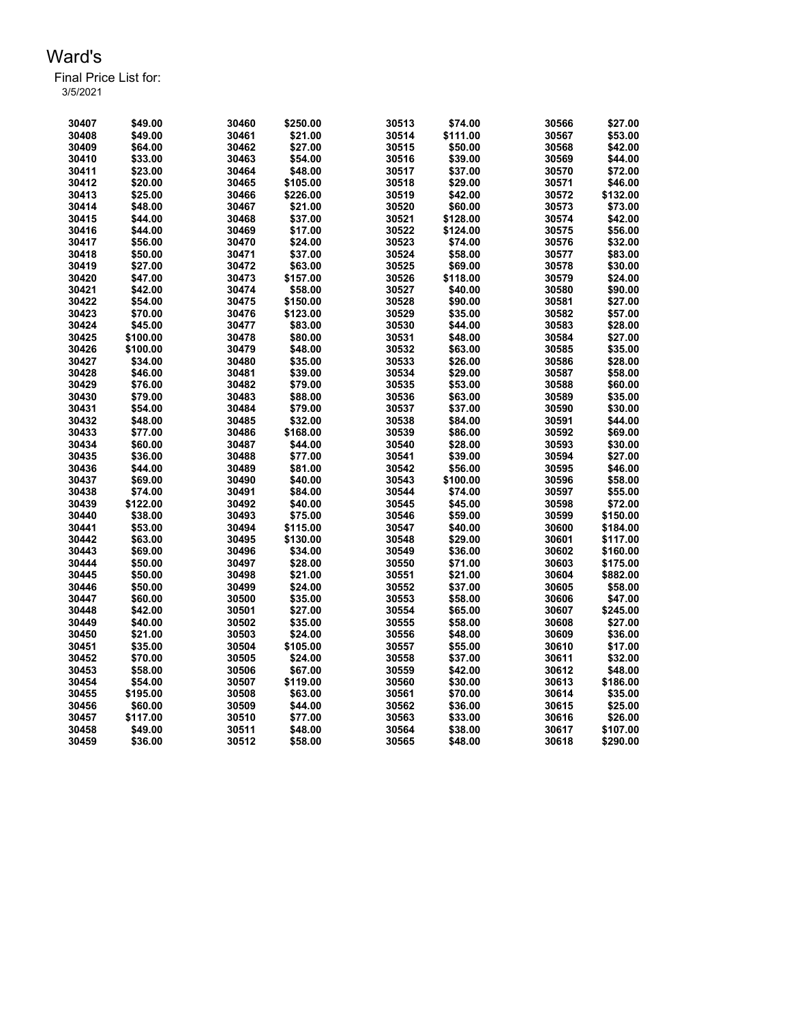| 30407 | \$49.00  | 30460 | \$250.00 | 30513 | \$74.00  | 30566 | \$27.00  |
|-------|----------|-------|----------|-------|----------|-------|----------|
| 30408 | \$49.00  | 30461 | \$21.00  | 30514 | \$111.00 | 30567 | \$53.00  |
| 30409 | \$64.00  | 30462 | \$27.00  | 30515 | \$50.00  | 30568 | \$42.00  |
| 30410 | \$33.00  | 30463 | \$54.00  | 30516 | \$39.00  | 30569 | \$44.00  |
| 30411 | \$23.00  | 30464 | \$48.00  | 30517 | \$37.00  | 30570 | \$72.00  |
| 30412 | \$20.00  | 30465 | \$105.00 | 30518 | \$29.00  | 30571 | \$46.00  |
| 30413 | \$25.00  | 30466 | \$226.00 | 30519 | \$42.00  | 30572 | \$132.00 |
| 30414 | \$48.00  | 30467 | \$21.00  | 30520 | \$60.00  | 30573 | \$73.00  |
| 30415 | \$44.00  | 30468 | \$37.00  | 30521 | \$128.00 | 30574 | \$42.00  |
| 30416 | \$44.00  | 30469 | \$17.00  | 30522 | \$124.00 | 30575 | \$56.00  |
| 30417 | \$56.00  | 30470 | \$24.00  | 30523 | \$74.00  | 30576 | \$32.00  |
| 30418 | \$50.00  | 30471 | \$37.00  | 30524 | \$58.00  | 30577 | \$83.00  |
| 30419 | \$27.00  | 30472 | \$63.00  | 30525 | \$69.00  | 30578 | \$30.00  |
| 30420 | \$47.00  | 30473 | \$157.00 | 30526 | \$118.00 | 30579 | \$24.00  |
| 30421 | \$42.00  | 30474 | \$58.00  | 30527 | \$40.00  | 30580 | \$90.00  |
| 30422 | \$54.00  | 30475 | \$150.00 | 30528 | \$90.00  | 30581 | \$27.00  |
| 30423 | \$70.00  | 30476 | \$123.00 | 30529 | \$35.00  | 30582 | \$57.00  |
| 30424 | \$45.00  | 30477 | \$83.00  | 30530 | \$44.00  | 30583 | \$28.00  |
| 30425 | \$100.00 | 30478 | \$80.00  | 30531 | \$48.00  | 30584 | \$27.00  |
| 30426 | \$100.00 | 30479 | \$48.00  | 30532 | \$63.00  | 30585 | \$35.00  |
| 30427 | \$34.00  | 30480 | \$35.00  | 30533 | \$26.00  | 30586 | \$28.00  |
| 30428 | \$46.00  | 30481 | \$39.00  | 30534 | \$29.00  | 30587 | \$58.00  |
| 30429 | \$76.00  | 30482 | \$79.00  | 30535 | \$53.00  | 30588 | \$60.00  |
| 30430 | \$79.00  | 30483 |          | 30536 | \$63.00  | 30589 | \$35.00  |
| 30431 |          |       | \$88.00  |       |          |       | \$30.00  |
|       | \$54.00  | 30484 | \$79.00  | 30537 | \$37.00  | 30590 |          |
| 30432 | \$48.00  | 30485 | \$32.00  | 30538 | \$84.00  | 30591 | \$44.00  |
| 30433 | \$77.00  | 30486 | \$168.00 | 30539 | \$86.00  | 30592 | \$69.00  |
| 30434 | \$60.00  | 30487 | \$44.00  | 30540 | \$28.00  | 30593 | \$30.00  |
| 30435 | \$36.00  | 30488 | \$77.00  | 30541 | \$39.00  | 30594 | \$27.00  |
| 30436 | \$44.00  | 30489 | \$81.00  | 30542 | \$56.00  | 30595 | \$46.00  |
| 30437 | \$69.00  | 30490 | \$40.00  | 30543 | \$100.00 | 30596 | \$58.00  |
| 30438 | \$74.00  | 30491 | \$84.00  | 30544 | \$74.00  | 30597 | \$55.00  |
| 30439 | \$122.00 | 30492 | \$40.00  | 30545 | \$45.00  | 30598 | \$72.00  |
| 30440 | \$38.00  | 30493 | \$75.00  | 30546 | \$59.00  | 30599 | \$150.00 |
| 30441 | \$53.00  | 30494 | \$115.00 | 30547 | \$40.00  | 30600 | \$184.00 |
| 30442 | \$63.00  | 30495 | \$130.00 | 30548 | \$29.00  | 30601 | \$117.00 |
| 30443 | \$69.00  | 30496 | \$34.00  | 30549 | \$36.00  | 30602 | \$160.00 |
| 30444 | \$50.00  | 30497 | \$28.00  | 30550 | \$71.00  | 30603 | \$175.00 |
| 30445 | \$50.00  | 30498 | \$21.00  | 30551 | \$21.00  | 30604 | \$882.00 |
| 30446 | \$50.00  | 30499 | \$24.00  | 30552 | \$37.00  | 30605 | \$58.00  |
| 30447 | \$60.00  | 30500 | \$35.00  | 30553 | \$58.00  | 30606 | \$47.00  |
| 30448 | \$42.00  | 30501 | \$27.00  | 30554 | \$65.00  | 30607 | \$245.00 |
| 30449 | \$40.00  | 30502 | \$35.00  | 30555 | \$58.00  | 30608 | \$27.00  |
| 30450 | \$21.00  | 30503 | \$24.00  | 30556 | \$48.00  | 30609 | \$36.00  |
| 30451 | \$35.00  | 30504 | \$105.00 | 30557 | \$55.00  | 30610 | \$17.00  |
| 30452 | \$70.00  | 30505 | \$24.00  | 30558 | \$37.00  | 30611 | \$32.00  |
| 30453 | \$58.00  | 30506 | \$67.00  | 30559 | \$42.00  | 30612 | \$48.00  |
| 30454 | \$54.00  | 30507 | \$119.00 | 30560 | \$30.00  | 30613 | \$186.00 |
| 30455 | \$195.00 | 30508 | \$63.00  | 30561 | \$70.00  | 30614 | \$35.00  |
| 30456 | \$60.00  | 30509 | \$44.00  | 30562 | \$36.00  | 30615 | \$25.00  |
| 30457 | \$117.00 | 30510 | \$77.00  | 30563 | \$33.00  | 30616 | \$26.00  |
| 30458 | \$49.00  | 30511 | \$48.00  | 30564 | \$38.00  | 30617 | \$107.00 |
| 30459 | \$36.00  | 30512 | \$58.00  | 30565 | \$48.00  | 30618 | \$290.00 |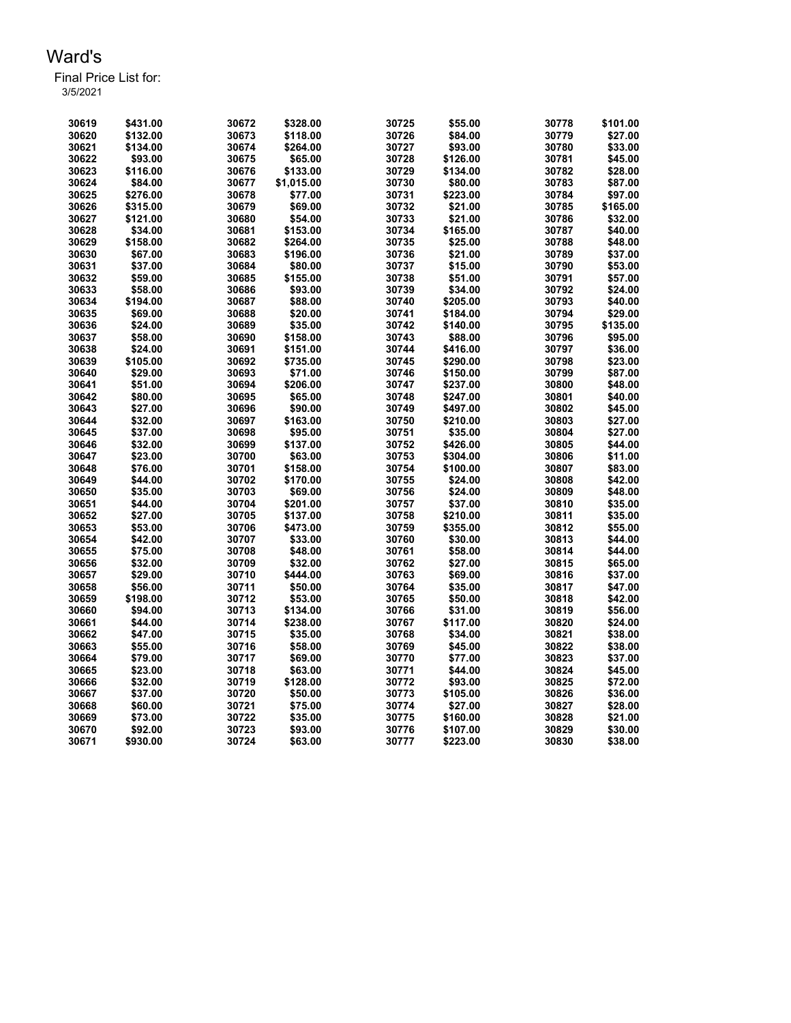| 30619 | \$431.00 | 30672 | \$328.00   | 30725 | \$55.00  | 30778 | \$101.00 |
|-------|----------|-------|------------|-------|----------|-------|----------|
| 30620 | \$132.00 | 30673 | \$118.00   | 30726 | \$84.00  | 30779 | \$27.00  |
| 30621 | \$134.00 | 30674 | \$264.00   | 30727 | \$93.00  | 30780 | \$33.00  |
| 30622 | \$93.00  | 30675 | \$65.00    | 30728 | \$126.00 | 30781 | \$45.00  |
| 30623 | \$116.00 | 30676 | \$133.00   | 30729 | \$134.00 | 30782 | \$28.00  |
| 30624 | \$84.00  | 30677 | \$1,015.00 | 30730 | \$80.00  | 30783 | \$87.00  |
| 30625 | \$276.00 | 30678 | \$77.00    | 30731 | \$223.00 | 30784 | \$97.00  |
| 30626 | \$315.00 | 30679 | \$69.00    | 30732 | \$21.00  | 30785 | \$165.00 |
| 30627 | \$121.00 | 30680 | \$54.00    | 30733 | \$21.00  | 30786 | \$32.00  |
| 30628 | \$34.00  | 30681 | \$153.00   | 30734 | \$165.00 | 30787 | \$40.00  |
| 30629 | \$158.00 | 30682 | \$264.00   | 30735 | \$25.00  | 30788 | \$48.00  |
| 30630 | \$67.00  | 30683 | \$196.00   | 30736 | \$21.00  | 30789 | \$37.00  |
| 30631 | \$37.00  | 30684 | \$80.00    | 30737 | \$15.00  | 30790 | \$53.00  |
| 30632 | \$59.00  | 30685 | \$155.00   | 30738 | \$51.00  | 30791 | \$57.00  |
| 30633 | \$58.00  | 30686 | \$93.00    | 30739 | \$34.00  | 30792 | \$24.00  |
| 30634 | \$194.00 | 30687 | \$88.00    | 30740 | \$205.00 | 30793 | \$40.00  |
| 30635 | \$69.00  | 30688 | \$20.00    | 30741 | \$184.00 | 30794 | \$29.00  |
| 30636 | \$24.00  | 30689 | \$35.00    | 30742 | \$140.00 | 30795 | \$135.00 |
| 30637 | \$58.00  | 30690 | \$158.00   | 30743 | \$88.00  | 30796 | \$95.00  |
| 30638 | \$24.00  | 30691 | \$151.00   | 30744 | \$416.00 | 30797 | \$36.00  |
| 30639 | \$105.00 | 30692 | \$735.00   | 30745 | \$290.00 | 30798 | \$23.00  |
| 30640 | \$29.00  | 30693 | \$71.00    | 30746 | \$150.00 | 30799 | \$87.00  |
| 30641 | \$51.00  | 30694 | \$206.00   | 30747 | \$237.00 | 30800 | \$48.00  |
| 30642 | \$80.00  | 30695 | \$65.00    | 30748 | \$247.00 | 30801 | \$40.00  |
| 30643 | \$27.00  | 30696 | \$90.00    | 30749 | \$497.00 | 30802 | \$45.00  |
| 30644 | \$32.00  | 30697 | \$163.00   | 30750 | \$210.00 | 30803 | \$27.00  |
| 30645 | \$37.00  | 30698 | \$95.00    | 30751 | \$35.00  | 30804 | \$27.00  |
| 30646 | \$32.00  | 30699 | \$137.00   | 30752 | \$426.00 | 30805 | \$44.00  |
| 30647 | \$23.00  | 30700 | \$63.00    | 30753 | \$304.00 | 30806 | \$11.00  |
| 30648 | \$76.00  | 30701 | \$158.00   | 30754 | \$100.00 | 30807 | \$83.00  |
| 30649 | \$44.00  | 30702 | \$170.00   | 30755 | \$24.00  | 30808 | \$42.00  |
| 30650 | \$35.00  | 30703 | \$69.00    | 30756 | \$24.00  | 30809 | \$48.00  |
| 30651 | \$44.00  | 30704 | \$201.00   | 30757 | \$37.00  | 30810 | \$35.00  |
| 30652 | \$27.00  | 30705 | \$137.00   | 30758 | \$210.00 | 30811 | \$35.00  |
| 30653 | \$53.00  | 30706 | \$473.00   | 30759 | \$355.00 | 30812 | \$55.00  |
| 30654 | \$42.00  | 30707 | \$33.00    | 30760 | \$30.00  | 30813 | \$44.00  |
| 30655 | \$75.00  | 30708 | \$48.00    | 30761 | \$58.00  | 30814 | \$44.00  |
| 30656 | \$32.00  | 30709 | \$32.00    | 30762 | \$27.00  | 30815 | \$65.00  |
| 30657 | \$29.00  | 30710 | \$444.00   | 30763 | \$69.00  | 30816 | \$37.00  |
| 30658 | \$56.00  | 30711 | \$50.00    | 30764 | \$35.00  | 30817 | \$47.00  |
| 30659 | \$198.00 | 30712 | \$53.00    | 30765 | \$50.00  | 30818 | \$42.00  |
| 30660 | \$94.00  | 30713 | \$134.00   | 30766 | \$31.00  | 30819 | \$56.00  |
| 30661 | \$44.00  | 30714 | \$238.00   | 30767 | \$117.00 | 30820 | \$24.00  |
| 30662 | \$47.00  | 30715 | \$35.00    | 30768 | \$34.00  | 30821 | \$38.00  |
| 30663 | \$55.00  | 30716 | \$58.00    | 30769 | \$45.00  | 30822 | \$38.00  |
| 30664 | \$79.00  | 30717 | \$69.00    | 30770 | \$77.00  | 30823 | \$37.00  |
| 30665 | \$23.00  | 30718 | \$63.00    | 30771 | \$44.00  | 30824 | \$45.00  |
| 30666 | \$32.00  | 30719 | \$128.00   | 30772 | \$93.00  | 30825 | \$72.00  |
| 30667 | \$37.00  | 30720 | \$50.00    | 30773 | \$105.00 | 30826 | \$36.00  |
| 30668 | \$60.00  | 30721 | \$75.00    | 30774 | \$27.00  | 30827 | \$28.00  |
| 30669 | \$73.00  | 30722 | \$35.00    | 30775 | \$160.00 | 30828 | \$21.00  |
| 30670 | \$92.00  | 30723 | \$93.00    | 30776 | \$107.00 | 30829 | \$30.00  |
| 30671 | \$930.00 | 30724 | \$63.00    | 30777 | \$223.00 | 30830 | \$38.00  |
|       |          |       |            |       |          |       |          |